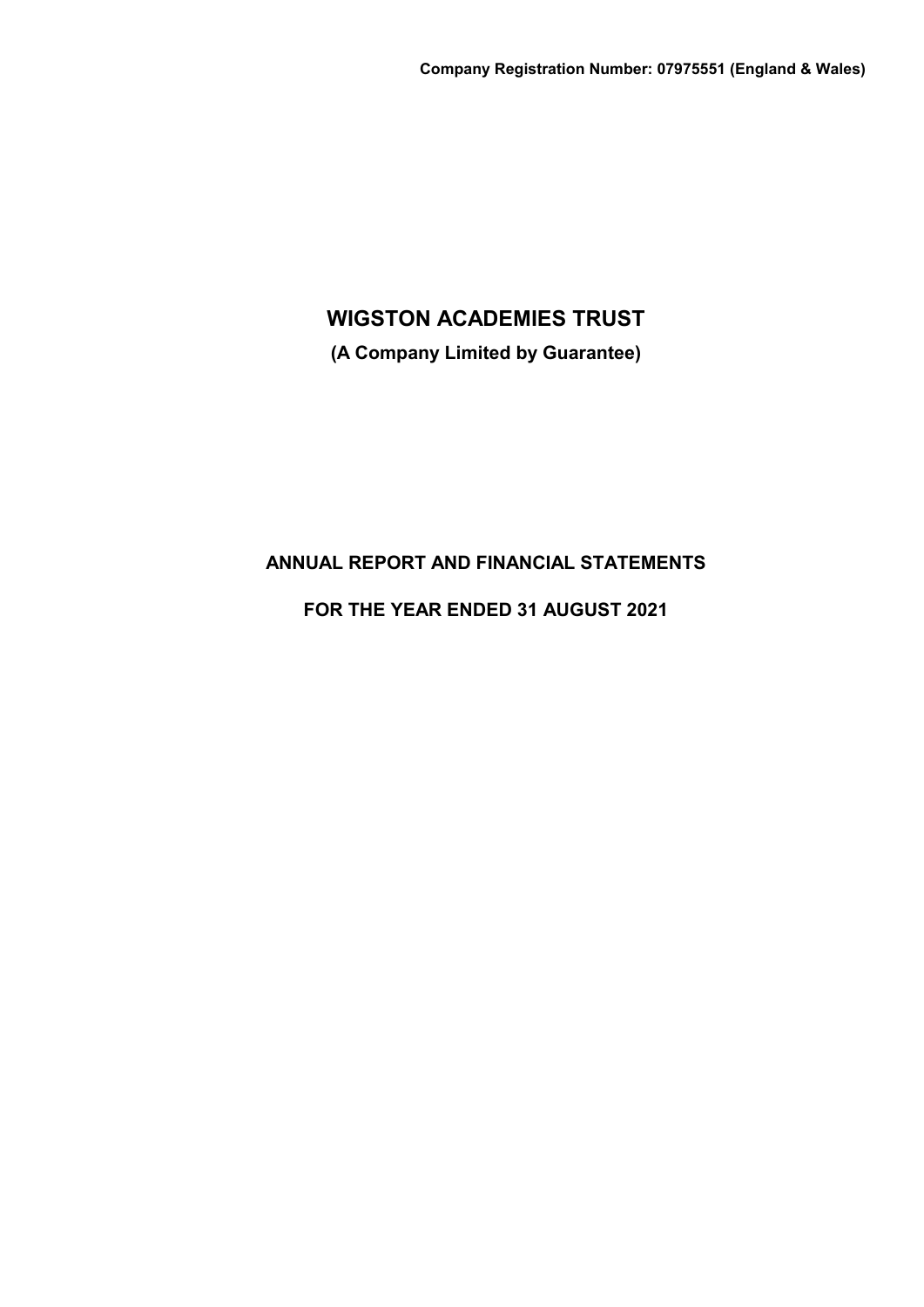**(A Company Limited by Guarantee)**

# **ANNUAL REPORT AND FINANCIAL STATEMENTS**

# **FOR THE YEAR ENDED 31 AUGUST 2021**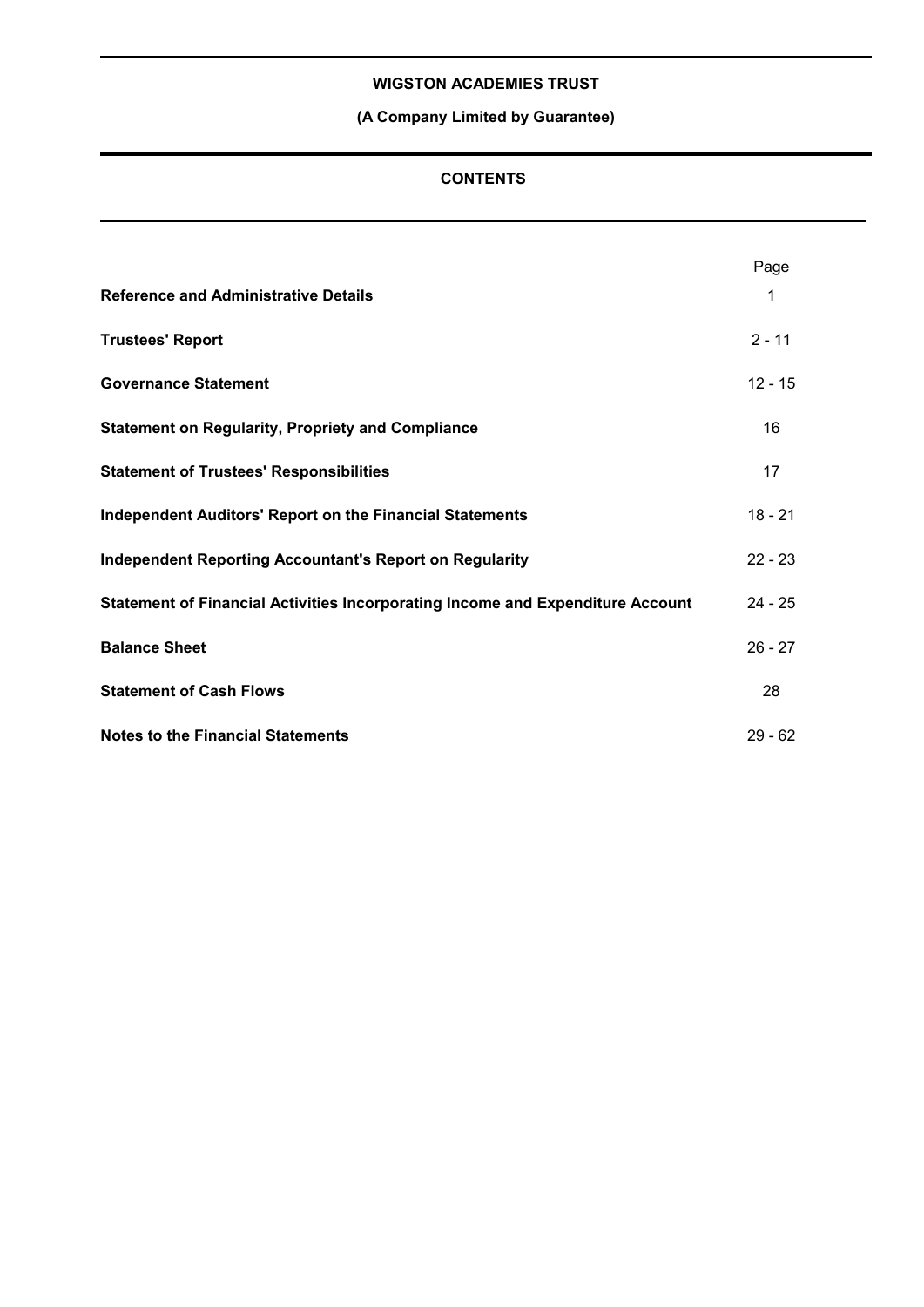# **(A Company Limited by Guarantee)**

## **CONTENTS**

|                                                                                | Page      |  |
|--------------------------------------------------------------------------------|-----------|--|
| <b>Reference and Administrative Details</b>                                    | 1         |  |
| <b>Trustees' Report</b>                                                        | $2 - 11$  |  |
| <b>Governance Statement</b>                                                    | $12 - 15$ |  |
| <b>Statement on Regularity, Propriety and Compliance</b>                       | 16        |  |
| <b>Statement of Trustees' Responsibilities</b>                                 | 17        |  |
| <b>Independent Auditors' Report on the Financial Statements</b>                | $18 - 21$ |  |
| <b>Independent Reporting Accountant's Report on Regularity</b>                 | $22 - 23$ |  |
| Statement of Financial Activities Incorporating Income and Expenditure Account | $24 - 25$ |  |
| <b>Balance Sheet</b>                                                           | $26 - 27$ |  |
| <b>Statement of Cash Flows</b>                                                 | 28        |  |
| <b>Notes to the Financial Statements</b>                                       | $29 - 62$ |  |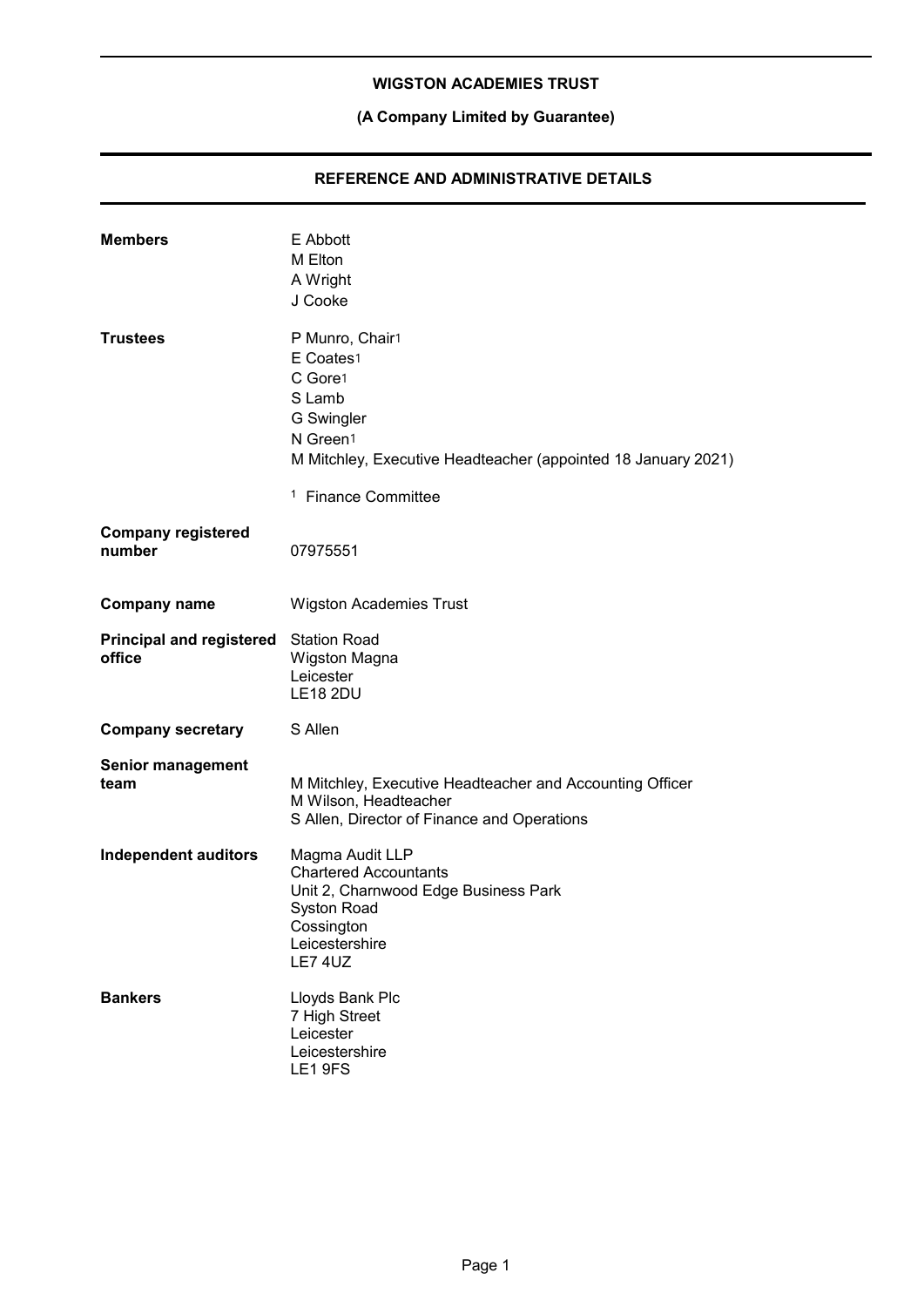# **(A Company Limited by Guarantee)**

### **REFERENCE AND ADMINISTRATIVE DETAILS**

| <b>Members</b>                                  | E Abbott<br>M Elton<br>A Wright<br>J Cooke                                                                                                                      |
|-------------------------------------------------|-----------------------------------------------------------------------------------------------------------------------------------------------------------------|
| <b>Trustees</b>                                 | P Munro, Chair1<br>E Coates1<br>C Gore1<br>S Lamb<br>G Swingler<br>N Green1<br>M Mitchley, Executive Headteacher (appointed 18 January 2021)                    |
|                                                 | <sup>1</sup> Finance Committee                                                                                                                                  |
| <b>Company registered</b><br>number             | 07975551                                                                                                                                                        |
| <b>Company name</b>                             | <b>Wigston Academies Trust</b>                                                                                                                                  |
| Principal and registered Station Road<br>office | Wigston Magna<br>Leicester<br><b>LE18 2DU</b>                                                                                                                   |
| <b>Company secretary</b>                        | S Allen                                                                                                                                                         |
| <b>Senior management</b><br>team                | M Mitchley, Executive Headteacher and Accounting Officer<br>M Wilson, Headteacher<br>S Allen, Director of Finance and Operations                                |
| <b>Independent auditors</b>                     | Magma Audit LLP<br><b>Chartered Accountants</b><br>Unit 2, Charnwood Edge Business Park<br><b>Syston Road</b><br>Cossington<br>Leicestershire<br><b>LE7 4UZ</b> |
| <b>Bankers</b>                                  | Lloyds Bank Plc<br>7 High Street<br>Leicester<br>Leicestershire<br>LE1 9FS                                                                                      |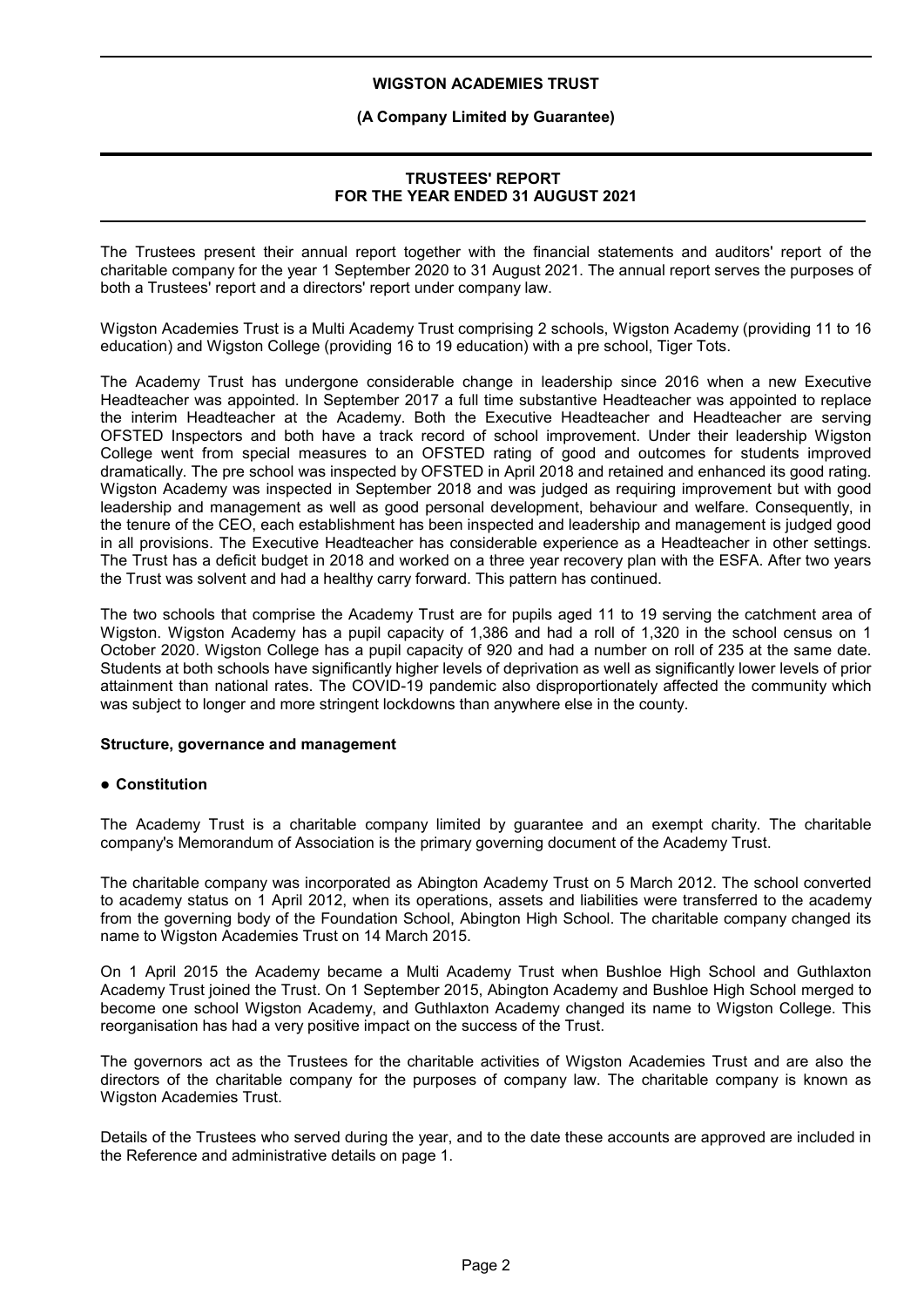### **(A Company Limited by Guarantee)**

### **TRUSTEES' REPORT FOR THE YEAR ENDED 31 AUGUST 2021**

The Trustees present their annual report together with the financial statements and auditors' report of the charitable company for the year 1 September 2020 to 31 August 2021. The annual report serves the purposes of both a Trustees' report and a directors' report under company law.

Wigston Academies Trust is a Multi Academy Trust comprising 2 schools, Wigston Academy (providing 11 to 16 education) and Wigston College (providing 16 to 19 education) with a pre school, Tiger Tots.

The Academy Trust has undergone considerable change in leadership since 2016 when a new Executive Headteacher was appointed. In September 2017 a full time substantive Headteacher was appointed to replace the interim Headteacher at the Academy. Both the Executive Headteacher and Headteacher are serving OFSTED Inspectors and both have a track record of school improvement. Under their leadership Wigston College went from special measures to an OFSTED rating of good and outcomes for students improved dramatically. The pre school was inspected by OFSTED in April 2018 and retained and enhanced its good rating. Wigston Academy was inspected in September 2018 and was judged as requiring improvement but with good leadership and management as well as good personal development, behaviour and welfare. Consequently, in the tenure of the CEO, each establishment has been inspected and leadership and management is judged good in all provisions. The Executive Headteacher has considerable experience as a Headteacher in other settings. The Trust has a deficit budget in 2018 and worked on a three year recovery plan with the ESFA. After two years the Trust was solvent and had a healthy carry forward. This pattern has continued.

The two schools that comprise the Academy Trust are for pupils aged 11 to 19 serving the catchment area of Wigston. Wigston Academy has a pupil capacity of 1,386 and had a roll of 1,320 in the school census on 1 October 2020. Wigston College has a pupil capacity of 920 and had a number on roll of 235 at the same date. Students at both schools have significantly higher levels of deprivation as well as significantly lower levels of prior attainment than national rates. The COVID-19 pandemic also disproportionately affected the community which was subject to longer and more stringent lockdowns than anywhere else in the county.

#### **Structure, governance and management**

#### **Constitution**

The Academy Trust is a charitable company limited by guarantee and an exempt charity. The charitable company's Memorandum of Association is the primary governing document of the Academy Trust.

The charitable company was incorporated as Abington Academy Trust on 5 March 2012. The school converted to academy status on 1 April 2012, when its operations, assets and liabilities were transferred to the academy from the governing body of the Foundation School, Abington High School. The charitable company changed its name to Wigston Academies Trust on 14 March 2015.

On 1 April 2015 the Academy became a Multi Academy Trust when Bushloe High School and Guthlaxton Academy Trust joined the Trust. On 1 September 2015, Abington Academy and Bushloe High School merged to become one school Wigston Academy, and Guthlaxton Academy changed its name to Wigston College. This reorganisation has had a very positive impact on the success of the Trust.

The governors act as the Trustees for the charitable activities of Wigston Academies Trust and are also the directors of the charitable company for the purposes of company law. The charitable company is known as Wigston Academies Trust.

Details of the Trustees who served during the year, and to the date these accounts are approved are included in the Reference and administrative details on page 1.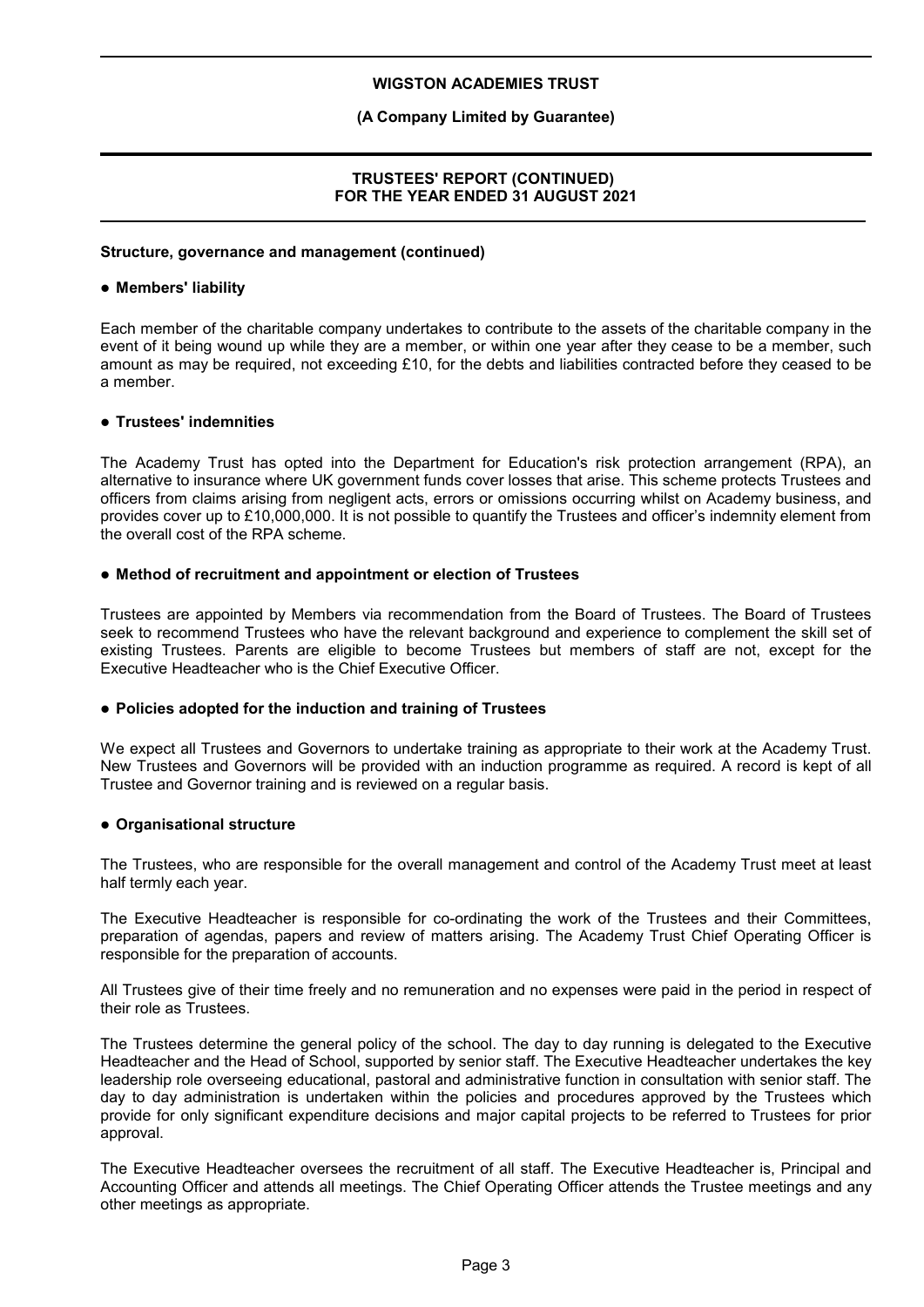### **(A Company Limited by Guarantee)**

### **TRUSTEES' REPORT (CONTINUED) FOR THE YEAR ENDED 31 AUGUST 2021**

#### **Structure, governance and management (continued)**

#### **Members' liability**

Each member of the charitable company undertakes to contribute to the assets of the charitable company in the event of it being wound up while they are a member, or within one year after they cease to be a member, such amount as may be required, not exceeding £10, for the debts and liabilities contracted before they ceased to be a member.

#### **Trustees' indemnities**

The Academy Trust has opted into the Department for Education's risk protection arrangement (RPA), an alternative to insurance where UK government funds cover losses that arise. This scheme protects Trustees and officers from claims arising from negligent acts, errors or omissions occurring whilst on Academy business, and provides cover up to £10,000,000. It is not possible to quantify the Trustees and officer's indemnity element from the overall cost of the RPA scheme.

#### **Method of recruitment and appointment or election of Trustees**

Trustees are appointed by Members via recommendation from the Board of Trustees. The Board of Trustees seek to recommend Trustees who have the relevant background and experience to complement the skill set of existing Trustees. Parents are eligible to become Trustees but members of staff are not, except for the Executive Headteacher who is the Chief Executive Officer.

#### **Policies adopted for the induction and training of Trustees**

We expect all Trustees and Governors to undertake training as appropriate to their work at the Academy Trust. New Trustees and Governors will be provided with an induction programme as required. A record is kept of all Trustee and Governor training and is reviewed on a regular basis.

#### **Organisational structure**

The Trustees, who are responsible for the overall management and control of the Academy Trust meet at least half termly each year.

The Executive Headteacher is responsible for co-ordinating the work of the Trustees and their Committees, preparation of agendas, papers and review of matters arising. The Academy Trust Chief Operating Officer is responsible for the preparation of accounts.

All Trustees give of their time freely and no remuneration and no expenses were paid in the period in respect of their role as Trustees.

The Trustees determine the general policy of the school. The day to day running is delegated to the Executive Headteacher and the Head of School, supported by senior staff. The Executive Headteacher undertakes the key leadership role overseeing educational, pastoral and administrative function in consultation with senior staff. The day to day administration is undertaken within the policies and procedures approved by the Trustees which provide for only significant expenditure decisions and major capital projects to be referred to Trustees for prior approval.

The Executive Headteacher oversees the recruitment of all staff. The Executive Headteacher is, Principal and Accounting Officer and attends all meetings. The Chief Operating Officer attends the Trustee meetings and any other meetings as appropriate.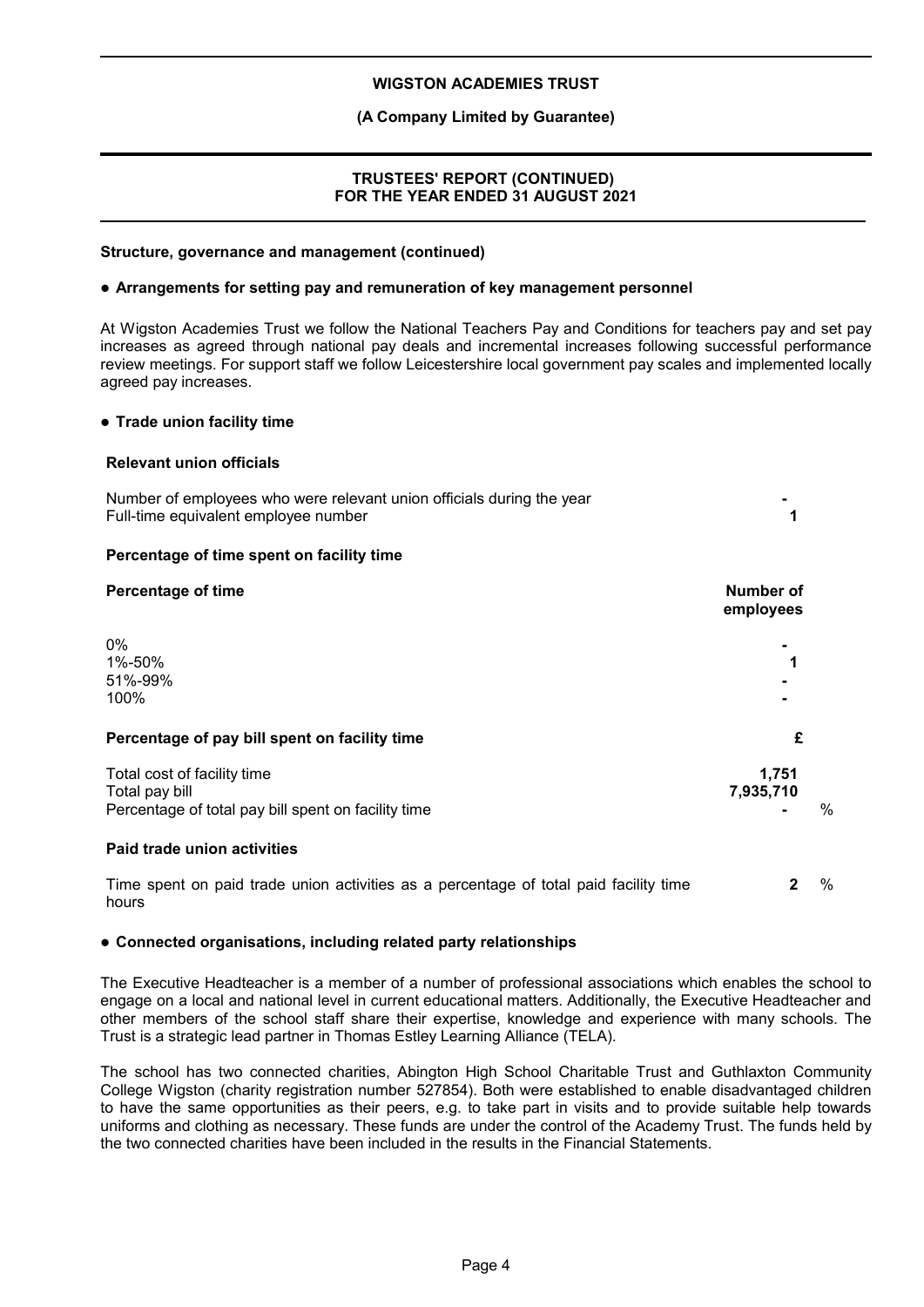### **(A Company Limited by Guarantee)**

### **TRUSTEES' REPORT (CONTINUED) FOR THE YEAR ENDED 31 AUGUST 2021**

#### **Structure, governance and management (continued)**

#### **Arrangements for setting pay and remuneration of key management personnel**

At Wigston Academies Trust we follow the National Teachers Pay and Conditions for teachers pay and set pay increases as agreed through national pay deals and incremental increases following successful performance review meetings. For support staff we follow Leicestershire local government pay scales and implemented locally agreed pay increases.

#### **Trade union facility time**

#### **Relevant union officials**

| Number of employees who were relevant union officials during the year<br>Full-time equivalent employee number |                        |               |
|---------------------------------------------------------------------------------------------------------------|------------------------|---------------|
| Percentage of time spent on facility time                                                                     |                        |               |
| <b>Percentage of time</b>                                                                                     | Number of<br>employees |               |
| 0%<br>1%-50%<br>51%-99%<br>100%                                                                               |                        |               |
| Percentage of pay bill spent on facility time                                                                 | £                      |               |
| Total cost of facility time<br>Total pay bill<br>Percentage of total pay bill spent on facility time          | 1,751<br>7,935,710     | $\frac{0}{0}$ |

#### **Paid trade union activities**

Time spent on paid trade union activities as a percentage of total paid facility time hours **2** %

#### **Connected organisations, including related party relationships**

The Executive Headteacher is a member of a number of professional associations which enables the school to engage on a local and national level in current educational matters. Additionally, the Executive Headteacher and other members of the school staff share their expertise, knowledge and experience with many schools. The Trust is a strategic lead partner in Thomas Estley Learning Alliance (TELA).

The school has two connected charities, Abington High School Charitable Trust and Guthlaxton Community College Wigston (charity registration number 527854). Both were established to enable disadvantaged children to have the same opportunities as their peers, e.g. to take part in visits and to provide suitable help towards uniforms and clothing as necessary. These funds are under the control of the Academy Trust. The funds held by the two connected charities have been included in the results in the Financial Statements.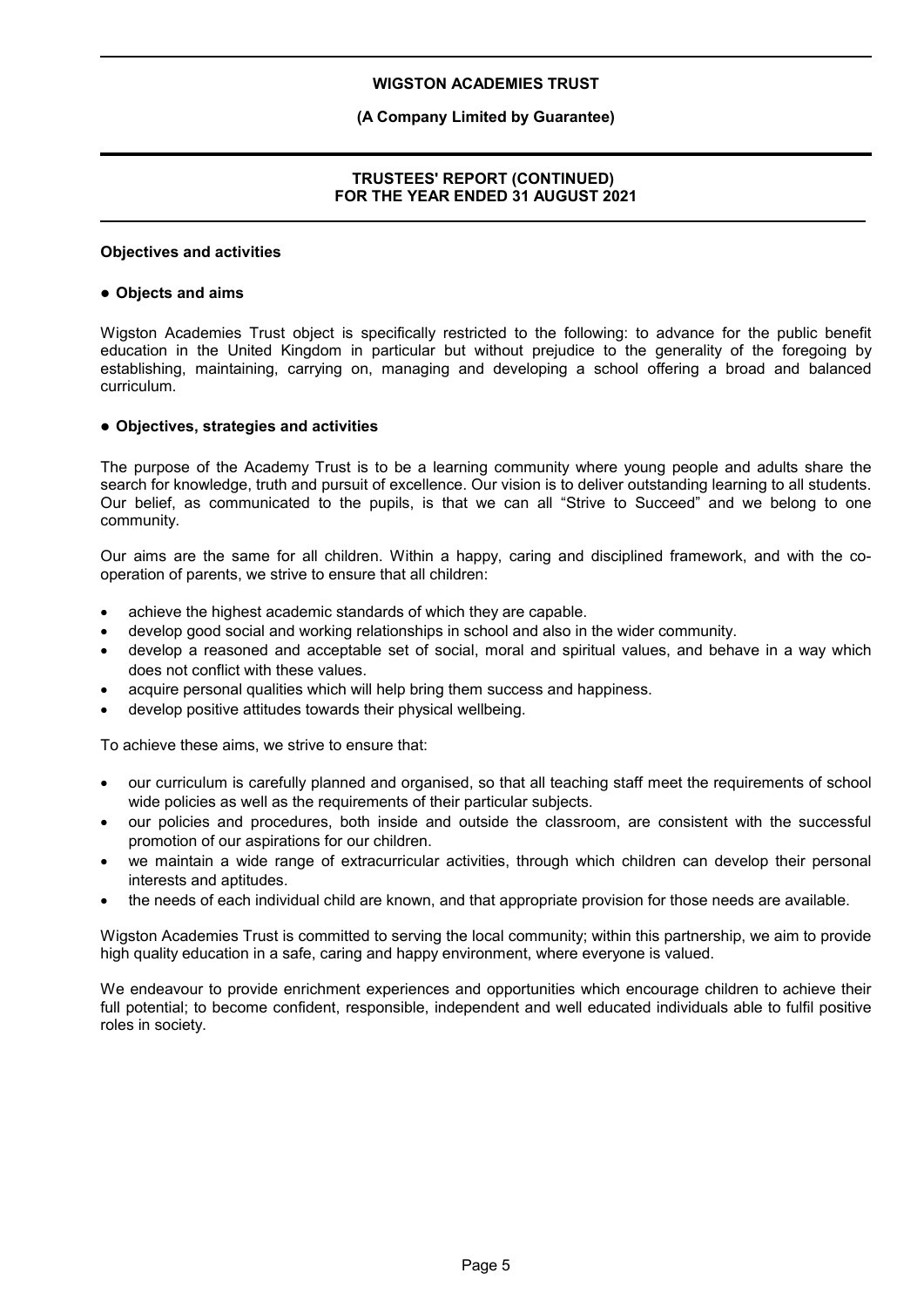### **(A Company Limited by Guarantee)**

### **TRUSTEES' REPORT (CONTINUED) FOR THE YEAR ENDED 31 AUGUST 2021**

#### **Objectives and activities**

#### **Objects and aims**

Wigston Academies Trust object is specifically restricted to the following: to advance for the public benefit education in the United Kingdom in particular but without prejudice to the generality of the foregoing by establishing, maintaining, carrying on, managing and developing a school offering a broad and balanced curriculum.

#### **Objectives, strategies and activities**

The purpose of the Academy Trust is to be a learning community where young people and adults share the search for knowledge, truth and pursuit of excellence. Our vision is to deliver outstanding learning to all students. Our belief, as communicated to the pupils, is that we can all "Strive to Succeed" and we belong to one community.

Our aims are the same for all children. Within a happy, caring and disciplined framework, and with the cooperation of parents, we strive to ensure that all children:

- achieve the highest academic standards of which they are capable.
- develop good social and working relationships in school and also in the wider community.
- develop a reasoned and acceptable set of social, moral and spiritual values, and behave in a way which does not conflict with these values.
- acquire personal qualities which will help bring them success and happiness.
- develop positive attitudes towards their physical wellbeing.

To achieve these aims, we strive to ensure that:

- our curriculum is carefully planned and organised, so that all teaching staff meet the requirements of school wide policies as well as the requirements of their particular subjects.
- our policies and procedures, both inside and outside the classroom, are consistent with the successful promotion of our aspirations for our children.
- we maintain a wide range of extracurricular activities, through which children can develop their personal interests and aptitudes.
- the needs of each individual child are known, and that appropriate provision for those needs are available.

Wigston Academies Trust is committed to serving the local community; within this partnership, we aim to provide high quality education in a safe, caring and happy environment, where everyone is valued.

We endeavour to provide enrichment experiences and opportunities which encourage children to achieve their full potential; to become confident, responsible, independent and well educated individuals able to fulfil positive roles in society.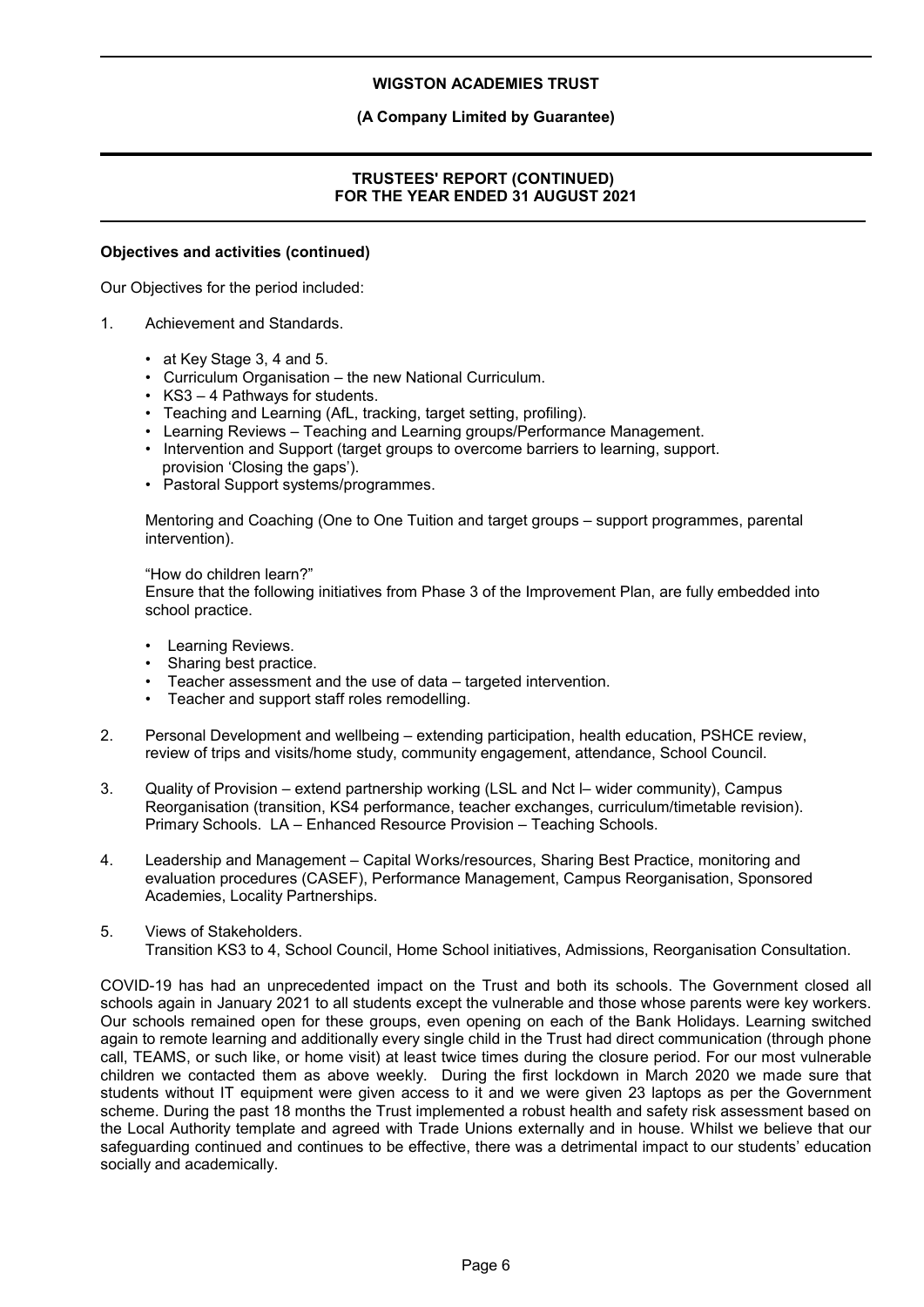### **(A Company Limited by Guarantee)**

### **TRUSTEES' REPORT (CONTINUED) FOR THE YEAR ENDED 31 AUGUST 2021**

#### **Objectives and activities (continued)**

Our Objectives for the period included:

- 1. Achievement and Standards.
	- at Key Stage 3, 4 and 5.
	- Curriculum Organisation the new National Curriculum.
	- KS3 4 Pathways for students.
	- Teaching and Learning (AfL, tracking, target setting, profiling).
	- Learning Reviews Teaching and Learning groups/Performance Management.
	- Intervention and Support (target groups to overcome barriers to learning, support. provision 'Closing the gaps').
	- Pastoral Support systems/programmes.

Mentoring and Coaching (One to One Tuition and target groups – support programmes, parental intervention).

"How do children learn?"

Ensure that the following initiatives from Phase 3 of the Improvement Plan, are fully embedded into school practice.

- Learning Reviews.
- Sharing best practice.
- Teacher assessment and the use of data targeted intervention.
- Teacher and support staff roles remodelling.
- 2. Personal Development and wellbeing extending participation, health education, PSHCE review, review of trips and visits/home study, community engagement, attendance, School Council.
- 3. Quality of Provision extend partnership working (LSL and Nct l– wider community), Campus Reorganisation (transition, KS4 performance, teacher exchanges, curriculum/timetable revision). Primary Schools. LA – Enhanced Resource Provision – Teaching Schools.
- 4. Leadership and Management Capital Works/resources, Sharing Best Practice, monitoring and evaluation procedures (CASEF), Performance Management, Campus Reorganisation, Sponsored Academies, Locality Partnerships.
- 5. Views of Stakeholders. Transition KS3 to 4, School Council, Home School initiatives, Admissions, Reorganisation Consultation.

COVID-19 has had an unprecedented impact on the Trust and both its schools. The Government closed all schools again in January 2021 to all students except the vulnerable and those whose parents were key workers. Our schools remained open for these groups, even opening on each of the Bank Holidays. Learning switched again to remote learning and additionally every single child in the Trust had direct communication (through phone call, TEAMS, or such like, or home visit) at least twice times during the closure period. For our most vulnerable children we contacted them as above weekly. During the first lockdown in March 2020 we made sure that students without IT equipment were given access to it and we were given 23 laptops as per the Government scheme. During the past 18 months the Trust implemented a robust health and safety risk assessment based on the Local Authority template and agreed with Trade Unions externally and in house. Whilst we believe that our safeguarding continued and continues to be effective, there was a detrimental impact to our students' education socially and academically.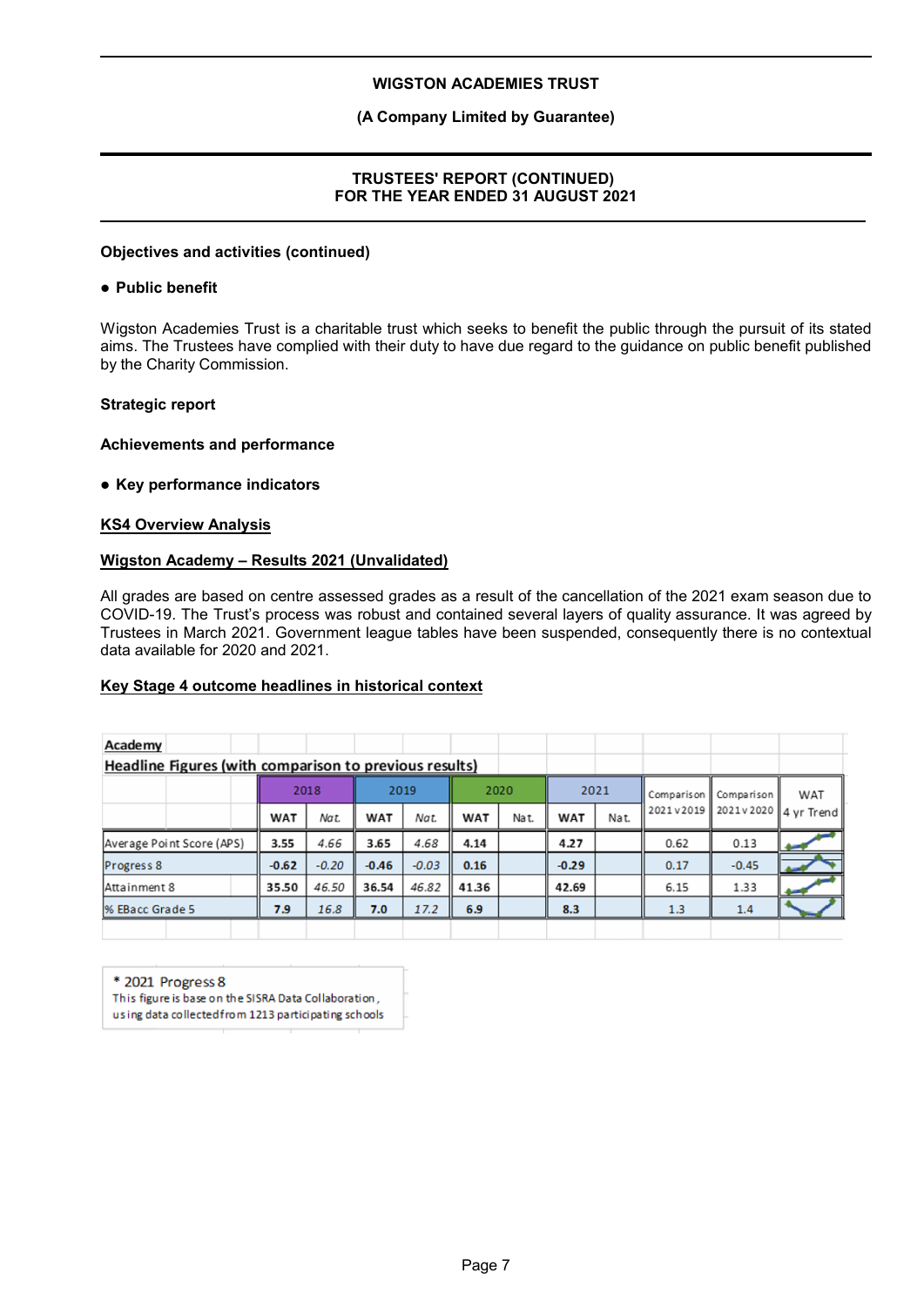### **(A Company Limited by Guarantee)**

### **TRUSTEES' REPORT (CONTINUED) FOR THE YEAR ENDED 31 AUGUST 2021**

#### **Objectives and activities (continued)**

#### **Public benefit**

Wigston Academies Trust is a charitable trust which seeks to benefit the public through the pursuit of its stated aims. The Trustees have complied with their duty to have due regard to the guidance on public benefit published by the Charity Commission.

### **Strategic report**

**Achievements and performance**

**Key performance indicators**

### **KS4 Overview Analysis**

#### **Wigston Academy – Results 2021 (Unvalidated)**

All grades are based on centre assessed grades as a result of the cancellation of the 2021 exam season due to COVID-19. The Trust's process was robust and contained several layers of quality assurance. It was agreed by Trustees in March 2021. Government league tables have been suspended, consequently there is no contextual data available for 2020 and 2021.

### **Key Stage 4 outcome headlines in historical context**

| Academy                                                |      |            |         |            |         |            |      |            |            |            |                      |  |
|--------------------------------------------------------|------|------------|---------|------------|---------|------------|------|------------|------------|------------|----------------------|--|
| Headline Figures (with comparison to previous results) |      |            |         |            |         |            |      |            |            |            |                      |  |
|                                                        | 2018 |            |         | 2019       |         | 2020       |      | 2021       | Comparison | Comparison | WAT                  |  |
|                                                        |      | <b>WAT</b> | Nat.    | <b>WAT</b> | Nat.    | <b>WAT</b> | Nat. | <b>WAT</b> | Nat.       | 2021v2019  | 2021v2020 4 vr Trend |  |
| Average Point Score (APS)                              |      | 3.55       | 4.66    | 3.65       | 4.68    | 4.14       |      | 4.27       |            | 0.62       | 0.13                 |  |
| Progress 8                                             |      | $-0.62$    | $-0.20$ | $-0.46$    | $-0.03$ | 0.16       |      | $-0.29$    |            | 0.17       | $-0.45$              |  |
| Attainment 8                                           |      | 35.50      | 46.50   | 36.54      | 46.82   | 41.36      |      | 42.69      |            | 6.15       | 1.33                 |  |
| % EBacc Grade 5                                        |      | 7.9        | 16.8    | 7.0        | 17.2    | 6.9        |      | 8.3        |            | 1.3        | 1.4                  |  |
|                                                        |      |            |         |            |         |            |      |            |            |            |                      |  |

\* 2021 Progress 8

This figure is base on the SISRA Data Collaboration,

using data collected from 1213 participating schools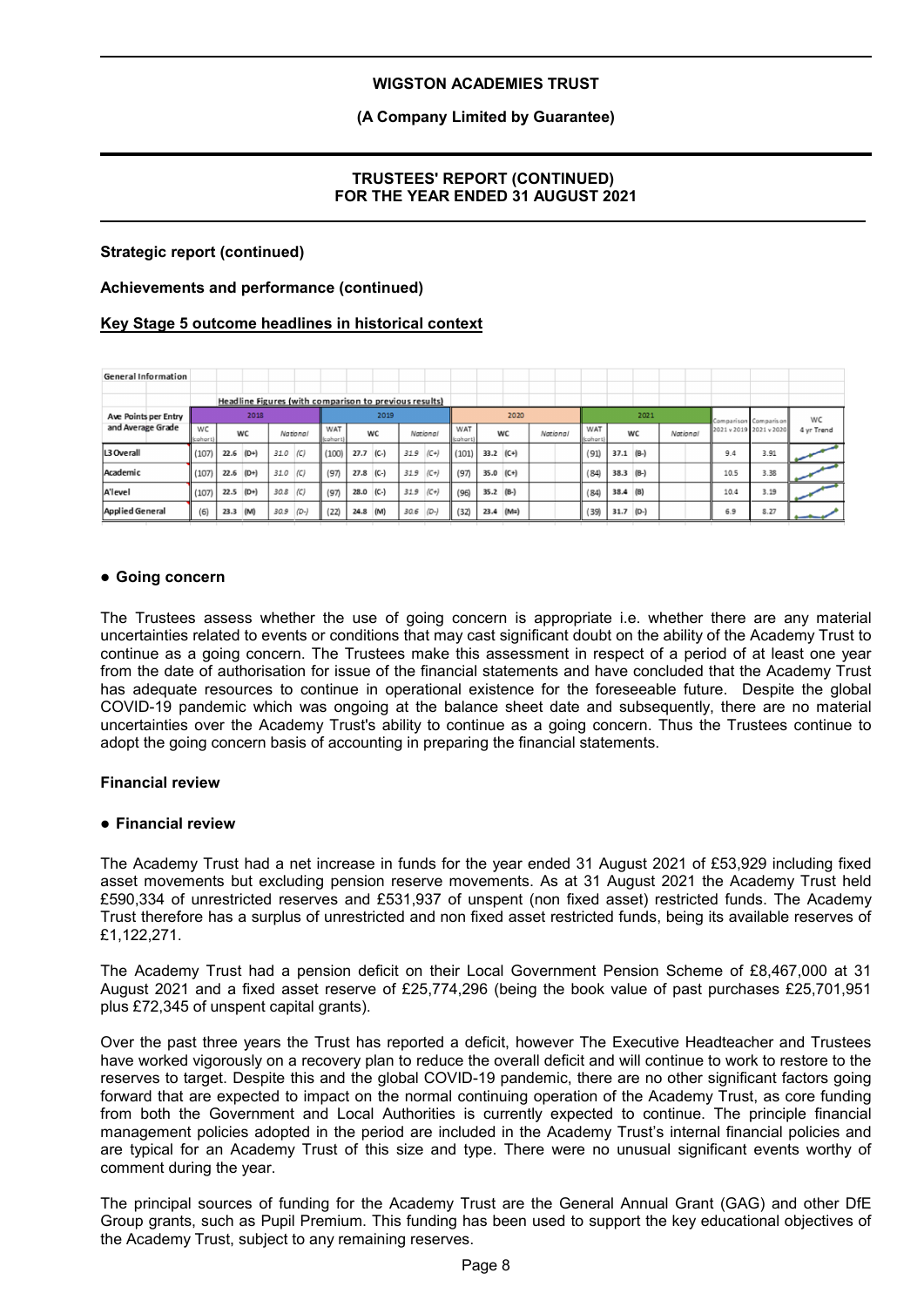### **(A Company Limited by Guarantee)**

### **TRUSTEES' REPORT (CONTINUED) FOR THE YEAR ENDED 31 AUGUST 2021**

### **Strategic report (continued)**

#### **Achievements and performance (continued)**

### **Key Stage 5 outcome headlines in historical context**

| General Information    |                |             |       |      |                                                        |                 |             |           |      |          |                 |             |        |          |                 |             |        |          |                         |      |            |
|------------------------|----------------|-------------|-------|------|--------------------------------------------------------|-----------------|-------------|-----------|------|----------|-----------------|-------------|--------|----------|-----------------|-------------|--------|----------|-------------------------|------|------------|
|                        |                |             |       |      |                                                        |                 |             |           |      |          |                 |             |        |          |                 |             |        |          |                         |      |            |
|                        |                |             |       |      | Headline Figures (with comparison to previous results) |                 |             |           |      |          |                 |             |        |          |                 |             |        |          |                         |      |            |
| Ave Points per Entry   |                |             | 2018  |      |                                                        |                 |             | 2019      |      |          |                 |             | 2020   |          |                 |             | 2021   |          | Comparison Comparison   |      | WC         |
| and Average Grade      | WC<br>(cohart) |             | WC    |      | National                                               | WAT<br>(cohort) |             | <b>WC</b> |      | National | WAT<br>(cohort) |             | WC     | National | WAT<br>(cohort) |             | WC     | National | 2021 v 2019 2021 v 2020 |      | 4 yr Trend |
| L3 Overall             | (107)          | $22.6$ (D+) |       | 31.0 | (C)                                                    | (100)           | $27.7$ (C-) |           | 31.9 | $(C+)$   | (101)           | $33.2$ (C+) |        |          | (91)            | $37.1$ (B-) |        |          | 9.4                     | 3.91 |            |
| Academic               | (107)          | $22.6$ (D+) |       | 31.0 | (C)                                                    | (97)            | 27.8 (C-)   |           | 31.9 | $(C+)$   | (97)            | $35.0$ (C+) |        |          | (84)            | $38.3$ (B-) |        |          | 10.5                    | 3.38 |            |
| A'level                | (107)          | 22.5        | $(D+$ | 30.8 | (C)                                                    | (97)            | 28.0 (C-)   |           | 31.9 | $(C+)$   | (96)            | $35.2$ (B-) |        |          | (84)            | $38.4$ (B)  |        |          | 10.4                    | 3.19 |            |
| <b>Applied General</b> | (6)            | 23.3        | (M)   | 30.9 | $(D-)$                                                 | (22)            | 24.8        | (M)       | 30.6 | $(D-$    | (32)            | 23.4        | $(M=)$ |          | 39              | 31.7        | $(D-)$ |          | 6.9                     | 8.27 |            |

#### **Going concern**

The Trustees assess whether the use of going concern is appropriate i.e. whether there are any material uncertainties related to events or conditions that may cast significant doubt on the ability of the Academy Trust to continue as a going concern. The Trustees make this assessment in respect of a period of at least one year from the date of authorisation for issue of the financial statements and have concluded that the Academy Trust has adequate resources to continue in operational existence for the foreseeable future. Despite the global COVID-19 pandemic which was ongoing at the balance sheet date and subsequently, there are no material uncertainties over the Academy Trust's ability to continue as a going concern. Thus the Trustees continue to adopt the going concern basis of accounting in preparing the financial statements.

#### **Financial review**

#### **Financial review**

The Academy Trust had a net increase in funds for the year ended 31 August 2021 of £53,929 including fixed asset movements but excluding pension reserve movements. As at 31 August 2021 the Academy Trust held £590,334 of unrestricted reserves and £531,937 of unspent (non fixed asset) restricted funds. The Academy Trust therefore has a surplus of unrestricted and non fixed asset restricted funds, being its available reserves of £1,122,271.

The Academy Trust had a pension deficit on their Local Government Pension Scheme of £8,467,000 at 31 August 2021 and a fixed asset reserve of £25,774,296 (being the book value of past purchases £25,701,951 plus £72,345 of unspent capital grants).

Over the past three years the Trust has reported a deficit, however The Executive Headteacher and Trustees have worked vigorously on a recovery plan to reduce the overall deficit and will continue to work to restore to the reserves to target. Despite this and the global COVID-19 pandemic, there are no other significant factors going forward that are expected to impact on the normal continuing operation of the Academy Trust, as core funding from both the Government and Local Authorities is currently expected to continue. The principle financial management policies adopted in the period are included in the Academy Trust's internal financial policies and are typical for an Academy Trust of this size and type. There were no unusual significant events worthy of comment during the year.

The principal sources of funding for the Academy Trust are the General Annual Grant (GAG) and other DfE Group grants, such as Pupil Premium. This funding has been used to support the key educational objectives of the Academy Trust, subject to any remaining reserves.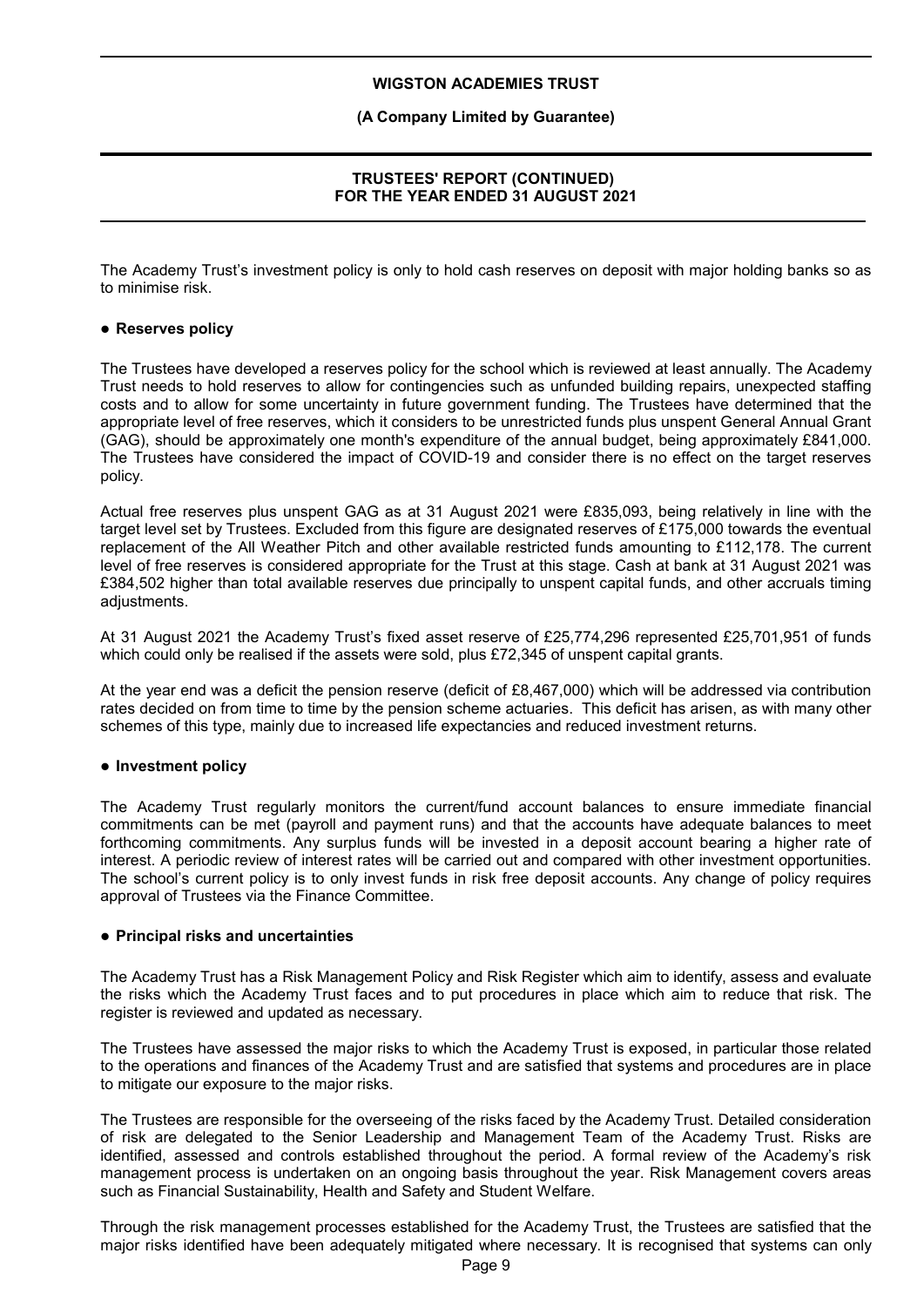### **(A Company Limited by Guarantee)**

### **TRUSTEES' REPORT (CONTINUED) FOR THE YEAR ENDED 31 AUGUST 2021**

The Academy Trust's investment policy is only to hold cash reserves on deposit with major holding banks so as to minimise risk.

### **Reserves policy**

The Trustees have developed a reserves policy for the school which is reviewed at least annually. The Academy Trust needs to hold reserves to allow for contingencies such as unfunded building repairs, unexpected staffing costs and to allow for some uncertainty in future government funding. The Trustees have determined that the appropriate level of free reserves, which it considers to be unrestricted funds plus unspent General Annual Grant (GAG), should be approximately one month's expenditure of the annual budget, being approximately £841,000. The Trustees have considered the impact of COVID-19 and consider there is no effect on the target reserves policy.

Actual free reserves plus unspent GAG as at 31 August 2021 were £835,093, being relatively in line with the target level set by Trustees. Excluded from this figure are designated reserves of £175,000 towards the eventual replacement of the All Weather Pitch and other available restricted funds amounting to £112,178. The current level of free reserves is considered appropriate for the Trust at this stage. Cash at bank at 31 August 2021 was £384,502 higher than total available reserves due principally to unspent capital funds, and other accruals timing adjustments.

At 31 August 2021 the Academy Trust's fixed asset reserve of £25,774,296 represented £25,701,951 of funds which could only be realised if the assets were sold, plus £72,345 of unspent capital grants.

At the year end was a deficit the pension reserve (deficit of £8,467,000) which will be addressed via contribution rates decided on from time to time by the pension scheme actuaries. This deficit has arisen, as with many other schemes of this type, mainly due to increased life expectancies and reduced investment returns.

#### **Investment policy**

The Academy Trust regularly monitors the current/fund account balances to ensure immediate financial commitments can be met (payroll and payment runs) and that the accounts have adequate balances to meet forthcoming commitments. Any surplus funds will be invested in a deposit account bearing a higher rate of interest. A periodic review of interest rates will be carried out and compared with other investment opportunities. The school's current policy is to only invest funds in risk free deposit accounts. Any change of policy requires approval of Trustees via the Finance Committee.

### **Principal risks and uncertainties**

The Academy Trust has a Risk Management Policy and Risk Register which aim to identify, assess and evaluate the risks which the Academy Trust faces and to put procedures in place which aim to reduce that risk. The register is reviewed and updated as necessary.

The Trustees have assessed the major risks to which the Academy Trust is exposed, in particular those related to the operations and finances of the Academy Trust and are satisfied that systems and procedures are in place to mitigate our exposure to the major risks.

The Trustees are responsible for the overseeing of the risks faced by the Academy Trust. Detailed consideration of risk are delegated to the Senior Leadership and Management Team of the Academy Trust. Risks are identified, assessed and controls established throughout the period. A formal review of the Academy's risk management process is undertaken on an ongoing basis throughout the year. Risk Management covers areas such as Financial Sustainability, Health and Safety and Student Welfare.

Through the risk management processes established for the Academy Trust, the Trustees are satisfied that the major risks identified have been adequately mitigated where necessary. It is recognised that systems can only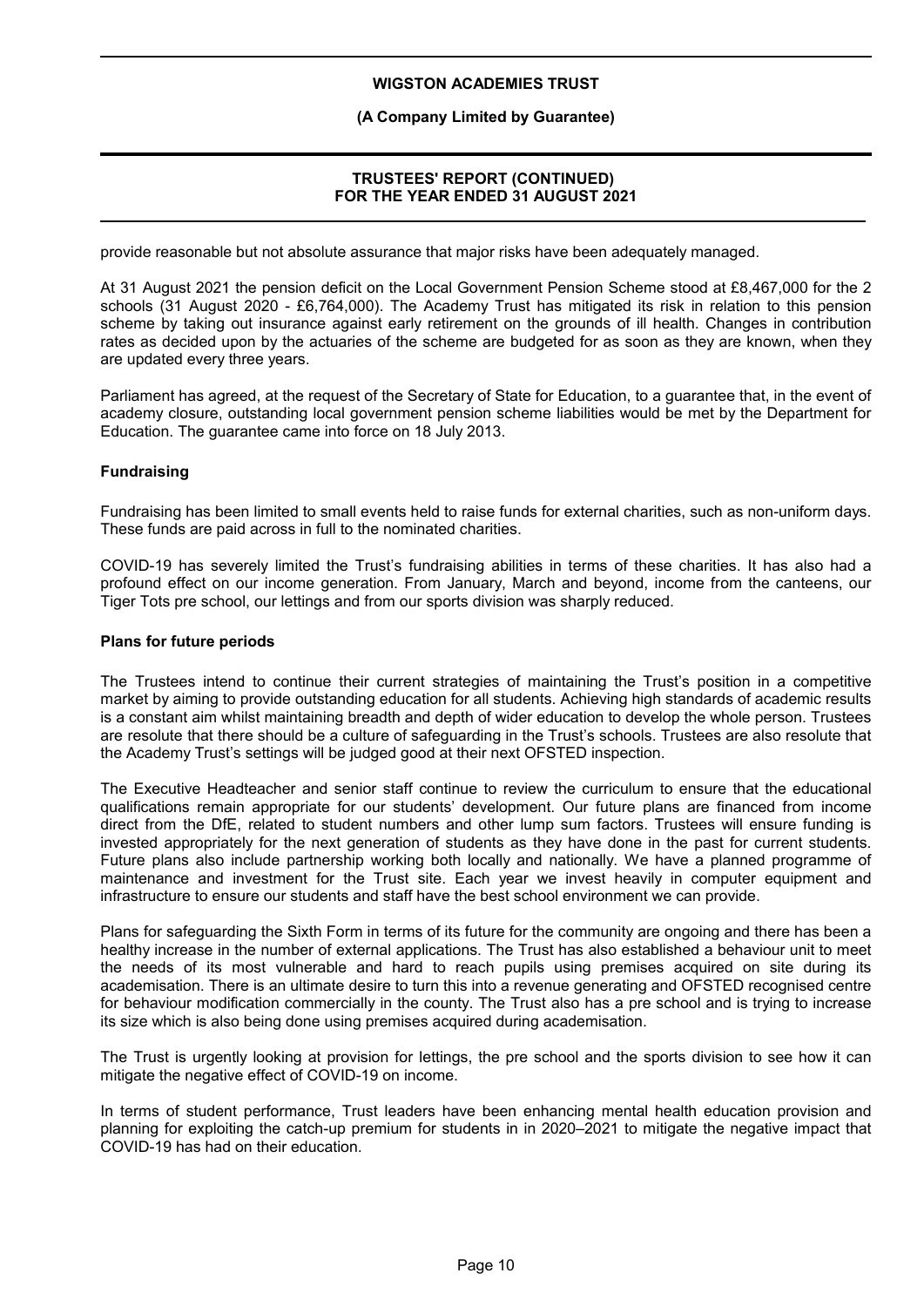### **(A Company Limited by Guarantee)**

### **TRUSTEES' REPORT (CONTINUED) FOR THE YEAR ENDED 31 AUGUST 2021**

provide reasonable but not absolute assurance that major risks have been adequately managed.

At 31 August 2021 the pension deficit on the Local Government Pension Scheme stood at £8,467,000 for the 2 schools (31 August 2020 - £6,764,000). The Academy Trust has mitigated its risk in relation to this pension scheme by taking out insurance against early retirement on the grounds of ill health. Changes in contribution rates as decided upon by the actuaries of the scheme are budgeted for as soon as they are known, when they are updated every three years.

Parliament has agreed, at the request of the Secretary of State for Education, to a guarantee that, in the event of academy closure, outstanding local government pension scheme liabilities would be met by the Department for Education. The guarantee came into force on 18 July 2013.

### **Fundraising**

Fundraising has been limited to small events held to raise funds for external charities, such as non-uniform days. These funds are paid across in full to the nominated charities.

COVID-19 has severely limited the Trust's fundraising abilities in terms of these charities. It has also had a profound effect on our income generation. From January, March and beyond, income from the canteens, our Tiger Tots pre school, our lettings and from our sports division was sharply reduced.

#### **Plans for future periods**

The Trustees intend to continue their current strategies of maintaining the Trust's position in a competitive market by aiming to provide outstanding education for all students. Achieving high standards of academic results is a constant aim whilst maintaining breadth and depth of wider education to develop the whole person. Trustees are resolute that there should be a culture of safeguarding in the Trust's schools. Trustees are also resolute that the Academy Trust's settings will be judged good at their next OFSTED inspection.

The Executive Headteacher and senior staff continue to review the curriculum to ensure that the educational qualifications remain appropriate for our students' development. Our future plans are financed from income direct from the DfE, related to student numbers and other lump sum factors. Trustees will ensure funding is invested appropriately for the next generation of students as they have done in the past for current students. Future plans also include partnership working both locally and nationally. We have a planned programme of maintenance and investment for the Trust site. Each year we invest heavily in computer equipment and infrastructure to ensure our students and staff have the best school environment we can provide.

Plans for safeguarding the Sixth Form in terms of its future for the community are ongoing and there has been a healthy increase in the number of external applications. The Trust has also established a behaviour unit to meet the needs of its most vulnerable and hard to reach pupils using premises acquired on site during its academisation. There is an ultimate desire to turn this into a revenue generating and OFSTED recognised centre for behaviour modification commercially in the county. The Trust also has a pre school and is trying to increase its size which is also being done using premises acquired during academisation.

The Trust is urgently looking at provision for lettings, the pre school and the sports division to see how it can mitigate the negative effect of COVID-19 on income.

In terms of student performance, Trust leaders have been enhancing mental health education provision and planning for exploiting the catch-up premium for students in in 2020–2021 to mitigate the negative impact that COVID-19 has had on their education.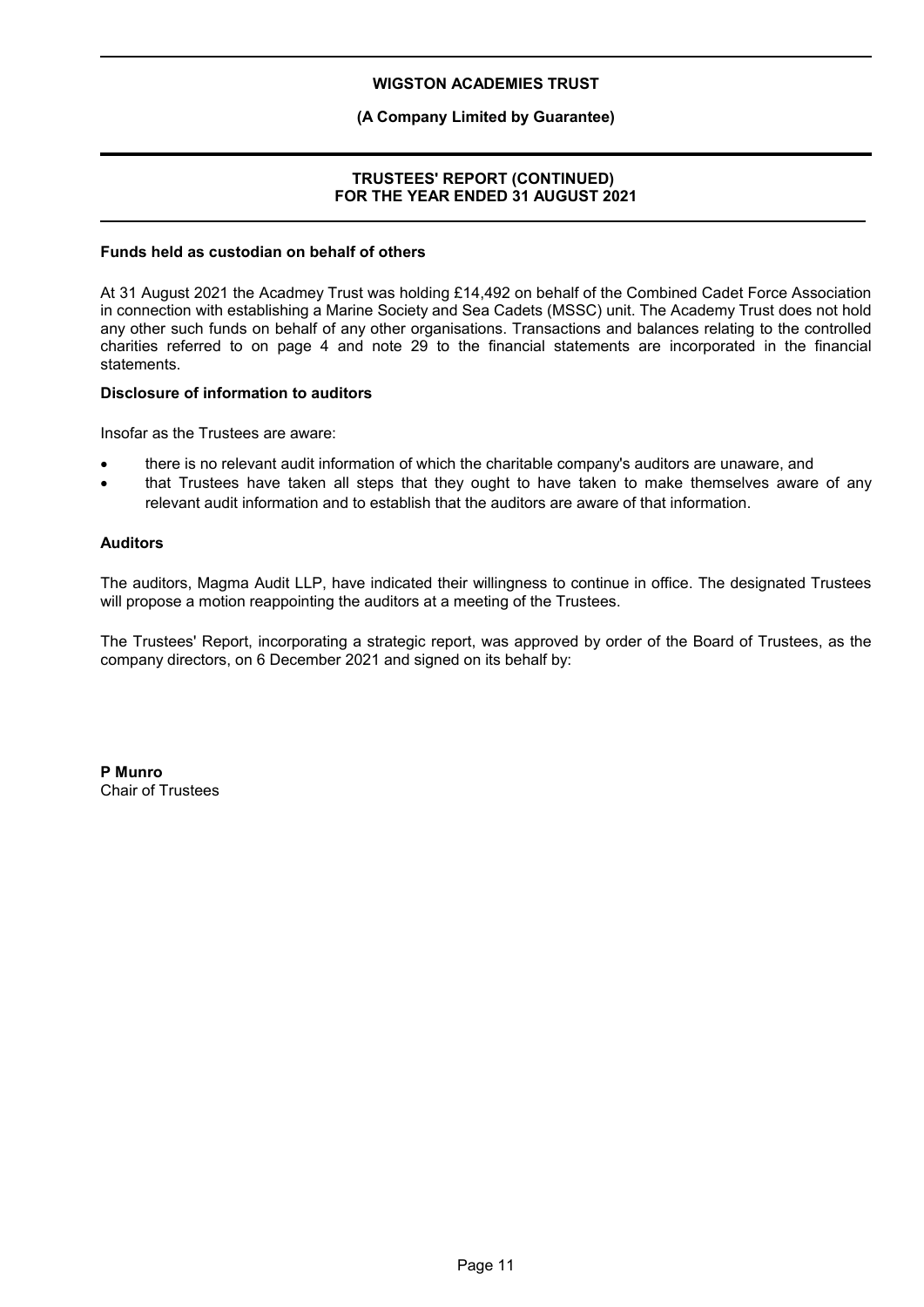### **(A Company Limited by Guarantee)**

### **TRUSTEES' REPORT (CONTINUED) FOR THE YEAR ENDED 31 AUGUST 2021**

#### **Funds held as custodian on behalf of others**

At 31 August 2021 the Acadmey Trust was holding £14,492 on behalf of the Combined Cadet Force Association in connection with establishing a Marine Society and Sea Cadets (MSSC) unit. The Academy Trust does not hold any other such funds on behalf of any other organisations. Transactions and balances relating to the controlled charities referred to on page 4 and note 29 to the financial statements are incorporated in the financial statements.

### **Disclosure of information to auditors**

Insofar as the Trustees are aware:

- there is no relevant audit information of which the charitable company's auditors are unaware, and
- that Trustees have taken all steps that they ought to have taken to make themselves aware of any relevant audit information and to establish that the auditors are aware of that information.

#### **Auditors**

The auditors, Magma Audit LLP, have indicated their willingness to continue in office. The designated Trustees will propose a motion reappointing the auditors at a meeting of the Trustees.

The Trustees' Report, incorporating a strategic report, was approved by order of the Board of Trustees, as the company directors, on 6 December 2021 and signed on its behalf by:

**P Munro** Chair of Trustees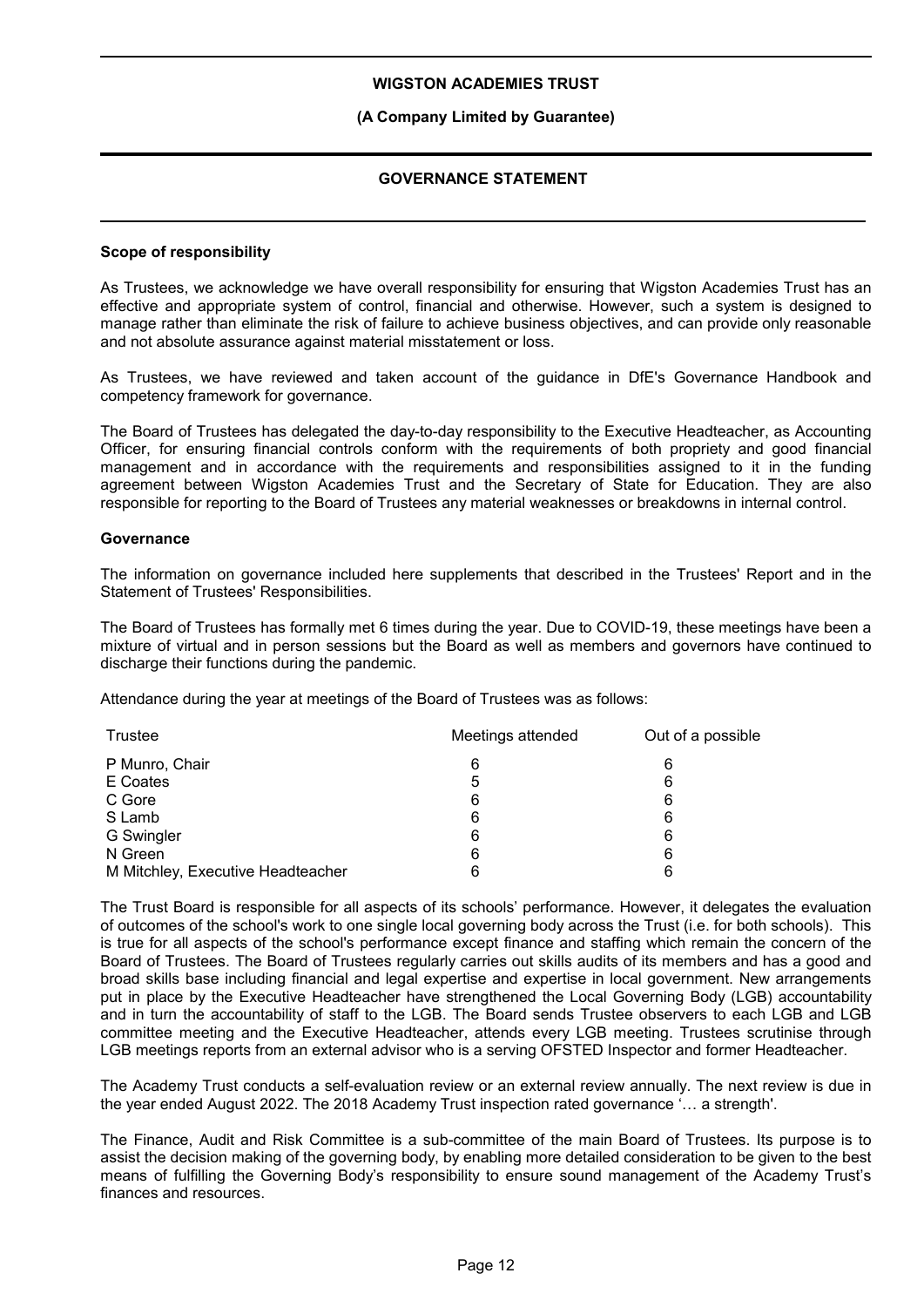#### **(A Company Limited by Guarantee)**

### **GOVERNANCE STATEMENT**

#### **Scope of responsibility**

As Trustees, we acknowledge we have overall responsibility for ensuring that Wigston Academies Trust has an effective and appropriate system of control, financial and otherwise. However, such a system is designed to manage rather than eliminate the risk of failure to achieve business objectives, and can provide only reasonable and not absolute assurance against material misstatement or loss.

As Trustees, we have reviewed and taken account of the guidance in DfE's Governance Handbook and competency framework for governance.

The Board of Trustees has delegated the day-to-day responsibility to the Executive Headteacher, as Accounting Officer, for ensuring financial controls conform with the requirements of both propriety and good financial management and in accordance with the requirements and responsibilities assigned to it in the funding agreement between Wigston Academies Trust and the Secretary of State for Education. They are also responsible for reporting to the Board of Trustees any material weaknesses or breakdowns in internal control.

#### **Governance**

The information on governance included here supplements that described in the Trustees' Report and in the Statement of Trustees' Responsibilities.

The Board of Trustees has formally met 6 times during the year. Due to COVID-19, these meetings have been a mixture of virtual and in person sessions but the Board as well as members and governors have continued to discharge their functions during the pandemic.

Attendance during the year at meetings of the Board of Trustees was as follows:

| Trustee                           | Meetings attended | Out of a possible |
|-----------------------------------|-------------------|-------------------|
| P Munro, Chair                    | 6                 | 6                 |
| E Coates                          | 5                 | 6                 |
| C Gore                            | 6                 | 6                 |
| S Lamb                            | 6                 | 6                 |
| G Swingler                        | 6                 | 6                 |
| N Green                           | 6                 | 6                 |
| M Mitchley, Executive Headteacher | 6                 | 6                 |

The Trust Board is responsible for all aspects of its schools' performance. However, it delegates the evaluation of outcomes of the school's work to one single local governing body across the Trust (i.e. for both schools). This is true for all aspects of the school's performance except finance and staffing which remain the concern of the Board of Trustees. The Board of Trustees regularly carries out skills audits of its members and has a good and broad skills base including financial and legal expertise and expertise in local government. New arrangements put in place by the Executive Headteacher have strengthened the Local Governing Body (LGB) accountability and in turn the accountability of staff to the LGB. The Board sends Trustee observers to each LGB and LGB committee meeting and the Executive Headteacher, attends every LGB meeting. Trustees scrutinise through LGB meetings reports from an external advisor who is a serving OFSTED Inspector and former Headteacher.

The Academy Trust conducts a self-evaluation review or an external review annually. The next review is due in the year ended August 2022. The 2018 Academy Trust inspection rated governance '… a strength'.

The Finance, Audit and Risk Committee is a sub-committee of the main Board of Trustees. Its purpose is to assist the decision making of the governing body, by enabling more detailed consideration to be given to the best means of fulfilling the Governing Body's responsibility to ensure sound management of the Academy Trust's finances and resources.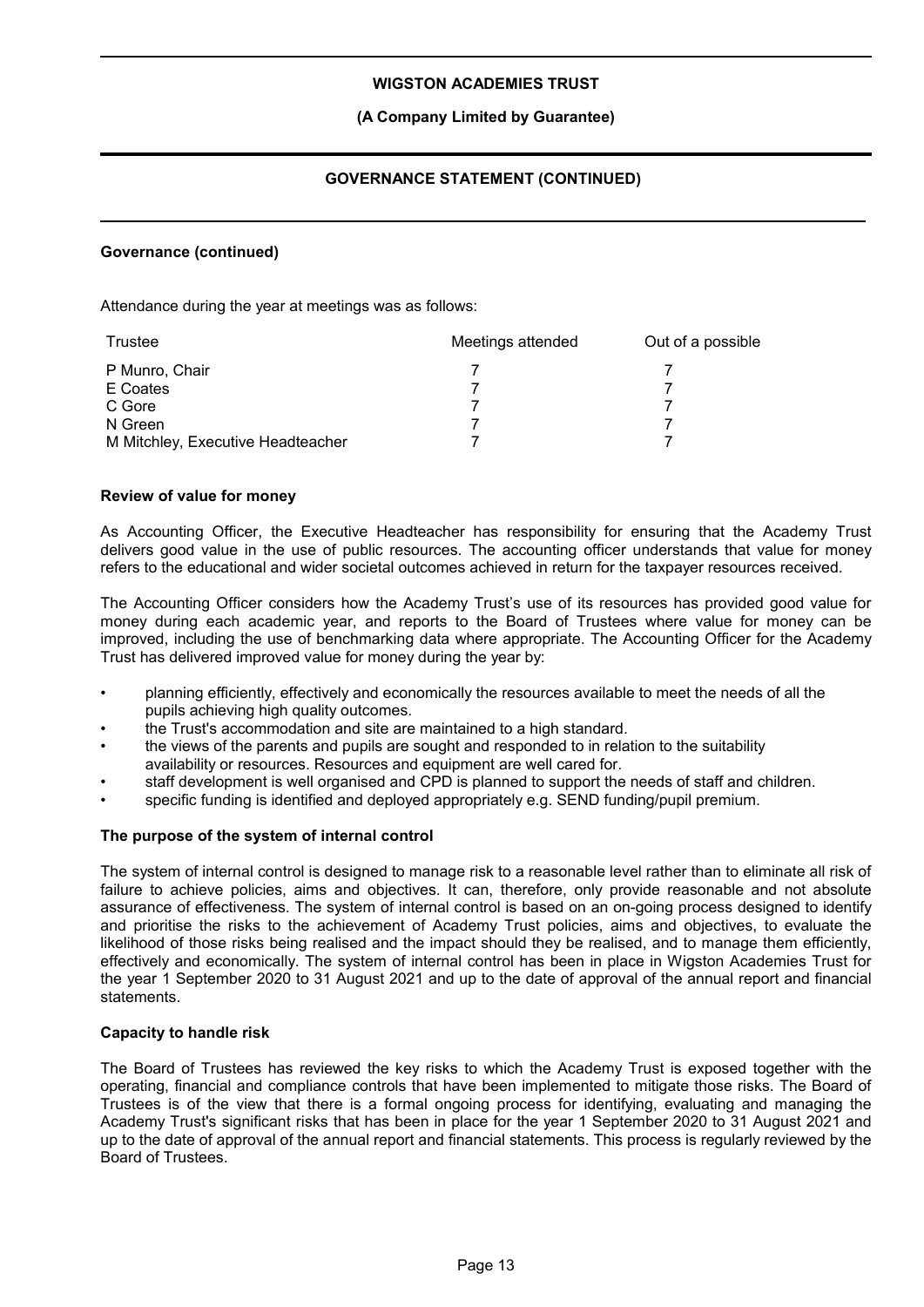### **(A Company Limited by Guarantee)**

### **GOVERNANCE STATEMENT (CONTINUED)**

#### **Governance (continued)**

Attendance during the year at meetings was as follows:

| Trustee                           | Meetings attended | Out of a possible |
|-----------------------------------|-------------------|-------------------|
| P Munro, Chair                    |                   |                   |
| E Coates                          |                   |                   |
| C Gore                            |                   |                   |
| N Green                           |                   |                   |
| M Mitchley, Executive Headteacher |                   |                   |

#### **Review of value for money**

As Accounting Officer, the Executive Headteacher has responsibility for ensuring that the Academy Trust delivers good value in the use of public resources. The accounting officer understands that value for money refers to the educational and wider societal outcomes achieved in return for the taxpayer resources received.

The Accounting Officer considers how the Academy Trust's use of its resources has provided good value for money during each academic year, and reports to the Board of Trustees where value for money can be improved, including the use of benchmarking data where appropriate. The Accounting Officer for the Academy Trust has delivered improved value for money during the year by:

- planning efficiently, effectively and economically the resources available to meet the needs of all the pupils achieving high quality outcomes.
- the Trust's accommodation and site are maintained to a high standard.
- the views of the parents and pupils are sought and responded to in relation to the suitability availability or resources. Resources and equipment are well cared for.
- staff development is well organised and CPD is planned to support the needs of staff and children.
- specific funding is identified and deployed appropriately e.g. SEND funding/pupil premium.

#### **The purpose of the system of internal control**

The system of internal control is designed to manage risk to a reasonable level rather than to eliminate all risk of failure to achieve policies, aims and objectives. It can, therefore, only provide reasonable and not absolute assurance of effectiveness. The system of internal control is based on an on-going process designed to identify and prioritise the risks to the achievement of Academy Trust policies, aims and objectives, to evaluate the likelihood of those risks being realised and the impact should they be realised, and to manage them efficiently, effectively and economically. The system of internal control has been in place in Wigston Academies Trust for the year 1 September 2020 to 31 August 2021 and up to the date of approval of the annual report and financial statements.

#### **Capacity to handle risk**

The Board of Trustees has reviewed the key risks to which the Academy Trust is exposed together with the operating, financial and compliance controls that have been implemented to mitigate those risks. The Board of Trustees is of the view that there is a formal ongoing process for identifying, evaluating and managing the Academy Trust's significant risks that has been in place for the year 1 September 2020 to 31 August 2021 and up to the date of approval of the annual report and financial statements. This process is regularly reviewed by the Board of Trustees.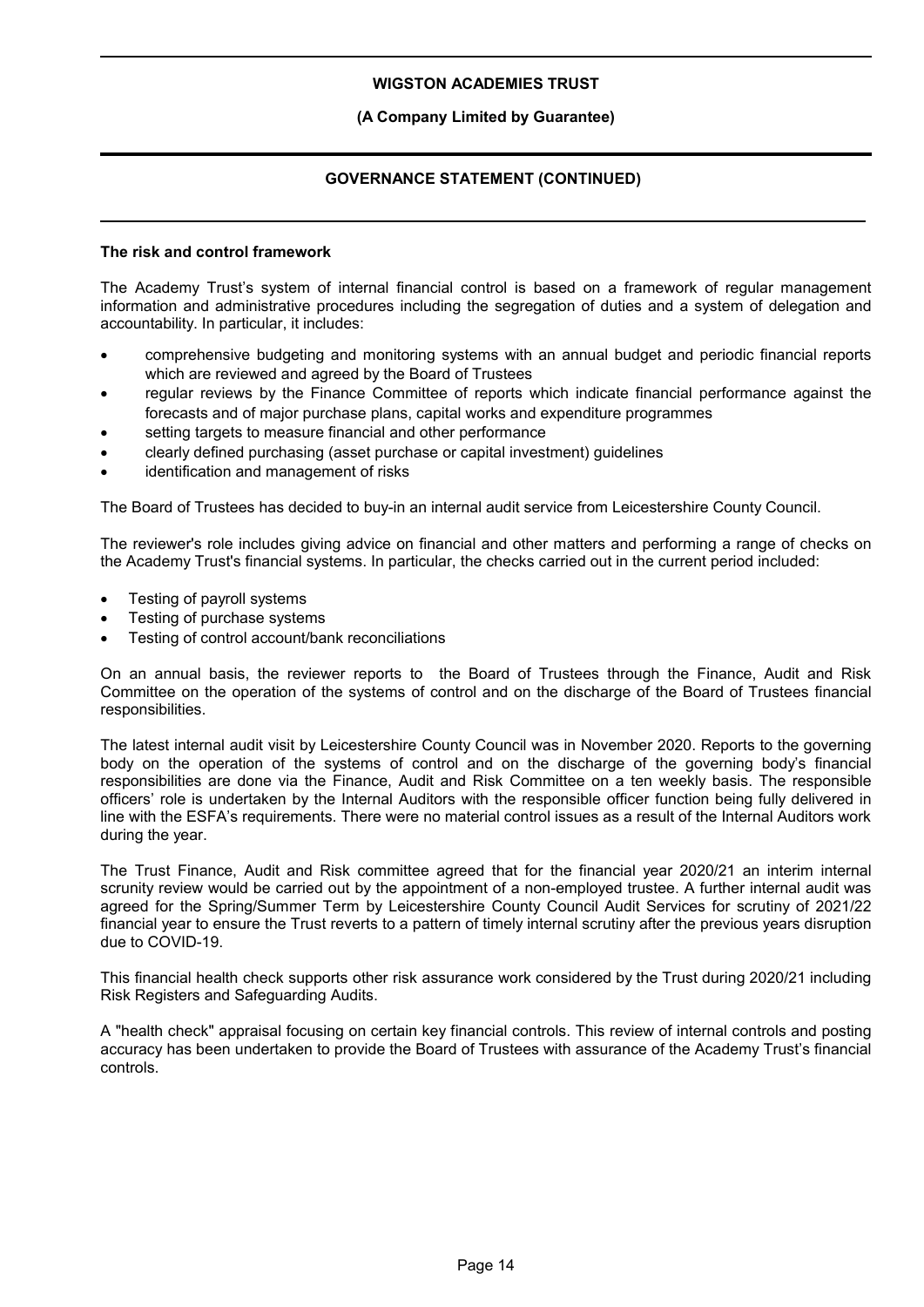### **(A Company Limited by Guarantee)**

### **GOVERNANCE STATEMENT (CONTINUED)**

#### **The risk and control framework**

The Academy Trust's system of internal financial control is based on a framework of regular management information and administrative procedures including the segregation of duties and a system of delegation and accountability. In particular, it includes:

- comprehensive budgeting and monitoring systems with an annual budget and periodic financial reports which are reviewed and agreed by the Board of Trustees
- regular reviews by the Finance Committee of reports which indicate financial performance against the forecasts and of major purchase plans, capital works and expenditure programmes
- setting targets to measure financial and other performance
- clearly defined purchasing (asset purchase or capital investment) guidelines
- identification and management of risks

The Board of Trustees has decided to buy-in an internal audit service from Leicestershire County Council.

The reviewer's role includes giving advice on financial and other matters and performing a range of checks on the Academy Trust's financial systems. In particular, the checks carried out in the current period included:

- Testing of payroll systems
- Testing of purchase systems
- Testing of control account/bank reconciliations

On an annual basis, the reviewer reports to the Board of Trustees through the Finance, Audit and Risk Committee on the operation of the systems of control and on the discharge of the Board of Trustees financial responsibilities.

The latest internal audit visit by Leicestershire County Council was in November 2020. Reports to the governing body on the operation of the systems of control and on the discharge of the governing body's financial responsibilities are done via the Finance, Audit and Risk Committee on a ten weekly basis. The responsible officers' role is undertaken by the Internal Auditors with the responsible officer function being fully delivered in line with the ESFA's requirements. There were no material control issues as a result of the Internal Auditors work during the year.

The Trust Finance, Audit and Risk committee agreed that for the financial year 2020/21 an interim internal scrunity review would be carried out by the appointment of a non-employed trustee. A further internal audit was agreed for the Spring/Summer Term by Leicestershire County Council Audit Services for scrutiny of 2021/22 financial year to ensure the Trust reverts to a pattern of timely internal scrutiny after the previous years disruption due to COVID-19.

This financial health check supports other risk assurance work considered by the Trust during 2020/21 including Risk Registers and Safeguarding Audits.

A "health check" appraisal focusing on certain key financial controls. This review of internal controls and posting accuracy has been undertaken to provide the Board of Trustees with assurance of the Academy Trust's financial controls.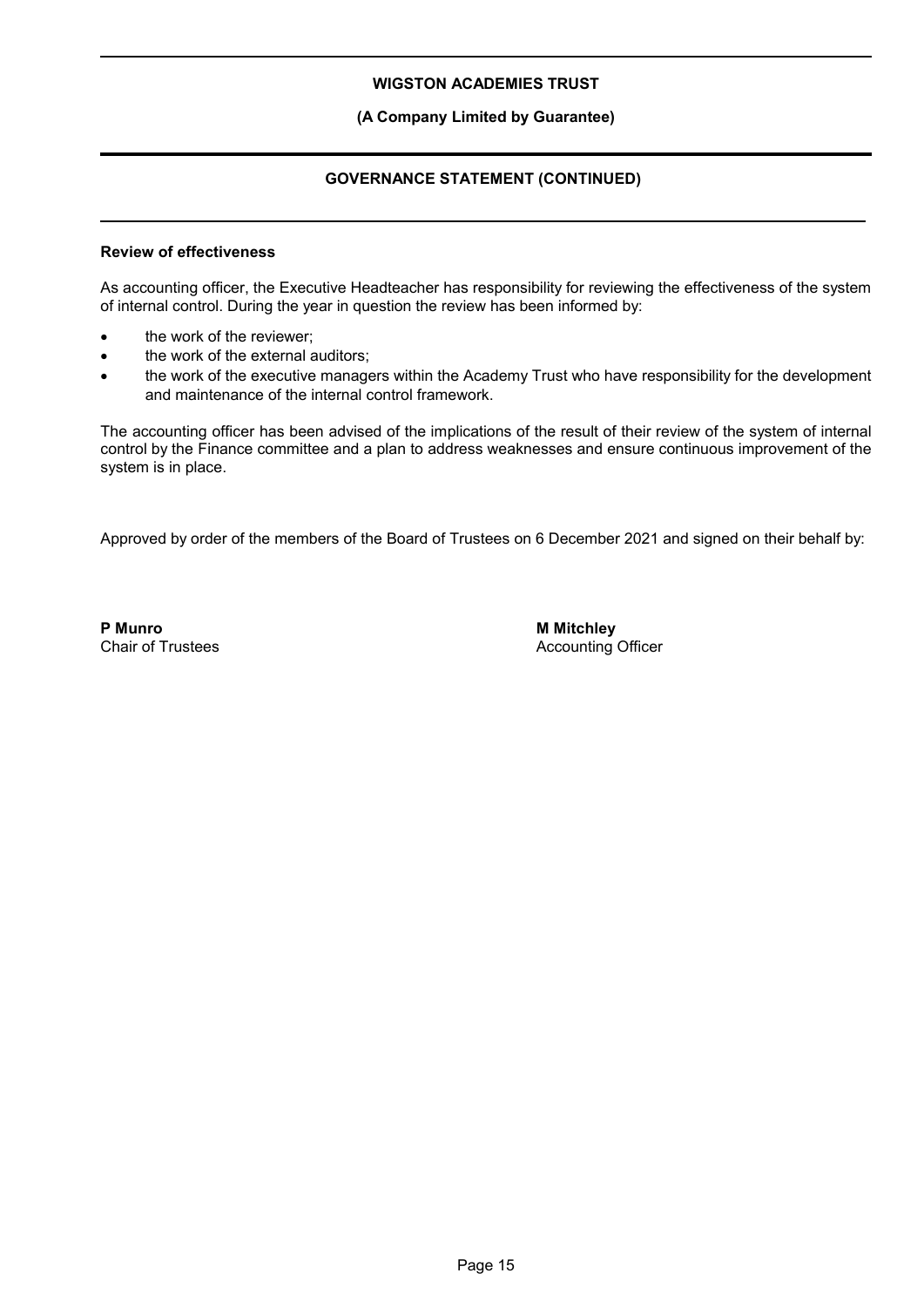### **(A Company Limited by Guarantee)**

### **GOVERNANCE STATEMENT (CONTINUED)**

### **Review of effectiveness**

As accounting officer, the Executive Headteacher has responsibility for reviewing the effectiveness of the system of internal control. During the year in question the review has been informed by:

- the work of the reviewer;
- the work of the external auditors;
- the work of the executive managers within the Academy Trust who have responsibility for the development and maintenance of the internal control framework.

The accounting officer has been advised of the implications of the result of their review of the system of internal control by the Finance committee and a plan to address weaknesses and ensure continuous improvement of the system is in place.

Approved by order of the members of the Board of Trustees on 6 December 2021 and signed on their behalf by:

**P Munro** Chair of Trustees **M Mitchley** Accounting Officer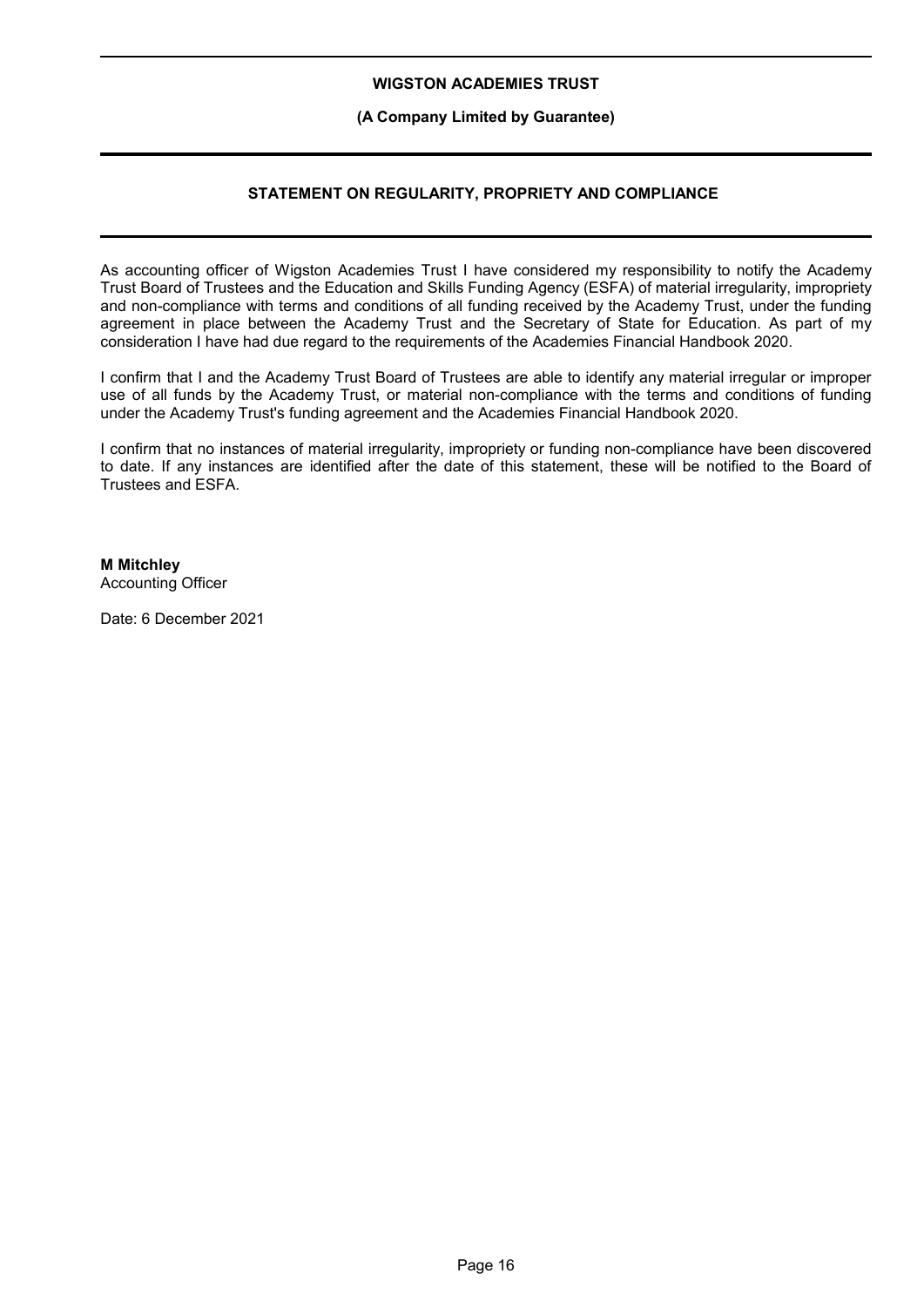#### **(A Company Limited by Guarantee)**

### **STATEMENT ON REGULARITY, PROPRIETY AND COMPLIANCE**

As accounting officer of Wigston Academies Trust I have considered my responsibility to notify the Academy Trust Board of Trustees and the Education and Skills Funding Agency (ESFA) of material irregularity, impropriety and non-compliance with terms and conditions of all funding received by the Academy Trust, under the funding agreement in place between the Academy Trust and the Secretary of State for Education. As part of my consideration I have had due regard to the requirements of the Academies Financial Handbook 2020.

I confirm that I and the Academy Trust Board of Trustees are able to identify any material irregular or improper use of all funds by the Academy Trust, or material non-compliance with the terms and conditions of funding under the Academy Trust's funding agreement and the Academies Financial Handbook 2020.

I confirm that no instances of material irregularity, impropriety or funding non-compliance have been discovered to date. If any instances are identified after the date of this statement, these will be notified to the Board of Trustees and ESFA.

### **M Mitchley**

Accounting Officer

Date: 6 December 2021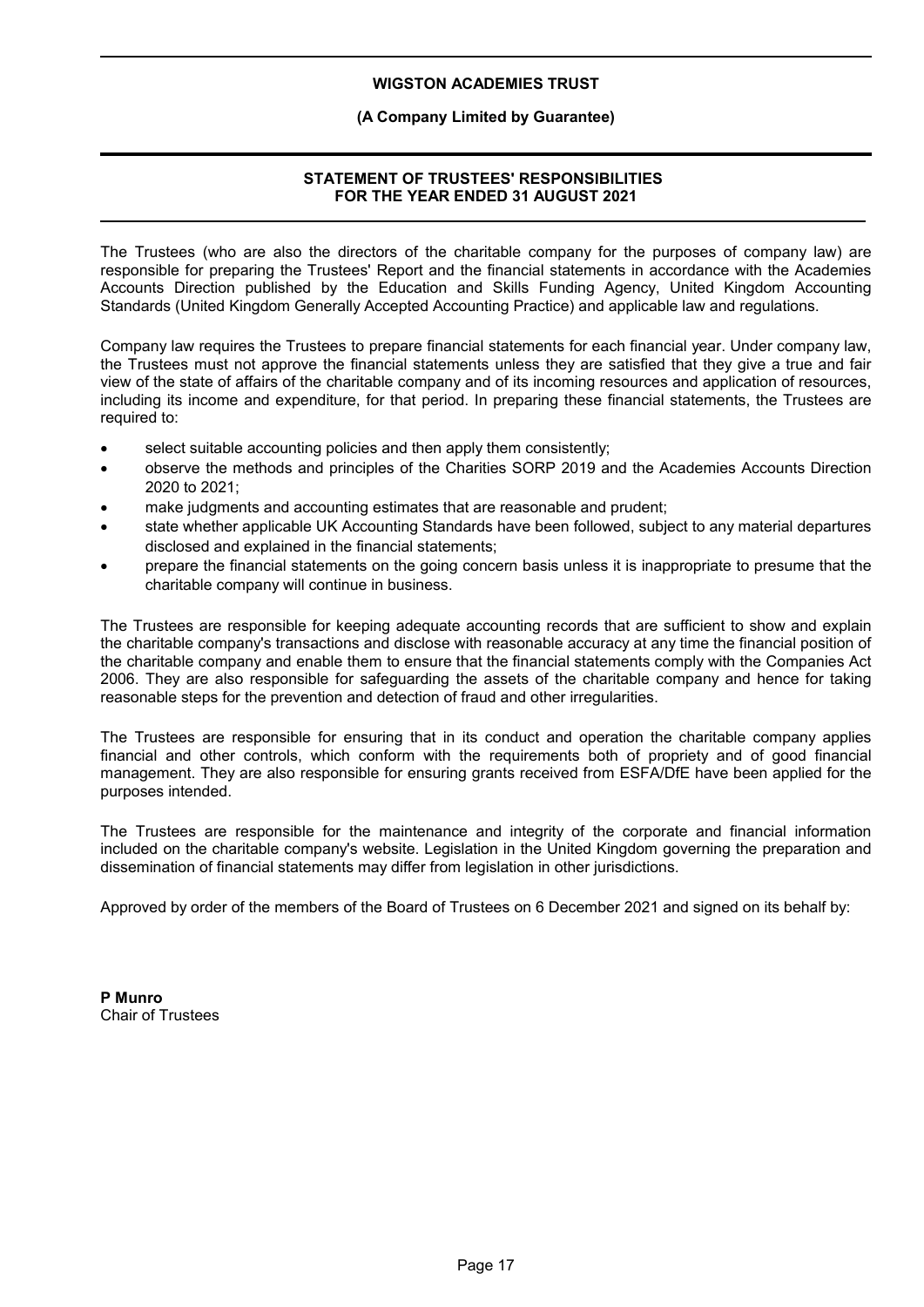### **(A Company Limited by Guarantee)**

### **STATEMENT OF TRUSTEES' RESPONSIBILITIES FOR THE YEAR ENDED 31 AUGUST 2021**

The Trustees (who are also the directors of the charitable company for the purposes of company law) are responsible for preparing the Trustees' Report and the financial statements in accordance with the Academies Accounts Direction published by the Education and Skills Funding Agency, United Kingdom Accounting Standards (United Kingdom Generally Accepted Accounting Practice) and applicable law and regulations.

Company law requires the Trustees to prepare financial statements for each financial year. Under company law, the Trustees must not approve the financial statements unless they are satisfied that they give a true and fair view of the state of affairs of the charitable company and of its incoming resources and application of resources, including its income and expenditure, for that period. In preparing these financial statements, the Trustees are required to:

- select suitable accounting policies and then apply them consistently;
- observe the methods and principles of the Charities SORP 2019 and the Academies Accounts Direction 2020 to 2021;
- make judgments and accounting estimates that are reasonable and prudent;
- state whether applicable UK Accounting Standards have been followed, subject to any material departures disclosed and explained in the financial statements;
- prepare the financial statements on the going concern basis unless it is inappropriate to presume that the charitable company will continue in business.

The Trustees are responsible for keeping adequate accounting records that are sufficient to show and explain the charitable company's transactions and disclose with reasonable accuracy at any time the financial position of the charitable company and enable them to ensure that the financial statements comply with the Companies Act 2006. They are also responsible for safeguarding the assets of the charitable company and hence for taking reasonable steps for the prevention and detection of fraud and other irregularities.

The Trustees are responsible for ensuring that in its conduct and operation the charitable company applies financial and other controls, which conform with the requirements both of propriety and of good financial management. They are also responsible for ensuring grants received from ESFA/DfE have been applied for the purposes intended.

The Trustees are responsible for the maintenance and integrity of the corporate and financial information included on the charitable company's website. Legislation in the United Kingdom governing the preparation and dissemination of financial statements may differ from legislation in other jurisdictions.

Approved by order of the members of the Board of Trustees on 6 December 2021 and signed on its behalf by:

**P Munro** Chair of Trustees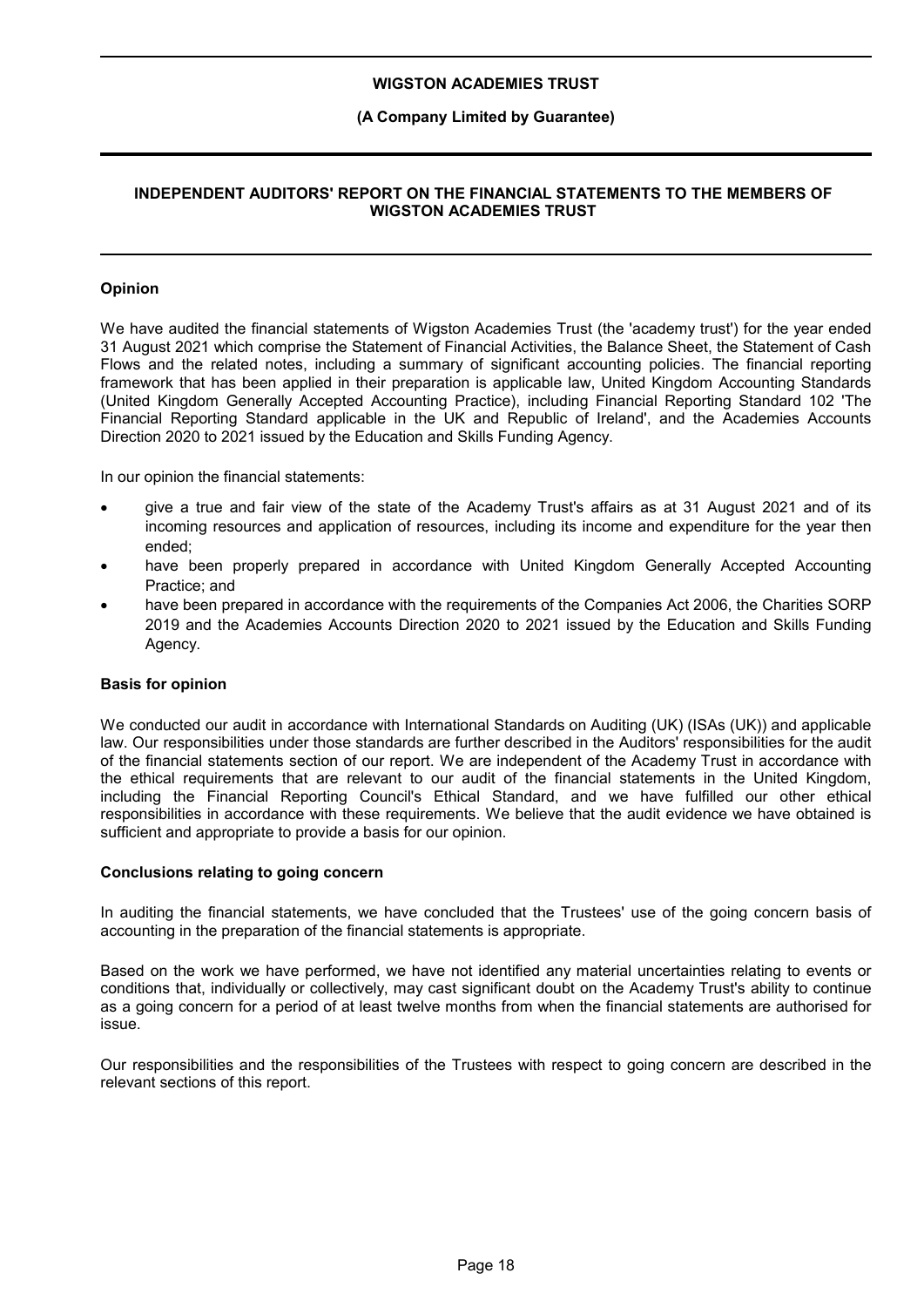### **(A Company Limited by Guarantee)**

### **INDEPENDENT AUDITORS' REPORT ON THE FINANCIAL STATEMENTS TO THE MEMBERS OF WIGSTON ACADEMIES TRUST**

### **Opinion**

We have audited the financial statements of Wigston Academies Trust (the 'academy trust') for the year ended 31 August 2021 which comprise the Statement of Financial Activities, the Balance Sheet, the Statement of Cash Flows and the related notes, including a summary of significant accounting policies. The financial reporting framework that has been applied in their preparation is applicable law, United Kingdom Accounting Standards (United Kingdom Generally Accepted Accounting Practice), including Financial Reporting Standard 102 'The Financial Reporting Standard applicable in the UK and Republic of Ireland', and the Academies Accounts Direction 2020 to 2021 issued by the Education and Skills Funding Agency.

In our opinion the financial statements:

- give a true and fair view of the state of the Academy Trust's affairs as at 31 August 2021 and of its incoming resources and application of resources, including its income and expenditure for the year then ended;
- have been properly prepared in accordance with United Kingdom Generally Accepted Accounting Practice; and
- have been prepared in accordance with the requirements of the Companies Act 2006, the Charities SORP 2019 and the Academies Accounts Direction 2020 to 2021 issued by the Education and Skills Funding Agency.

#### **Basis for opinion**

We conducted our audit in accordance with International Standards on Auditing (UK) (ISAs (UK)) and applicable law. Our responsibilities under those standards are further described in the Auditors' responsibilities for the audit of the financial statements section of our report. We are independent of the Academy Trust in accordance with the ethical requirements that are relevant to our audit of the financial statements in the United Kingdom, including the Financial Reporting Council's Ethical Standard, and we have fulfilled our other ethical responsibilities in accordance with these requirements. We believe that the audit evidence we have obtained is sufficient and appropriate to provide a basis for our opinion.

#### **Conclusions relating to going concern**

In auditing the financial statements, we have concluded that the Trustees' use of the going concern basis of accounting in the preparation of the financial statements is appropriate.

Based on the work we have performed, we have not identified any material uncertainties relating to events or conditions that, individually or collectively, may cast significant doubt on the Academy Trust's ability to continue as a going concern for a period of at least twelve months from when the financial statements are authorised for issue.

Our responsibilities and the responsibilities of the Trustees with respect to going concern are described in the relevant sections of this report.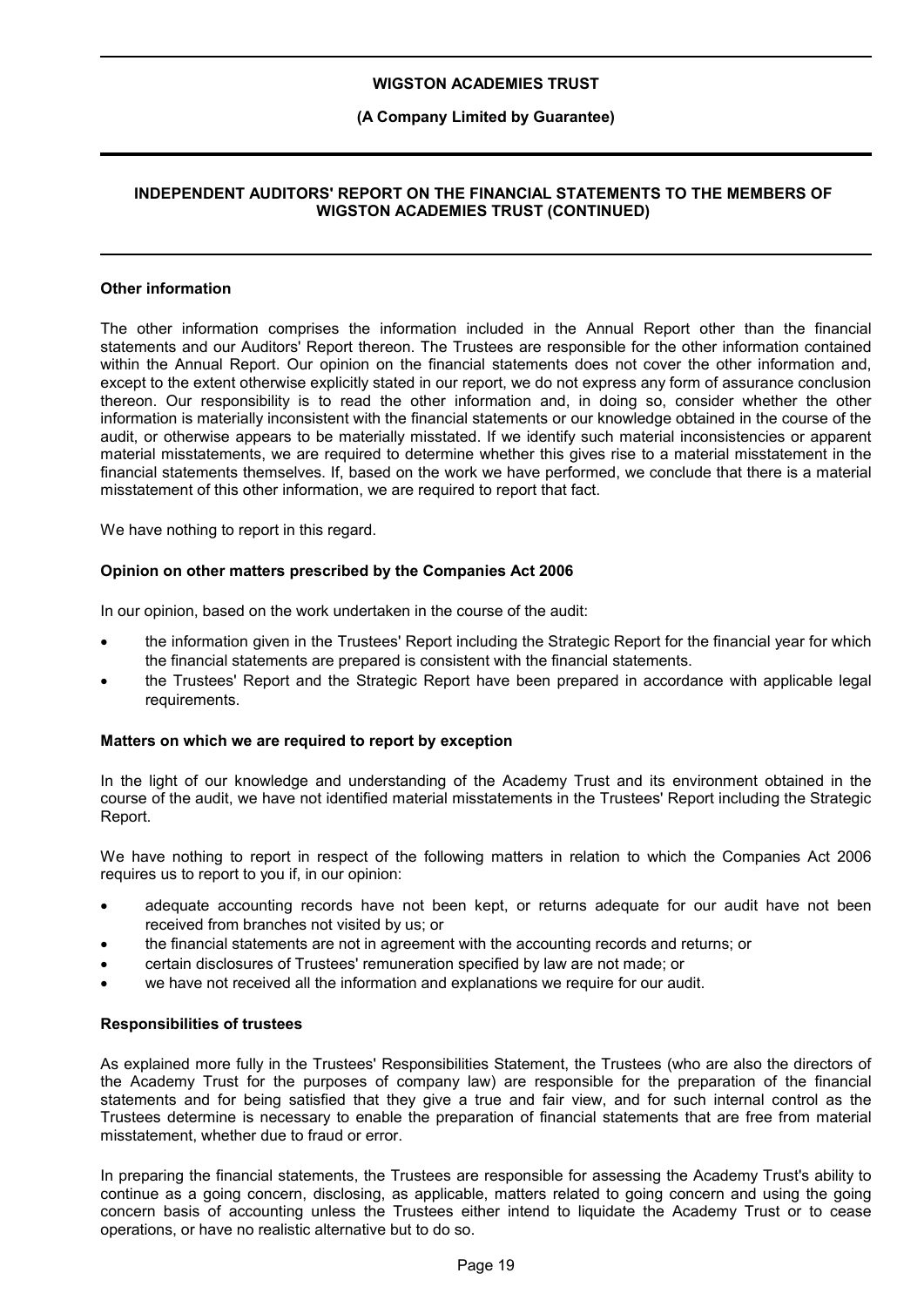### **(A Company Limited by Guarantee)**

### **INDEPENDENT AUDITORS' REPORT ON THE FINANCIAL STATEMENTS TO THE MEMBERS OF WIGSTON ACADEMIES TRUST (CONTINUED)**

### **Other information**

The other information comprises the information included in the Annual Report other than the financial statements and our Auditors' Report thereon. The Trustees are responsible for the other information contained within the Annual Report. Our opinion on the financial statements does not cover the other information and, except to the extent otherwise explicitly stated in our report, we do not express any form of assurance conclusion thereon. Our responsibility is to read the other information and, in doing so, consider whether the other information is materially inconsistent with the financial statements or our knowledge obtained in the course of the audit, or otherwise appears to be materially misstated. If we identify such material inconsistencies or apparent material misstatements, we are required to determine whether this gives rise to a material misstatement in the financial statements themselves. If, based on the work we have performed, we conclude that there is a material misstatement of this other information, we are required to report that fact.

We have nothing to report in this regard.

#### **Opinion on other matters prescribed by the Companies Act 2006**

In our opinion, based on the work undertaken in the course of the audit:

- the information given in the Trustees' Report including the Strategic Report for the financial year for which the financial statements are prepared is consistent with the financial statements.
- the Trustees' Report and the Strategic Report have been prepared in accordance with applicable legal requirements.

#### **Matters on which we are required to report by exception**

In the light of our knowledge and understanding of the Academy Trust and its environment obtained in the course of the audit, we have not identified material misstatements in the Trustees' Report including the Strategic Report.

We have nothing to report in respect of the following matters in relation to which the Companies Act 2006 requires us to report to you if, in our opinion:

- adequate accounting records have not been kept, or returns adequate for our audit have not been received from branches not visited by us; or
- the financial statements are not in agreement with the accounting records and returns; or
- certain disclosures of Trustees' remuneration specified by law are not made; or
- we have not received all the information and explanations we require for our audit.

#### **Responsibilities of trustees**

As explained more fully in the Trustees' Responsibilities Statement, the Trustees (who are also the directors of the Academy Trust for the purposes of company law) are responsible for the preparation of the financial statements and for being satisfied that they give a true and fair view, and for such internal control as the Trustees determine is necessary to enable the preparation of financial statements that are free from material misstatement, whether due to fraud or error.

In preparing the financial statements, the Trustees are responsible for assessing the Academy Trust's ability to continue as a going concern, disclosing, as applicable, matters related to going concern and using the going concern basis of accounting unless the Trustees either intend to liquidate the Academy Trust or to cease operations, or have no realistic alternative but to do so.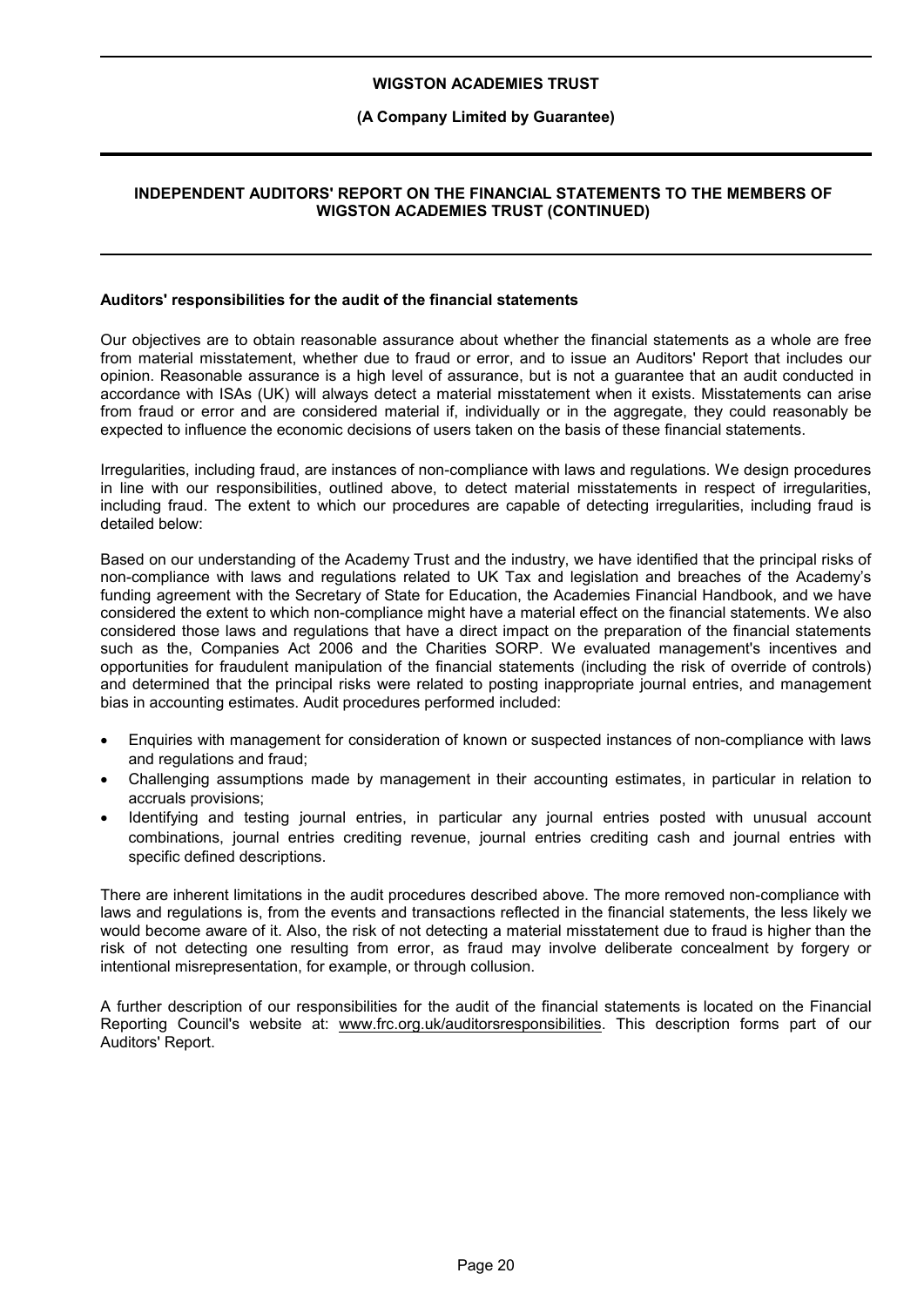#### **(A Company Limited by Guarantee)**

### **INDEPENDENT AUDITORS' REPORT ON THE FINANCIAL STATEMENTS TO THE MEMBERS OF WIGSTON ACADEMIES TRUST (CONTINUED)**

#### **Auditors' responsibilities for the audit of the financial statements**

Our objectives are to obtain reasonable assurance about whether the financial statements as a whole are free from material misstatement, whether due to fraud or error, and to issue an Auditors' Report that includes our opinion. Reasonable assurance is a high level of assurance, but is not a guarantee that an audit conducted in accordance with ISAs (UK) will always detect a material misstatement when it exists. Misstatements can arise from fraud or error and are considered material if, individually or in the aggregate, they could reasonably be expected to influence the economic decisions of users taken on the basis of these financial statements.

Irregularities, including fraud, are instances of non-compliance with laws and regulations. We design procedures in line with our responsibilities, outlined above, to detect material misstatements in respect of irregularities, including fraud. The extent to which our procedures are capable of detecting irregularities, including fraud is detailed below:

Based on our understanding of the Academy Trust and the industry, we have identified that the principal risks of non-compliance with laws and regulations related to UK Tax and legislation and breaches of the Academy's funding agreement with the Secretary of State for Education, the Academies Financial Handbook, and we have considered the extent to which non-compliance might have a material effect on the financial statements. We also considered those laws and regulations that have a direct impact on the preparation of the financial statements such as the, Companies Act 2006 and the Charities SORP. We evaluated management's incentives and opportunities for fraudulent manipulation of the financial statements (including the risk of override of controls) and determined that the principal risks were related to posting inappropriate journal entries, and management bias in accounting estimates. Audit procedures performed included:

- Enquiries with management for consideration of known or suspected instances of non-compliance with laws and regulations and fraud;
- Challenging assumptions made by management in their accounting estimates, in particular in relation to accruals provisions;
- Identifying and testing journal entries, in particular any journal entries posted with unusual account combinations, journal entries crediting revenue, journal entries crediting cash and journal entries with specific defined descriptions.

There are inherent limitations in the audit procedures described above. The more removed non-compliance with laws and regulations is, from the events and transactions reflected in the financial statements, the less likely we would become aware of it. Also, the risk of not detecting a material misstatement due to fraud is higher than the risk of not detecting one resulting from error, as fraud may involve deliberate concealment by forgery or intentional misrepresentation, for example, or through collusion.

A further description of our responsibilities for the audit of the financial statements is located on the Financial Reporting Council's website at: www.frc.org.uk/auditorsresponsibilities. This description forms part of our Auditors' Report.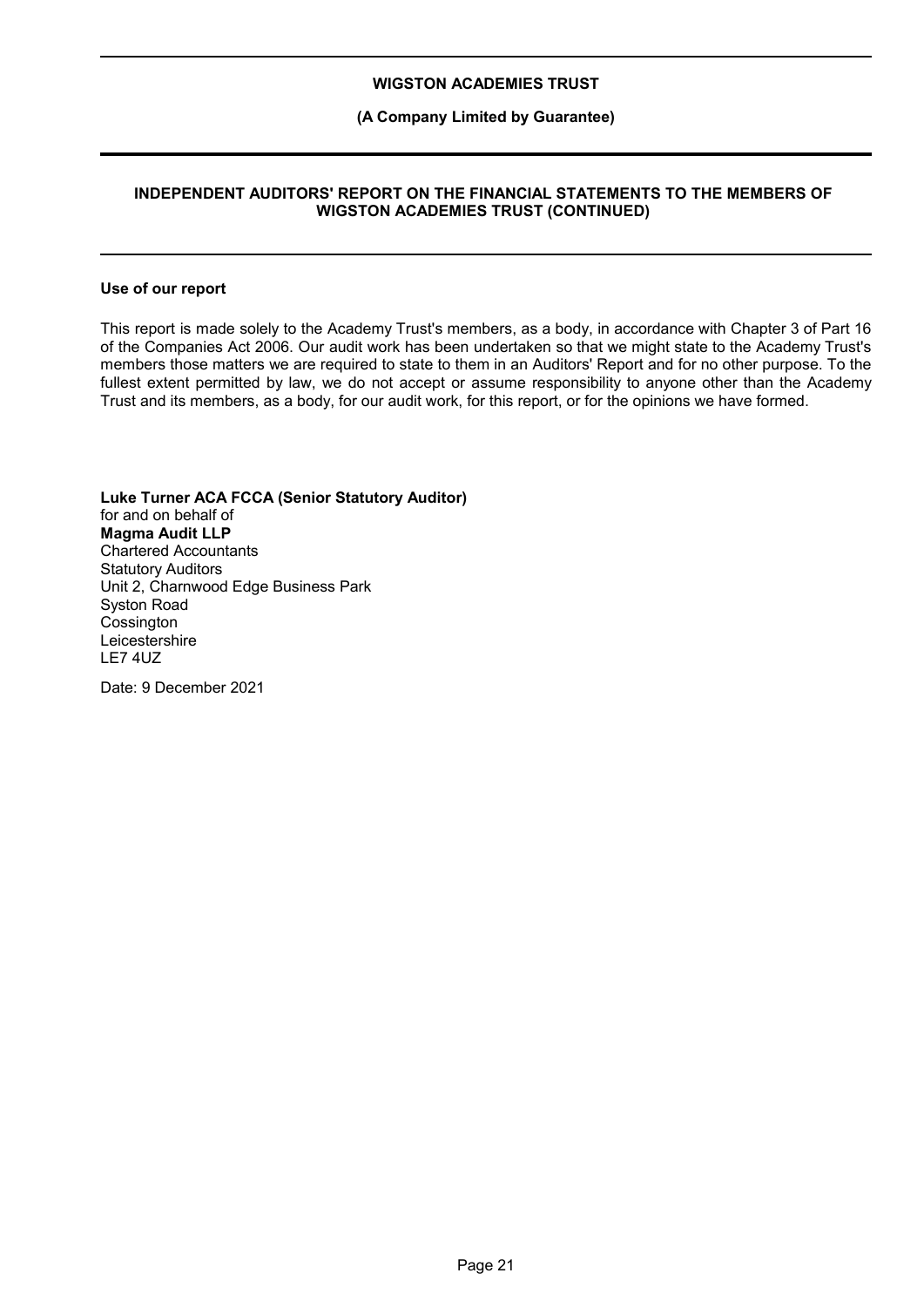### **(A Company Limited by Guarantee)**

### **INDEPENDENT AUDITORS' REPORT ON THE FINANCIAL STATEMENTS TO THE MEMBERS OF WIGSTON ACADEMIES TRUST (CONTINUED)**

#### **Use of our report**

This report is made solely to the Academy Trust's members, as a body, in accordance with Chapter 3 of Part 16 of the Companies Act 2006. Our audit work has been undertaken so that we might state to the Academy Trust's members those matters we are required to state to them in an Auditors' Report and for no other purpose. To the fullest extent permitted by law, we do not accept or assume responsibility to anyone other than the Academy Trust and its members, as a body, for our audit work, for this report, or for the opinions we have formed.

**Luke Turner ACA FCCA (Senior Statutory Auditor)** for and on behalf of **Magma Audit LLP** Chartered Accountants Statutory Auditors Unit 2, Charnwood Edge Business Park Syston Road **Cossington** Leicestershire LE7 4UZ

Date: 9 December 2021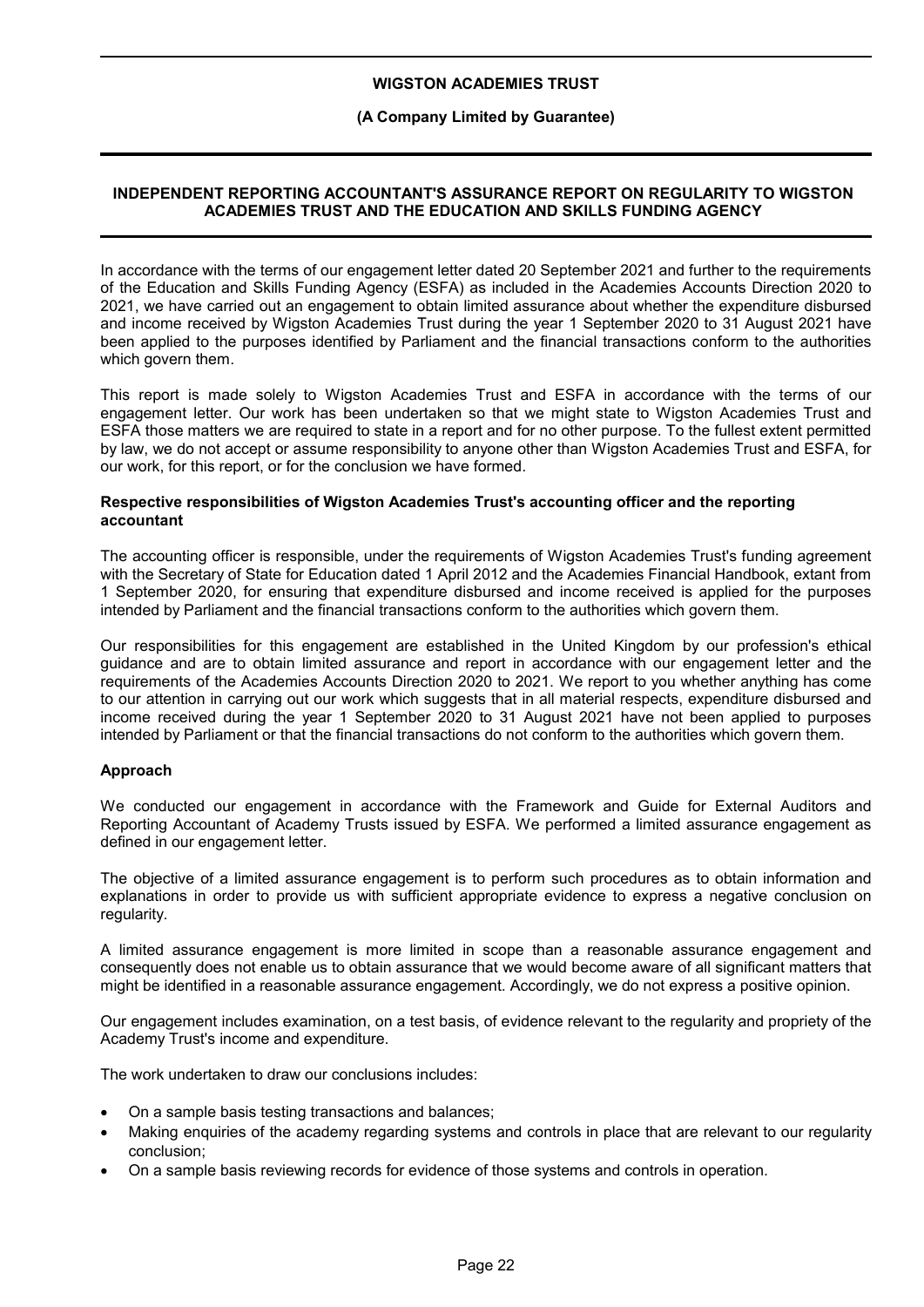### **(A Company Limited by Guarantee)**

### **INDEPENDENT REPORTING ACCOUNTANT'S ASSURANCE REPORT ON REGULARITY TO WIGSTON ACADEMIES TRUST AND THE EDUCATION AND SKILLS FUNDING AGENCY**

In accordance with the terms of our engagement letter dated 20 September 2021 and further to the requirements of the Education and Skills Funding Agency (ESFA) as included in the Academies Accounts Direction 2020 to 2021, we have carried out an engagement to obtain limited assurance about whether the expenditure disbursed and income received by Wigston Academies Trust during the year 1 September 2020 to 31 August 2021 have been applied to the purposes identified by Parliament and the financial transactions conform to the authorities which govern them.

This report is made solely to Wigston Academies Trust and ESFA in accordance with the terms of our engagement letter. Our work has been undertaken so that we might state to Wigston Academies Trust and ESFA those matters we are required to state in a report and for no other purpose. To the fullest extent permitted by law, we do not accept or assume responsibility to anyone other than Wigston Academies Trust and ESFA, for our work, for this report, or for the conclusion we have formed.

#### **Respective responsibilities of Wigston Academies Trust's accounting officer and the reporting accountant**

The accounting officer is responsible, under the requirements of Wigston Academies Trust's funding agreement with the Secretary of State for Education dated 1 April 2012 and the Academies Financial Handbook, extant from 1 September 2020, for ensuring that expenditure disbursed and income received is applied for the purposes intended by Parliament and the financial transactions conform to the authorities which govern them.

Our responsibilities for this engagement are established in the United Kingdom by our profession's ethical guidance and are to obtain limited assurance and report in accordance with our engagement letter and the requirements of the Academies Accounts Direction 2020 to 2021. We report to you whether anything has come to our attention in carrying out our work which suggests that in all material respects, expenditure disbursed and income received during the year 1 September 2020 to 31 August 2021 have not been applied to purposes intended by Parliament or that the financial transactions do not conform to the authorities which govern them.

#### **Approach**

We conducted our engagement in accordance with the Framework and Guide for External Auditors and Reporting Accountant of Academy Trusts issued by ESFA. We performed a limited assurance engagement as defined in our engagement letter.

The objective of a limited assurance engagement is to perform such procedures as to obtain information and explanations in order to provide us with sufficient appropriate evidence to express a negative conclusion on regularity.

A limited assurance engagement is more limited in scope than a reasonable assurance engagement and consequently does not enable us to obtain assurance that we would become aware of all significant matters that might be identified in a reasonable assurance engagement. Accordingly, we do not express a positive opinion.

Our engagement includes examination, on a test basis, of evidence relevant to the regularity and propriety of the Academy Trust's income and expenditure.

The work undertaken to draw our conclusions includes:

- On a sample basis testing transactions and balances;
- Making enquiries of the academy regarding systems and controls in place that are relevant to our regularity conclusion;
- On a sample basis reviewing records for evidence of those systems and controls in operation.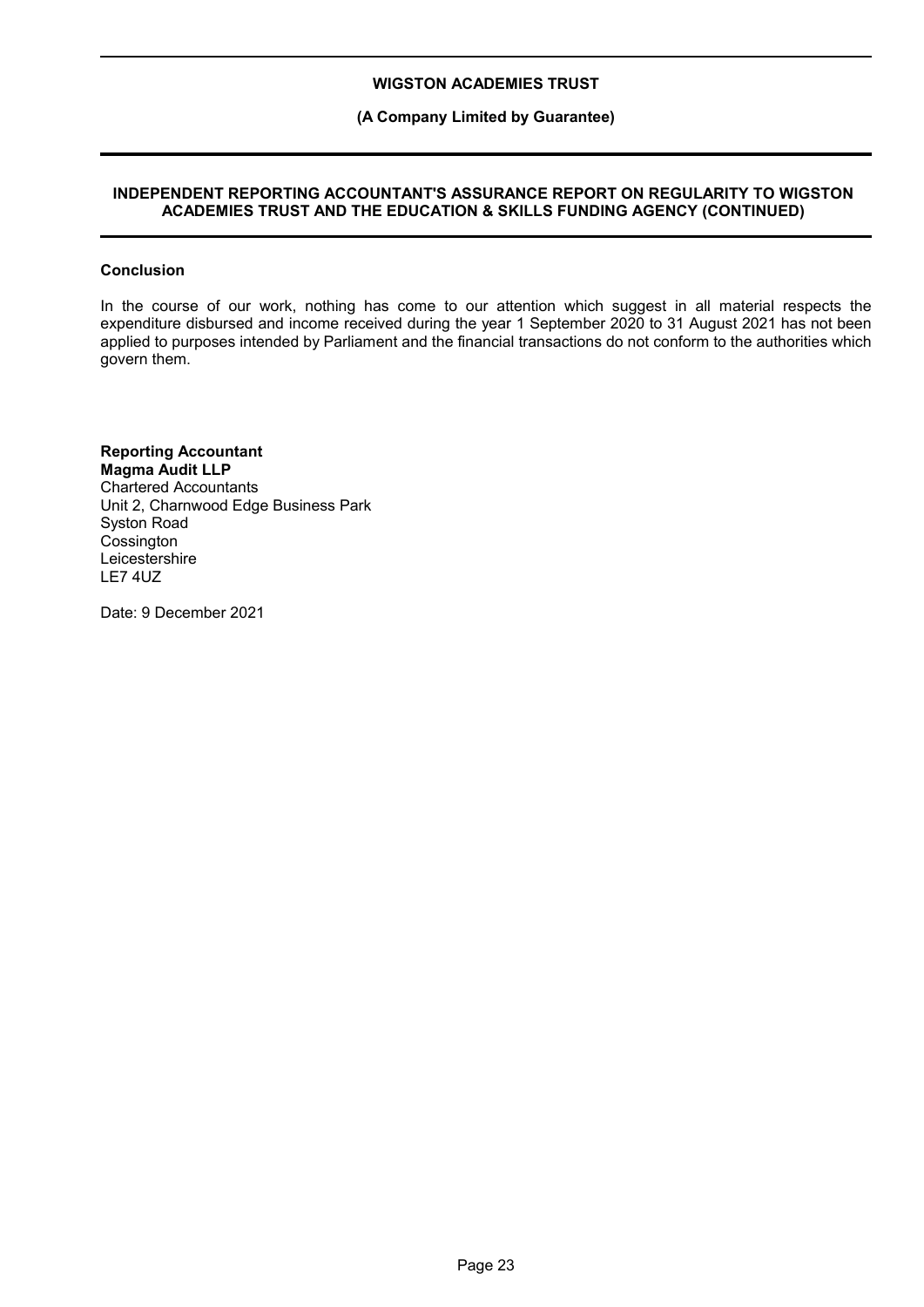### **(A Company Limited by Guarantee)**

### **INDEPENDENT REPORTING ACCOUNTANT'S ASSURANCE REPORT ON REGULARITY TO WIGSTON ACADEMIES TRUST AND THE EDUCATION & SKILLS FUNDING AGENCY (CONTINUED)**

#### **Conclusion**

In the course of our work, nothing has come to our attention which suggest in all material respects the expenditure disbursed and income received during the year 1 September 2020 to 31 August 2021 has not been applied to purposes intended by Parliament and the financial transactions do not conform to the authorities which govern them.

#### **Reporting Accountant Magma Audit LLP** Chartered Accountants

Unit 2, Charnwood Edge Business Park Syston Road **Cossington Leicestershire** LE7 4UZ

Date: 9 December 2021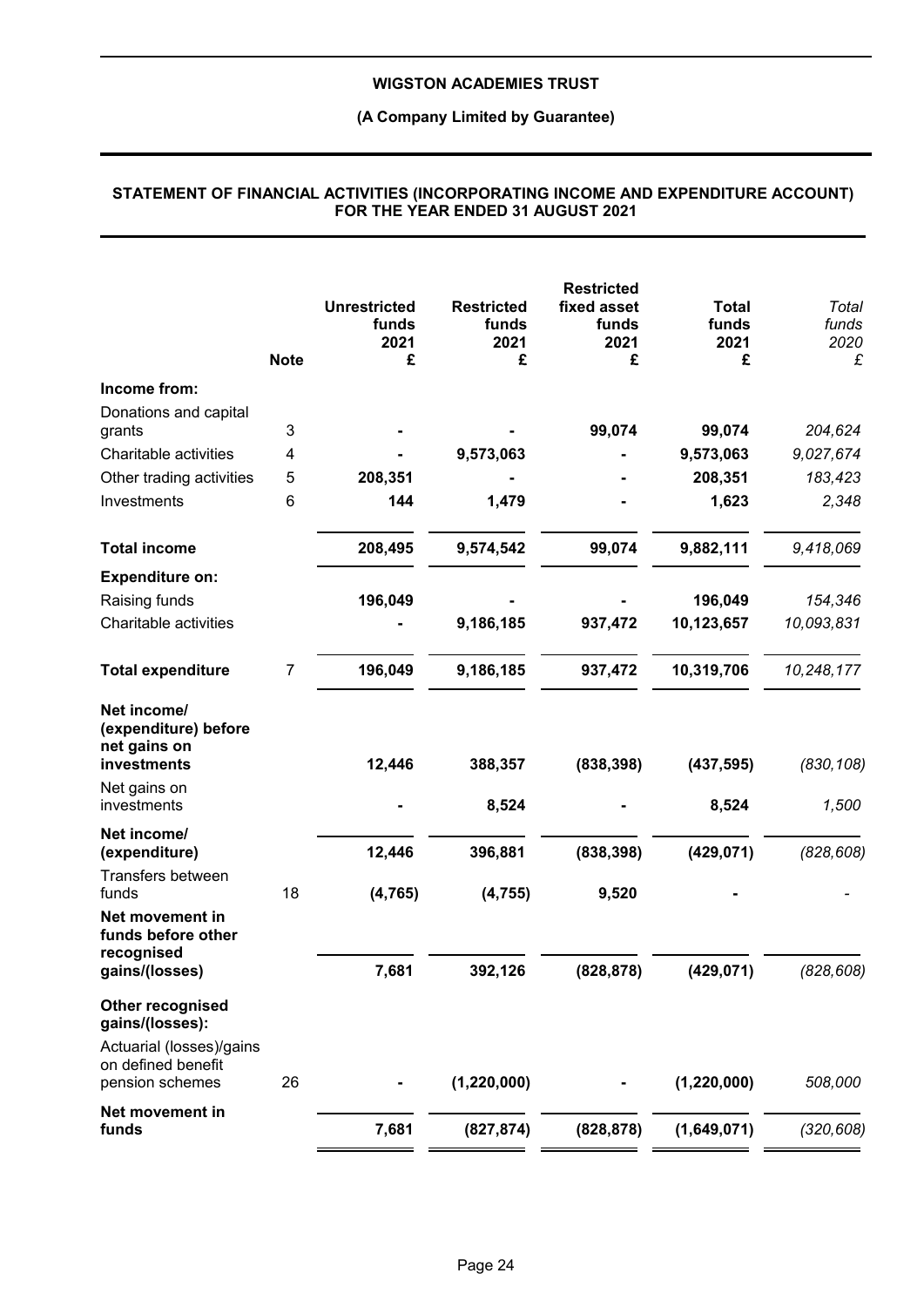### **(A Company Limited by Guarantee)**

|                                                                                                          | <b>Note</b> | <b>Unrestricted</b><br>funds<br>2021<br>£ | <b>Restricted</b><br>funds<br>2021<br>£ | <b>Restricted</b><br>fixed asset<br>funds<br>2021<br>£ | <b>Total</b><br>funds<br>2021<br>£ | Total<br>funds<br>2020<br>£ |
|----------------------------------------------------------------------------------------------------------|-------------|-------------------------------------------|-----------------------------------------|--------------------------------------------------------|------------------------------------|-----------------------------|
| Income from:                                                                                             |             |                                           |                                         |                                                        |                                    |                             |
| Donations and capital<br>grants                                                                          | 3           |                                           |                                         | 99,074                                                 | 99,074                             | 204,624                     |
| Charitable activities                                                                                    | 4           |                                           | 9,573,063                               |                                                        | 9,573,063                          | 9,027,674                   |
| Other trading activities                                                                                 | 5           | 208,351                                   |                                         |                                                        | 208,351                            | 183,423                     |
| Investments                                                                                              | 6           | 144                                       | 1,479                                   |                                                        | 1,623                              | 2,348                       |
| <b>Total income</b>                                                                                      |             | 208,495                                   | 9,574,542                               | 99,074                                                 | 9,882,111                          | 9,418,069                   |
| <b>Expenditure on:</b>                                                                                   |             |                                           |                                         |                                                        |                                    |                             |
| Raising funds                                                                                            |             | 196,049                                   |                                         |                                                        | 196,049                            | 154,346                     |
| Charitable activities                                                                                    |             |                                           | 9,186,185                               | 937,472                                                | 10,123,657                         | 10,093,831                  |
| <b>Total expenditure</b>                                                                                 | 7           | 196,049                                   | 9,186,185                               | 937,472                                                | 10,319,706                         | 10,248,177                  |
| Net income/<br>(expenditure) before<br>net gains on<br>investments                                       |             | 12,446                                    | 388,357                                 | (838, 398)                                             | (437, 595)                         | (830, 108)                  |
| Net gains on<br>investments                                                                              |             |                                           | 8,524                                   |                                                        | 8,524                              | 1,500                       |
| Net income/<br>(expenditure)<br>Transfers between                                                        |             | 12,446                                    | 396,881                                 | (838, 398)                                             | (429, 071)                         | (828, 608)                  |
| funds<br>Net movement in<br>funds before other                                                           | 18          | (4, 765)                                  | (4, 755)                                | 9,520                                                  |                                    |                             |
| recognised<br>gains/(losses)                                                                             |             | 7,681                                     | 392,126                                 | (828, 878)                                             | (429, 071)                         | (828, 608)                  |
| Other recognised<br>gains/(losses):<br>Actuarial (losses)/gains<br>on defined benefit<br>pension schemes | 26          |                                           | (1, 220, 000)                           |                                                        | (1, 220, 000)                      | 508,000                     |
| Net movement in                                                                                          |             |                                           |                                         |                                                        |                                    |                             |
| funds                                                                                                    |             | 7,681                                     | (827, 874)                              | (828, 878)                                             | (1,649,071)                        | (320, 608)                  |

#### **STATEMENT OF FINANCIAL ACTIVITIES (INCORPORATING INCOME AND EXPENDITURE ACCOUNT) FOR THE YEAR ENDED 31 AUGUST 2021**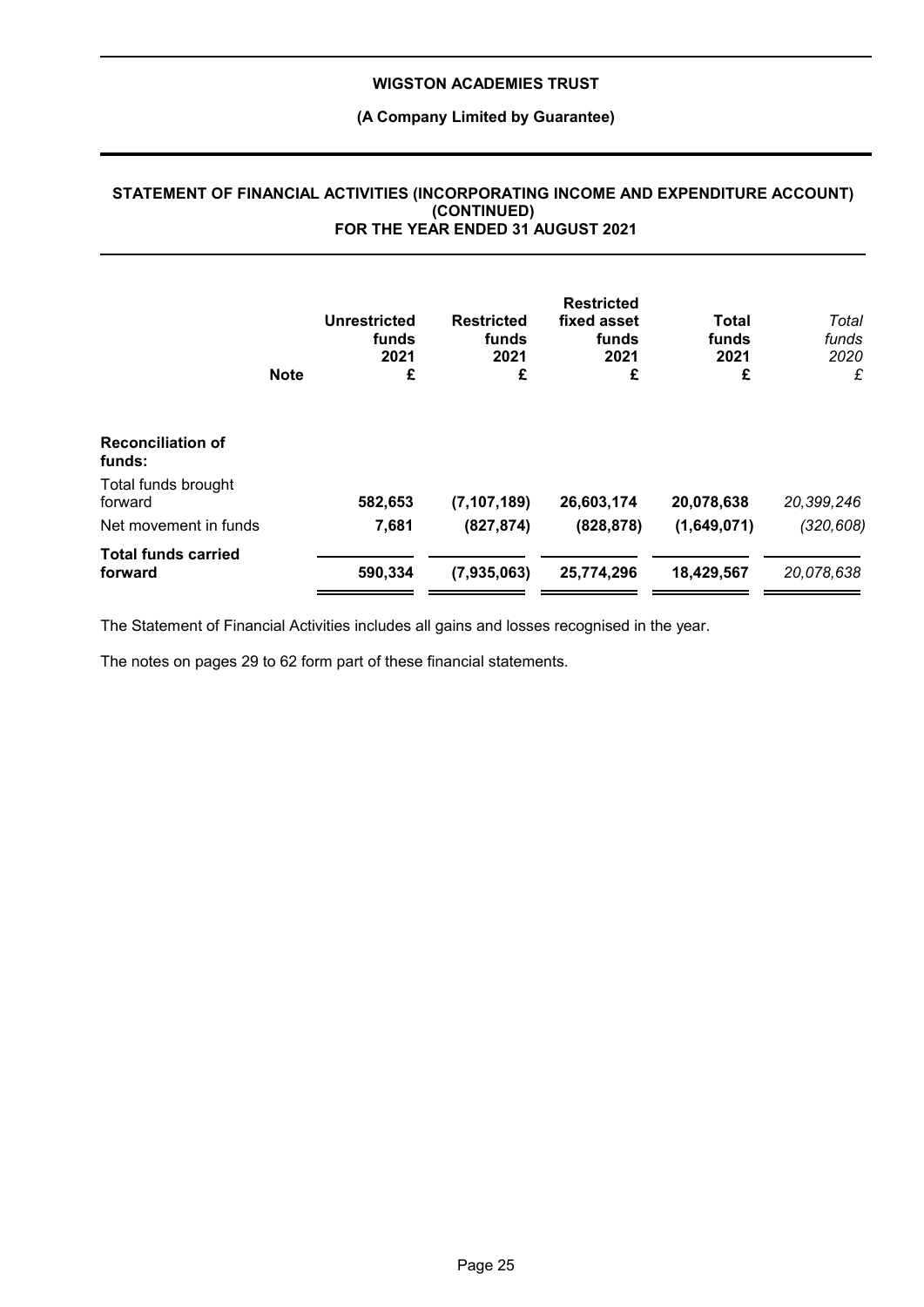### **(A Company Limited by Guarantee)**

|                                       | <b>Note</b> | <b>Unrestricted</b><br>funds<br>2021<br>£ | <b>Restricted</b><br>funds<br>2021<br>£ | <b>Restricted</b><br>fixed asset<br>funds<br>2021<br>£ | Total<br>funds<br>2021<br>£ | Total<br>funds<br>2020<br>£ |
|---------------------------------------|-------------|-------------------------------------------|-----------------------------------------|--------------------------------------------------------|-----------------------------|-----------------------------|
| <b>Reconciliation of</b><br>funds:    |             |                                           |                                         |                                                        |                             |                             |
| Total funds brought<br>forward        |             | 582,653                                   | (7, 107, 189)                           | 26,603,174                                             | 20,078,638                  | 20,399,246                  |
| Net movement in funds                 |             | 7,681                                     | (827, 874)                              | (828, 878)                                             | (1,649,071)                 | (320, 608)                  |
| <b>Total funds carried</b><br>forward |             | 590,334                                   | (7,935,063)                             | 25,774,296                                             | 18,429,567                  | 20,078,638                  |

#### **STATEMENT OF FINANCIAL ACTIVITIES (INCORPORATING INCOME AND EXPENDITURE ACCOUNT) (CONTINUED) FOR THE YEAR ENDED 31 AUGUST 2021**

The Statement of Financial Activities includes all gains and losses recognised in the year.

The notes on pages 29 to 62 form part of these financial statements.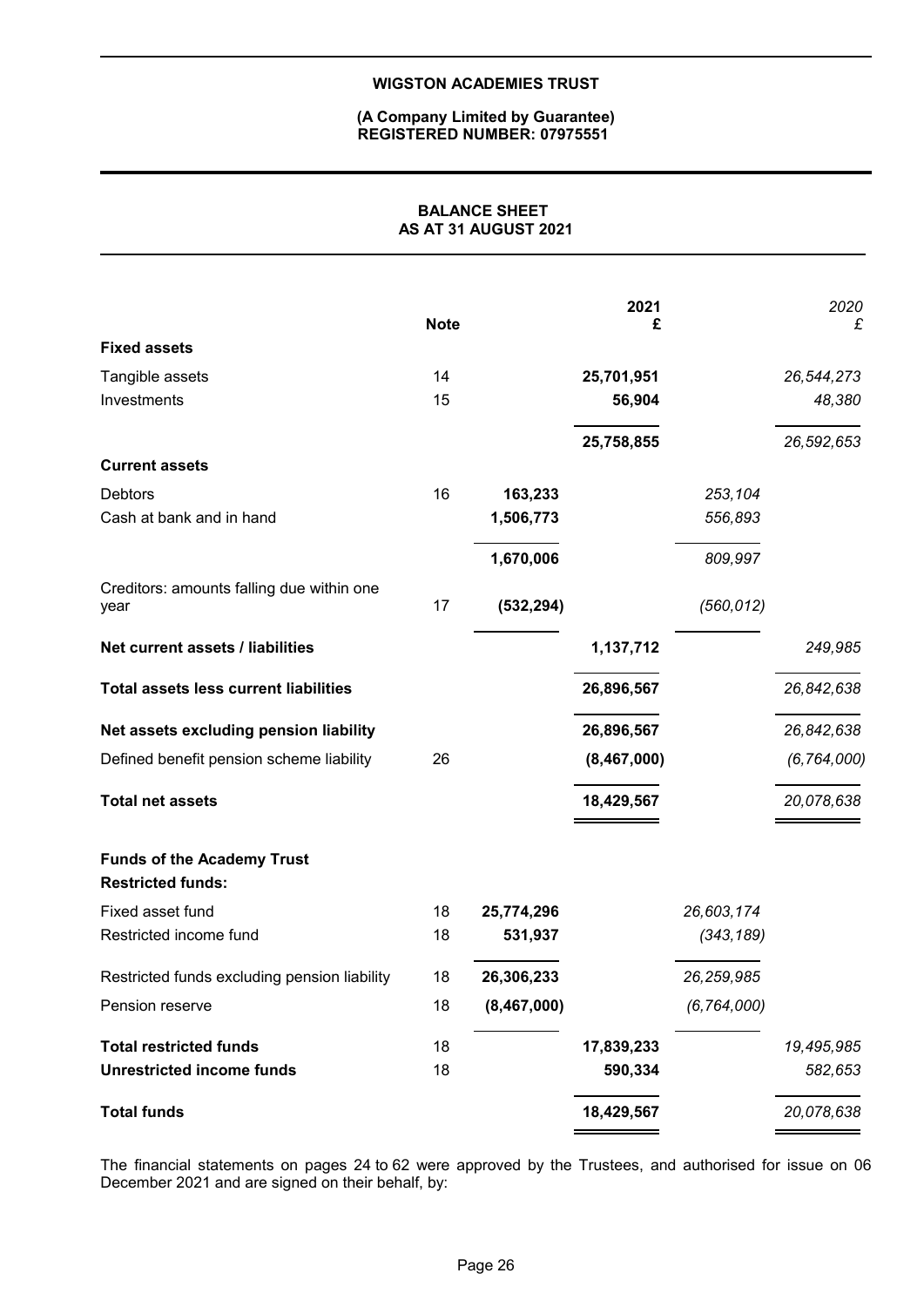#### **(A Company Limited by Guarantee) REGISTERED NUMBER: 07975551**

### **BALANCE SHEET AS AT 31 AUGUST 2021**

|                                                               | <b>Note</b> |             | 2021<br>£   |               | 2020<br>£     |
|---------------------------------------------------------------|-------------|-------------|-------------|---------------|---------------|
| <b>Fixed assets</b>                                           |             |             |             |               |               |
| Tangible assets                                               | 14          |             | 25,701,951  |               | 26,544,273    |
| Investments                                                   | 15          |             | 56,904      |               | 48,380        |
|                                                               |             |             | 25,758,855  |               | 26,592,653    |
| <b>Current assets</b>                                         |             |             |             |               |               |
| <b>Debtors</b>                                                | 16          | 163,233     |             | 253,104       |               |
| Cash at bank and in hand                                      |             | 1,506,773   |             | 556,893       |               |
|                                                               |             | 1,670,006   |             | 809,997       |               |
| Creditors: amounts falling due within one<br>year             | 17          | (532, 294)  |             | (560, 012)    |               |
| Net current assets / liabilities                              |             |             | 1,137,712   |               | 249,985       |
| <b>Total assets less current liabilities</b>                  |             |             | 26,896,567  |               | 26,842,638    |
| Net assets excluding pension liability                        |             |             | 26,896,567  |               | 26,842,638    |
| Defined benefit pension scheme liability                      | 26          |             | (8,467,000) |               | (6, 764, 000) |
| <b>Total net assets</b>                                       |             |             | 18,429,567  |               | 20,078,638    |
| <b>Funds of the Academy Trust</b><br><b>Restricted funds:</b> |             |             |             |               |               |
| Fixed asset fund                                              | 18          | 25,774,296  |             | 26,603,174    |               |
| Restricted income fund                                        | 18          | 531,937     |             | (343, 189)    |               |
| Restricted funds excluding pension liability                  | 18          | 26,306,233  |             | 26,259,985    |               |
| Pension reserve                                               | 18          | (8,467,000) |             | (6, 764, 000) |               |
| <b>Total restricted funds</b>                                 | 18          |             | 17,839,233  |               | 19,495,985    |
| <b>Unrestricted income funds</b>                              | 18          |             | 590,334     |               | 582,653       |
| <b>Total funds</b>                                            |             |             | 18,429,567  |               | 20,078,638    |
|                                                               |             |             |             |               |               |

The financial statements on pages 24 to 62 were approved by the Trustees, and authorised for issue on 06 December 2021 and are signed on their behalf, by: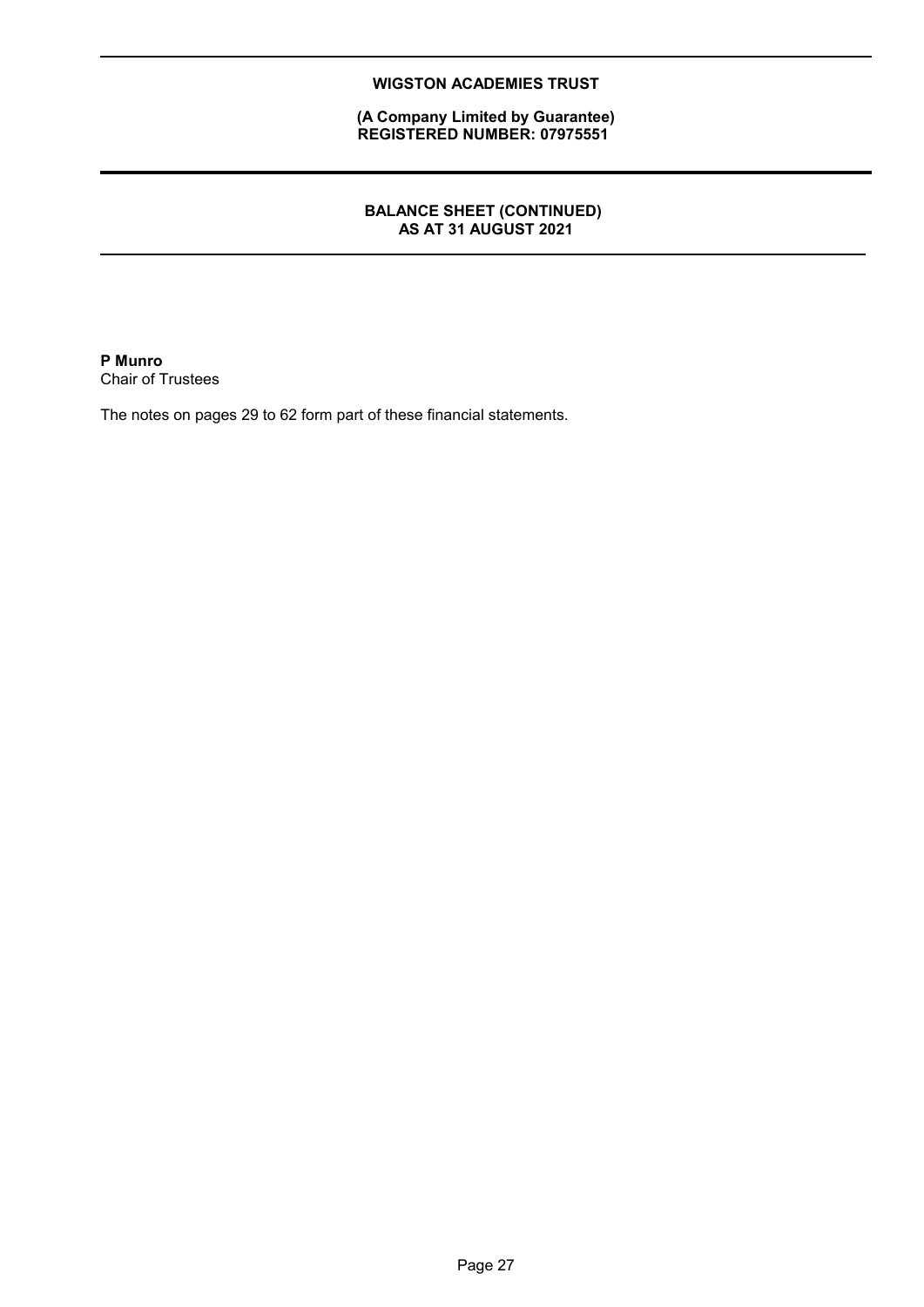**(A Company Limited by Guarantee) REGISTERED NUMBER: 07975551**

### **BALANCE SHEET (CONTINUED) AS AT 31 AUGUST 2021**

**P Munro** Chair of Trustees

The notes on pages 29 to 62 form part of these financial statements.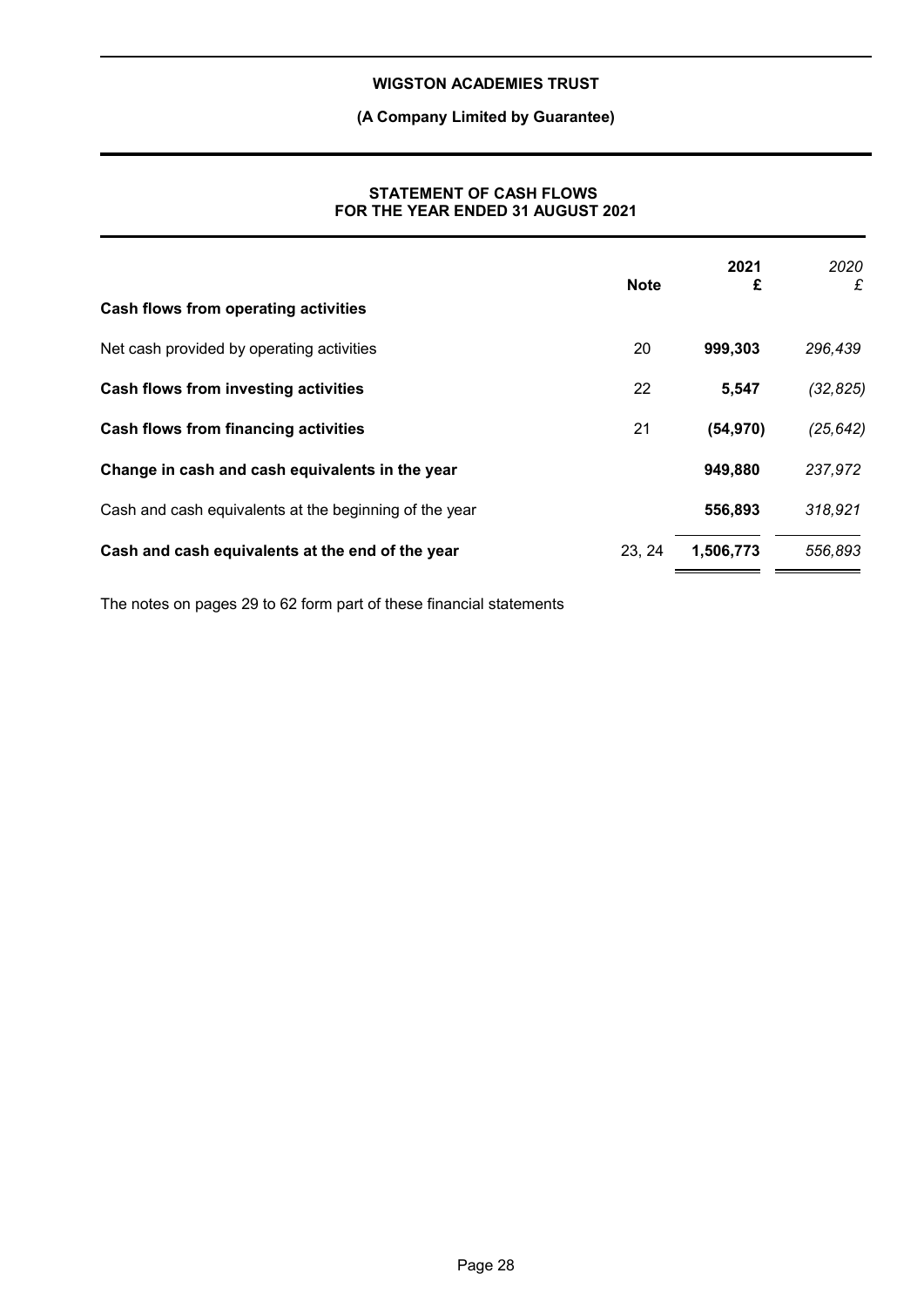## **(A Company Limited by Guarantee)**

### **STATEMENT OF CASH FLOWS FOR THE YEAR ENDED 31 AUGUST 2021**

|                                                        | <b>Note</b> | 2021<br>£ | 2020<br>£ |
|--------------------------------------------------------|-------------|-----------|-----------|
| Cash flows from operating activities                   |             |           |           |
| Net cash provided by operating activities              | 20          | 999,303   | 296,439   |
| Cash flows from investing activities                   | 22          | 5,547     | (32, 825) |
| <b>Cash flows from financing activities</b>            | 21          | (54, 970) | (25, 642) |
| Change in cash and cash equivalents in the year        |             | 949,880   | 237,972   |
| Cash and cash equivalents at the beginning of the year |             | 556,893   | 318,921   |
| Cash and cash equivalents at the end of the year       | 23, 24      | 1,506,773 | 556,893   |

The notes on pages 29 to 62 form part of these financial statements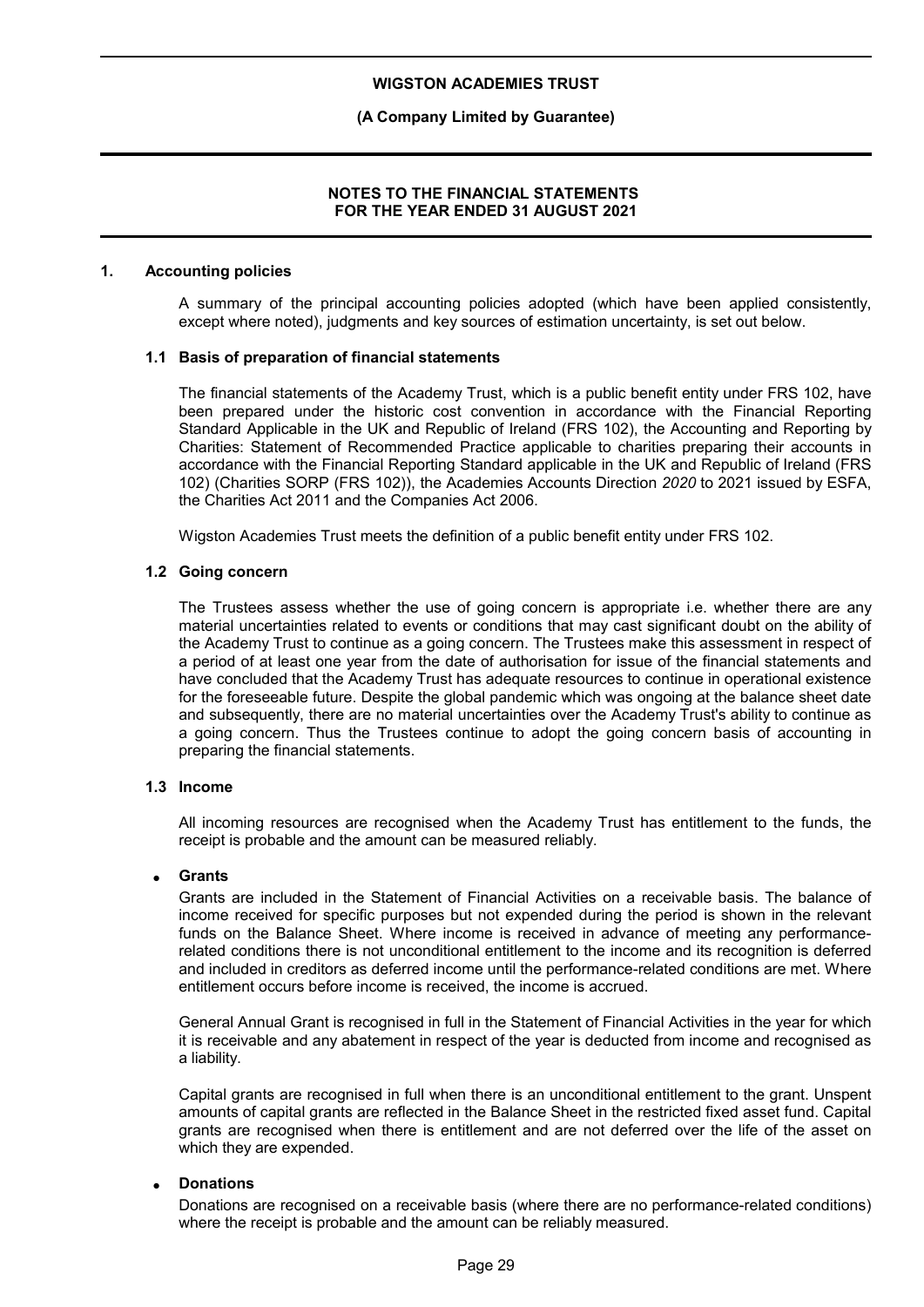### **(A Company Limited by Guarantee)**

### **NOTES TO THE FINANCIAL STATEMENTS FOR THE YEAR ENDED 31 AUGUST 2021**

#### **1. Accounting policies**

A summary of the principal accounting policies adopted (which have been applied consistently, except where noted), judgments and key sources of estimation uncertainty, is set out below.

#### **1.1 Basis of preparation of financial statements**

The financial statements of the Academy Trust, which is a public benefit entity under FRS 102, have been prepared under the historic cost convention in accordance with the Financial Reporting Standard Applicable in the UK and Republic of Ireland (FRS 102), the Accounting and Reporting by Charities: Statement of Recommended Practice applicable to charities preparing their accounts in accordance with the Financial Reporting Standard applicable in the UK and Republic of Ireland (FRS 102) (Charities SORP (FRS 102)), the Academies Accounts Direction *2020* to 2021 issued by ESFA, the Charities Act 2011 and the Companies Act 2006.

Wigston Academies Trust meets the definition of a public benefit entity under FRS 102.

### **1.2 Going concern**

The Trustees assess whether the use of going concern is appropriate i.e. whether there are any material uncertainties related to events or conditions that may cast significant doubt on the ability of the Academy Trust to continue as a going concern. The Trustees make this assessment in respect of a period of at least one year from the date of authorisation for issue of the financial statements and have concluded that the Academy Trust has adequate resources to continue in operational existence for the foreseeable future. Despite the global pandemic which was ongoing at the balance sheet date and subsequently, there are no material uncertainties over the Academy Trust's ability to continue as a going concern. Thus the Trustees continue to adopt the going concern basis of accounting in preparing the financial statements.

#### **1.3 Income**

All incoming resources are recognised when the Academy Trust has entitlement to the funds, the receipt is probable and the amount can be measured reliably.

#### **Grants**

Grants are included in the Statement of Financial Activities on a receivable basis. The balance of income received for specific purposes but not expended during the period is shown in the relevant funds on the Balance Sheet. Where income is received in advance of meeting any performancerelated conditions there is not unconditional entitlement to the income and its recognition is deferred and included in creditors as deferred income until the performance-related conditions are met. Where entitlement occurs before income is received, the income is accrued.

General Annual Grant is recognised in full in the Statement of Financial Activities in the year for which it is receivable and any abatement in respect of the year is deducted from income and recognised as a liability.

Capital grants are recognised in full when there is an unconditional entitlement to the grant. Unspent amounts of capital grants are reflected in the Balance Sheet in the restricted fixed asset fund. Capital grants are recognised when there is entitlement and are not deferred over the life of the asset on which they are expended.

#### **Donations**

Donations are recognised on a receivable basis (where there are no performance-related conditions) where the receipt is probable and the amount can be reliably measured.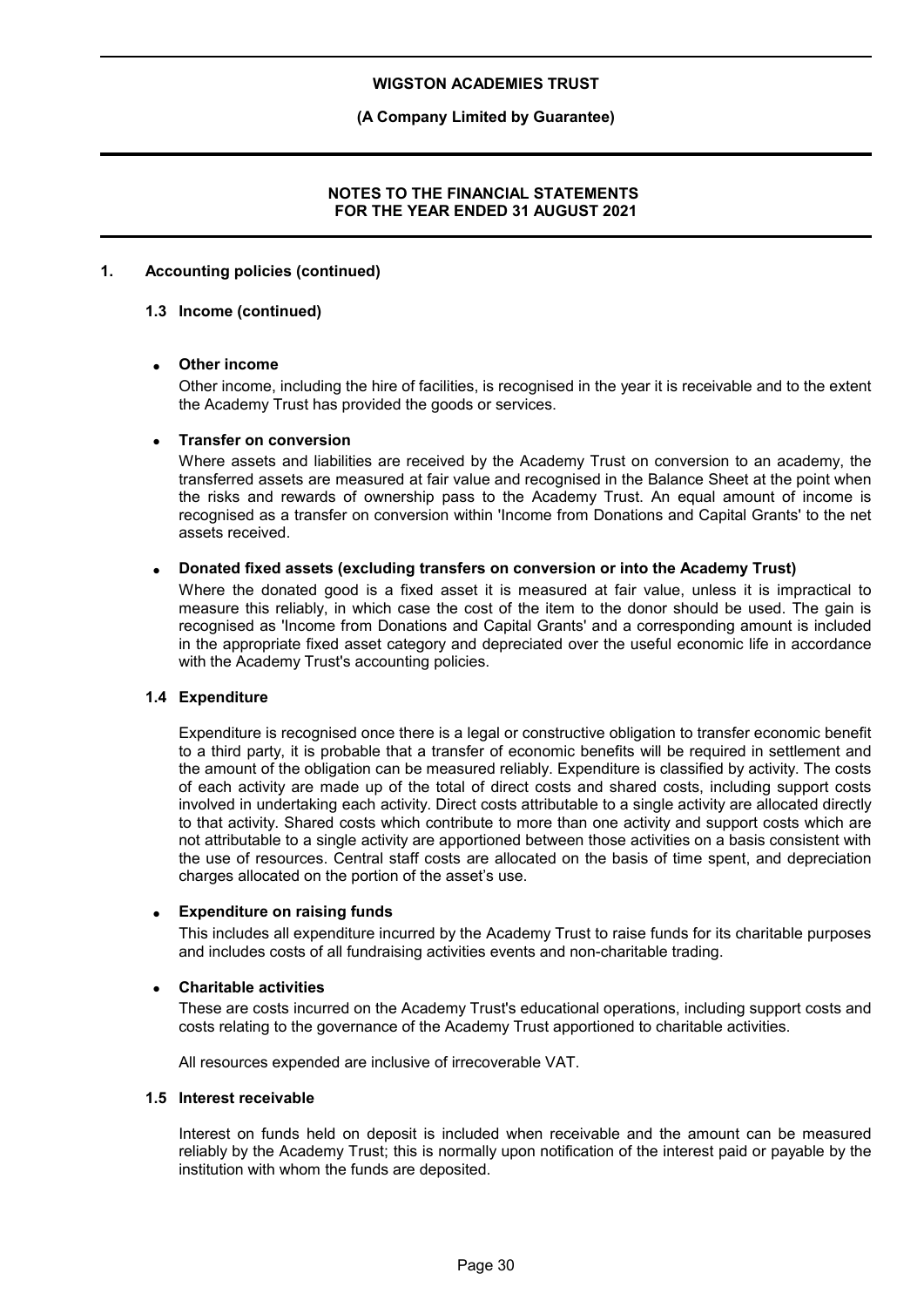### **(A Company Limited by Guarantee)**

### **NOTES TO THE FINANCIAL STATEMENTS FOR THE YEAR ENDED 31 AUGUST 2021**

### **1. Accounting policies (continued)**

#### **1.3 Income (continued)**

### **Other income**

Other income, including the hire of facilities, is recognised in the year it is receivable and to the extent the Academy Trust has provided the goods or services.

#### **Transfer on conversion**

Where assets and liabilities are received by the Academy Trust on conversion to an academy, the transferred assets are measured at fair value and recognised in the Balance Sheet at the point when the risks and rewards of ownership pass to the Academy Trust. An equal amount of income is recognised as a transfer on conversion within 'Income from Donations and Capital Grants' to the net assets received.

### **Donated fixed assets (excluding transfers on conversion or into the Academy Trust)**

Where the donated good is a fixed asset it is measured at fair value, unless it is impractical to measure this reliably, in which case the cost of the item to the donor should be used. The gain is recognised as 'Income from Donations and Capital Grants' and a corresponding amount is included in the appropriate fixed asset category and depreciated over the useful economic life in accordance with the Academy Trust's accounting policies.

#### **1.4 Expenditure**

Expenditure is recognised once there is a legal or constructive obligation to transfer economic benefit to a third party, it is probable that a transfer of economic benefits will be required in settlement and the amount of the obligation can be measured reliably. Expenditure is classified by activity. The costs of each activity are made up of the total of direct costs and shared costs, including support costs involved in undertaking each activity. Direct costs attributable to a single activity are allocated directly to that activity. Shared costs which contribute to more than one activity and support costs which are not attributable to a single activity are apportioned between those activities on a basis consistent with the use of resources. Central staff costs are allocated on the basis of time spent, and depreciation charges allocated on the portion of the asset's use.

#### **Expenditure on raising funds**

This includes all expenditure incurred by the Academy Trust to raise funds for its charitable purposes and includes costs of all fundraising activities events and non-charitable trading.

#### **Charitable activities**

These are costs incurred on the Academy Trust's educational operations, including support costs and costs relating to the governance of the Academy Trust apportioned to charitable activities.

All resources expended are inclusive of irrecoverable VAT.

#### **1.5 Interest receivable**

Interest on funds held on deposit is included when receivable and the amount can be measured reliably by the Academy Trust; this is normally upon notification of the interest paid or payable by the institution with whom the funds are deposited.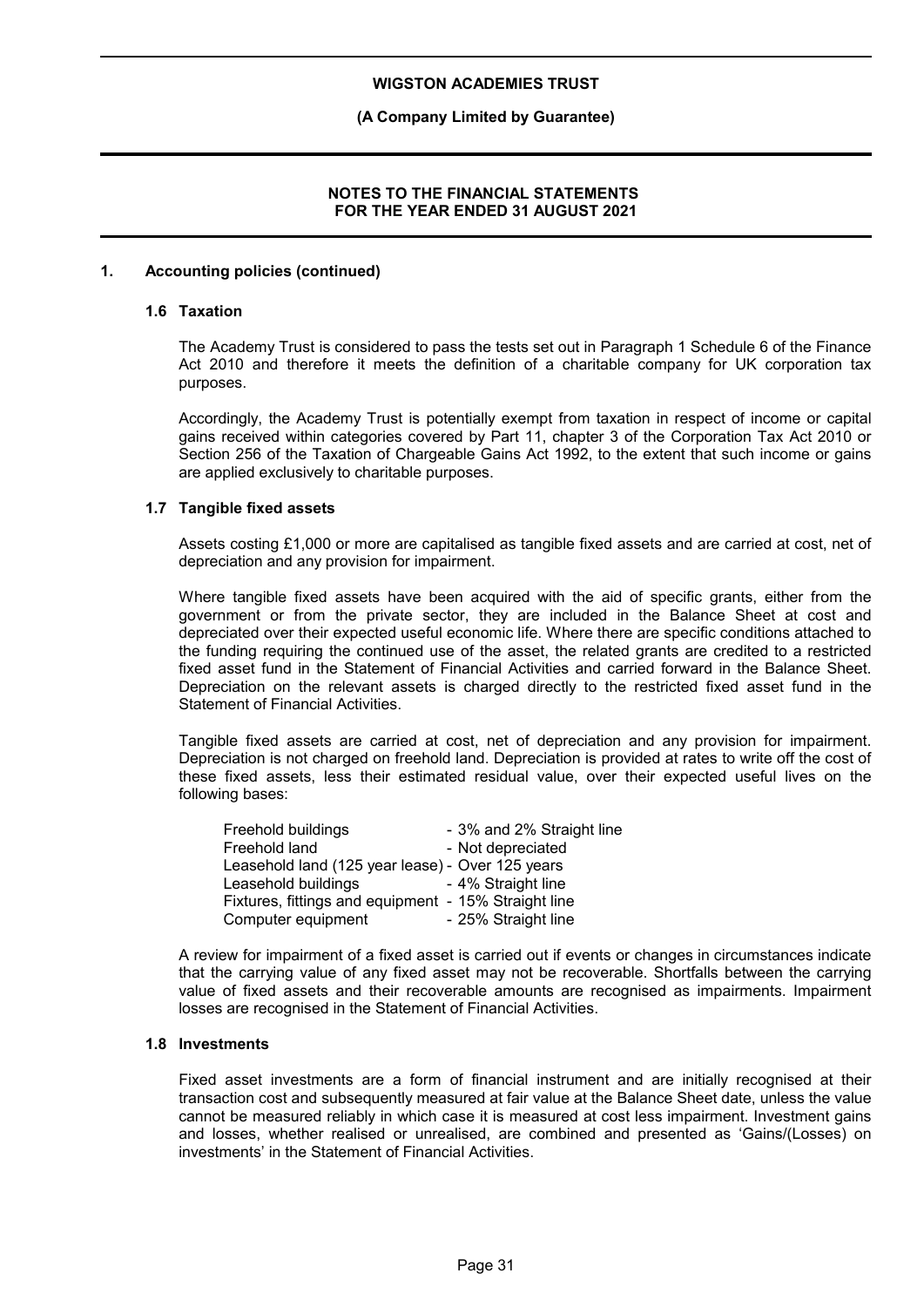### **(A Company Limited by Guarantee)**

### **NOTES TO THE FINANCIAL STATEMENTS FOR THE YEAR ENDED 31 AUGUST 2021**

### **1. Accounting policies (continued)**

#### **1.6 Taxation**

The Academy Trust is considered to pass the tests set out in Paragraph 1 Schedule 6 of the Finance Act 2010 and therefore it meets the definition of a charitable company for UK corporation tax purposes.

Accordingly, the Academy Trust is potentially exempt from taxation in respect of income or capital gains received within categories covered by Part 11, chapter 3 of the Corporation Tax Act 2010 or Section 256 of the Taxation of Chargeable Gains Act 1992, to the extent that such income or gains are applied exclusively to charitable purposes.

#### **1.7 Tangible fixed assets**

Assets costing £1,000 or more are capitalised as tangible fixed assets and are carried at cost, net of depreciation and any provision for impairment.

Where tangible fixed assets have been acquired with the aid of specific grants, either from the government or from the private sector, they are included in the Balance Sheet at cost and depreciated over their expected useful economic life. Where there are specific conditions attached to the funding requiring the continued use of the asset, the related grants are credited to a restricted fixed asset fund in the Statement of Financial Activities and carried forward in the Balance Sheet. Depreciation on the relevant assets is charged directly to the restricted fixed asset fund in the Statement of Financial Activities.

Tangible fixed assets are carried at cost, net of depreciation and any provision for impairment. Depreciation is not charged on freehold land. Depreciation is provided at rates to write off the cost of these fixed assets, less their estimated residual value, over their expected useful lives on the following bases:

| Freehold buildings                                   | - 3% and 2% Straight line |
|------------------------------------------------------|---------------------------|
| Freehold land                                        | - Not depreciated         |
| Leasehold land (125 year lease) - Over 125 years     |                           |
| Leasehold buildings                                  | - 4% Straight line        |
| Fixtures, fittings and equipment - 15% Straight line |                           |
| Computer equipment                                   | - 25% Straight line       |

A review for impairment of a fixed asset is carried out if events or changes in circumstances indicate that the carrying value of any fixed asset may not be recoverable. Shortfalls between the carrying value of fixed assets and their recoverable amounts are recognised as impairments. Impairment losses are recognised in the Statement of Financial Activities.

### **1.8 Investments**

Fixed asset investments are a form of financial instrument and are initially recognised at their transaction cost and subsequently measured at fair value at the Balance Sheet date, unless the value cannot be measured reliably in which case it is measured at cost less impairment. Investment gains and losses, whether realised or unrealised, are combined and presented as 'Gains/(Losses) on investments' in the Statement of Financial Activities.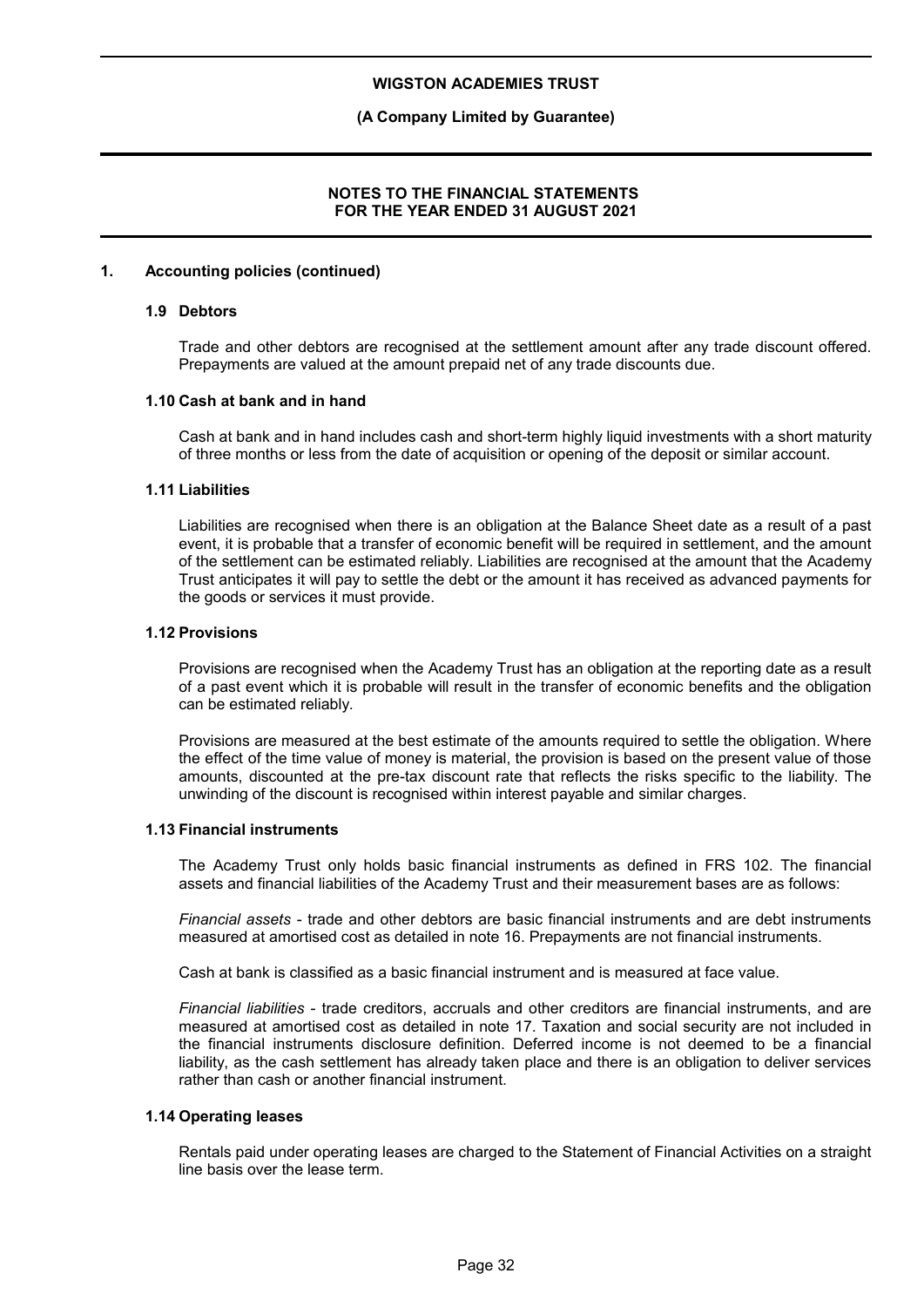### **(A Company Limited by Guarantee)**

### **NOTES TO THE FINANCIAL STATEMENTS FOR THE YEAR ENDED 31 AUGUST 2021**

#### **1. Accounting policies (continued)**

#### **1.9 Debtors**

Trade and other debtors are recognised at the settlement amount after any trade discount offered. Prepayments are valued at the amount prepaid net of any trade discounts due.

#### **1.10 Cash at bank and in hand**

Cash at bank and in hand includes cash and short-term highly liquid investments with a short maturity of three months or less from the date of acquisition or opening of the deposit or similar account.

#### **1.11 Liabilities**

Liabilities are recognised when there is an obligation at the Balance Sheet date as a result of a past event, it is probable that a transfer of economic benefit will be required in settlement, and the amount of the settlement can be estimated reliably. Liabilities are recognised at the amount that the Academy Trust anticipates it will pay to settle the debt or the amount it has received as advanced payments for the goods or services it must provide.

#### **1.12 Provisions**

Provisions are recognised when the Academy Trust has an obligation at the reporting date as a result of a past event which it is probable will result in the transfer of economic benefits and the obligation can be estimated reliably.

Provisions are measured at the best estimate of the amounts required to settle the obligation. Where the effect of the time value of money is material, the provision is based on the present value of those amounts, discounted at the pre-tax discount rate that reflects the risks specific to the liability. The unwinding of the discount is recognised within interest payable and similar charges.

#### **1.13 Financial instruments**

The Academy Trust only holds basic financial instruments as defined in FRS 102. The financial assets and financial liabilities of the Academy Trust and their measurement bases are as follows:

*Financial assets* - trade and other debtors are basic financial instruments and are debt instruments measured at amortised cost as detailed in note 16. Prepayments are not financial instruments.

Cash at bank is classified as a basic financial instrument and is measured at face value.

*Financial liabilities* - trade creditors, accruals and other creditors are financial instruments, and are measured at amortised cost as detailed in note 17. Taxation and social security are not included in the financial instruments disclosure definition. Deferred income is not deemed to be a financial liability, as the cash settlement has already taken place and there is an obligation to deliver services rather than cash or another financial instrument.

#### **1.14 Operating leases**

Rentals paid under operating leases are charged to the Statement of Financial Activities on a straight line basis over the lease term.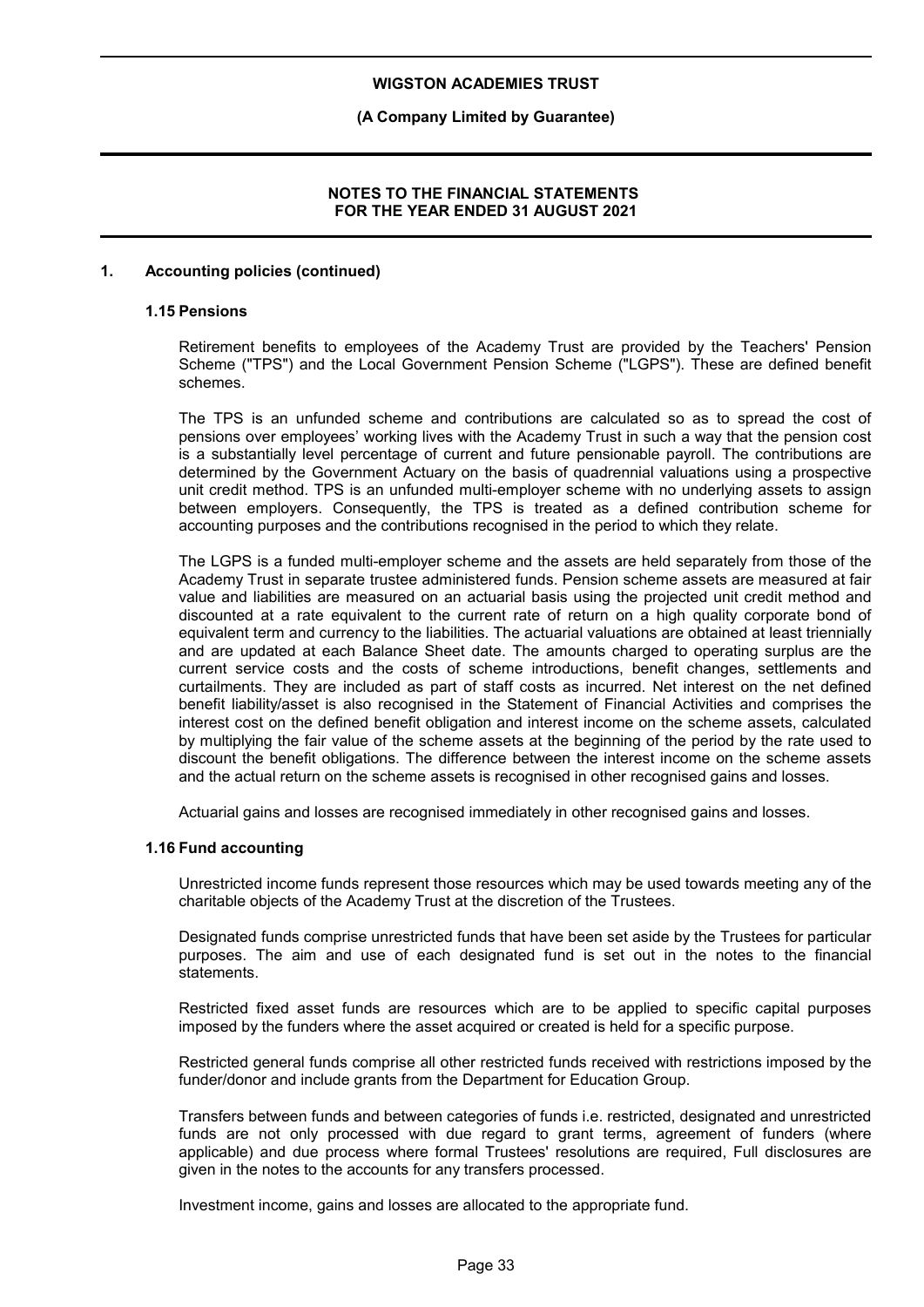### **(A Company Limited by Guarantee)**

### **NOTES TO THE FINANCIAL STATEMENTS FOR THE YEAR ENDED 31 AUGUST 2021**

### **1. Accounting policies (continued)**

### **1.15 Pensions**

Retirement benefits to employees of the Academy Trust are provided by the Teachers' Pension Scheme ("TPS") and the Local Government Pension Scheme ("LGPS"). These are defined benefit schemes.

The TPS is an unfunded scheme and contributions are calculated so as to spread the cost of pensions over employees' working lives with the Academy Trust in such a way that the pension cost is a substantially level percentage of current and future pensionable payroll. The contributions are determined by the Government Actuary on the basis of quadrennial valuations using a prospective unit credit method. TPS is an unfunded multi-employer scheme with no underlying assets to assign between employers. Consequently, the TPS is treated as a defined contribution scheme for accounting purposes and the contributions recognised in the period to which they relate.

The LGPS is a funded multi-employer scheme and the assets are held separately from those of the Academy Trust in separate trustee administered funds. Pension scheme assets are measured at fair value and liabilities are measured on an actuarial basis using the projected unit credit method and discounted at a rate equivalent to the current rate of return on a high quality corporate bond of equivalent term and currency to the liabilities. The actuarial valuations are obtained at least triennially and are updated at each Balance Sheet date. The amounts charged to operating surplus are the current service costs and the costs of scheme introductions, benefit changes, settlements and curtailments. They are included as part of staff costs as incurred. Net interest on the net defined benefit liability/asset is also recognised in the Statement of Financial Activities and comprises the interest cost on the defined benefit obligation and interest income on the scheme assets, calculated by multiplying the fair value of the scheme assets at the beginning of the period by the rate used to discount the benefit obligations. The difference between the interest income on the scheme assets and the actual return on the scheme assets is recognised in other recognised gains and losses.

Actuarial gains and losses are recognised immediately in other recognised gains and losses.

### **1.16 Fund accounting**

Unrestricted income funds represent those resources which may be used towards meeting any of the charitable objects of the Academy Trust at the discretion of the Trustees.

Designated funds comprise unrestricted funds that have been set aside by the Trustees for particular purposes. The aim and use of each designated fund is set out in the notes to the financial statements.

Restricted fixed asset funds are resources which are to be applied to specific capital purposes imposed by the funders where the asset acquired or created is held for a specific purpose.

Restricted general funds comprise all other restricted funds received with restrictions imposed by the funder/donor and include grants from the Department for Education Group.

Transfers between funds and between categories of funds i.e. restricted, designated and unrestricted funds are not only processed with due regard to grant terms, agreement of funders (where applicable) and due process where formal Trustees' resolutions are required, Full disclosures are given in the notes to the accounts for any transfers processed.

Investment income, gains and losses are allocated to the appropriate fund.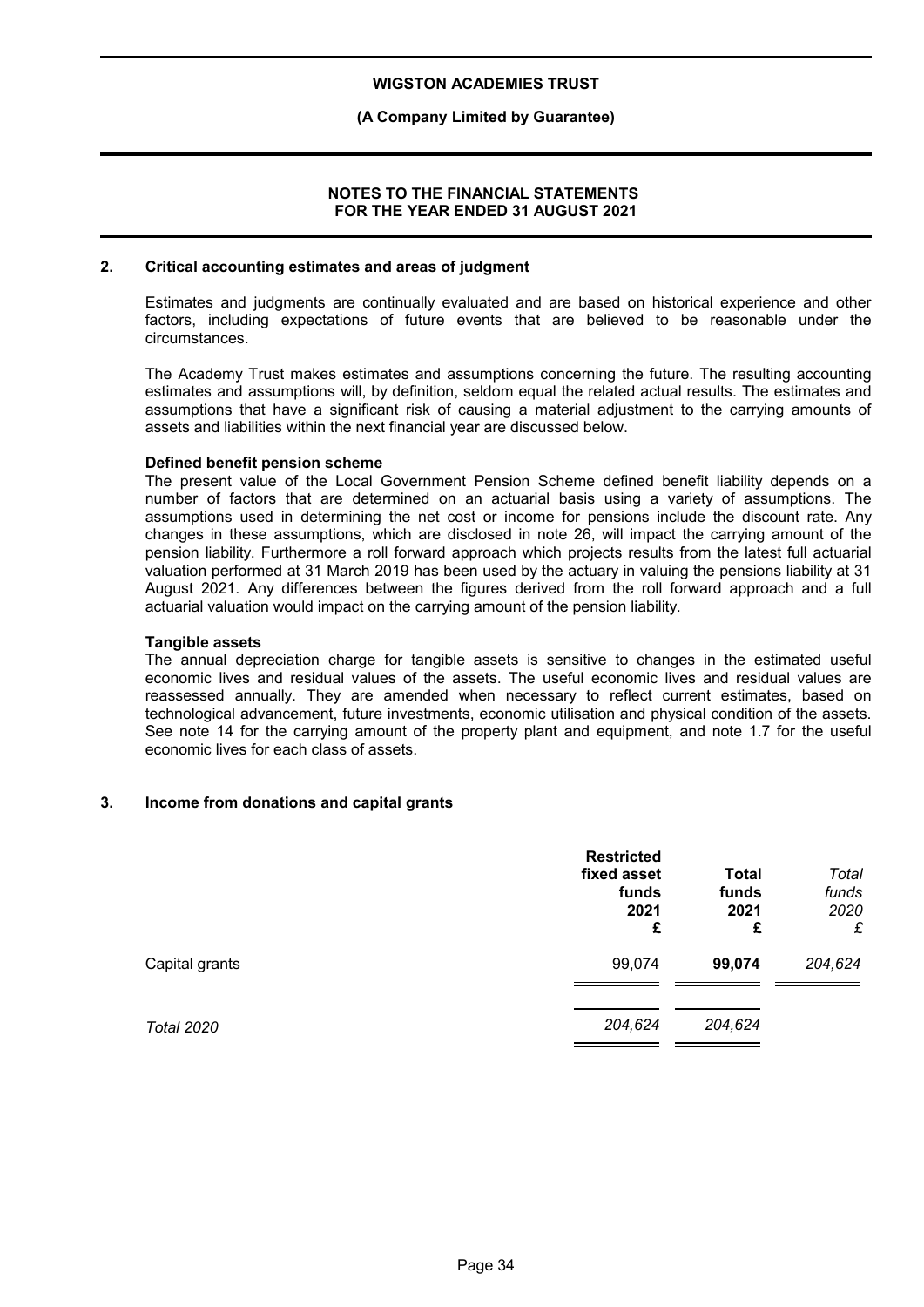### **(A Company Limited by Guarantee)**

### **NOTES TO THE FINANCIAL STATEMENTS FOR THE YEAR ENDED 31 AUGUST 2021**

#### **2. Critical accounting estimates and areas of judgment**

Estimates and judgments are continually evaluated and are based on historical experience and other factors, including expectations of future events that are believed to be reasonable under the circumstances.

The Academy Trust makes estimates and assumptions concerning the future. The resulting accounting estimates and assumptions will, by definition, seldom equal the related actual results. The estimates and assumptions that have a significant risk of causing a material adjustment to the carrying amounts of assets and liabilities within the next financial year are discussed below.

### **Defined benefit pension scheme**

The present value of the Local Government Pension Scheme defined benefit liability depends on a number of factors that are determined on an actuarial basis using a variety of assumptions. The assumptions used in determining the net cost or income for pensions include the discount rate. Any changes in these assumptions, which are disclosed in note 26, will impact the carrying amount of the pension liability. Furthermore a roll forward approach which projects results from the latest full actuarial valuation performed at 31 March 2019 has been used by the actuary in valuing the pensions liability at 31 August 2021. Any differences between the figures derived from the roll forward approach and a full actuarial valuation would impact on the carrying amount of the pension liability.

### **Tangible assets**

The annual depreciation charge for tangible assets is sensitive to changes in the estimated useful economic lives and residual values of the assets. The useful economic lives and residual values are reassessed annually. They are amended when necessary to reflect current estimates, based on technological advancement, future investments, economic utilisation and physical condition of the assets. See note 14 for the carrying amount of the property plant and equipment, and note 1.7 for the useful economic lives for each class of assets.

### **3. Income from donations and capital grants**

|                   | <b>Restricted</b><br>fixed asset<br>funds<br>2021<br>£ | Total<br>funds<br>2021<br>£ | Total<br>funds<br>2020<br>£ |
|-------------------|--------------------------------------------------------|-----------------------------|-----------------------------|
| Capital grants    | 99,074                                                 | 99,074                      | 204,624                     |
| <b>Total 2020</b> | 204,624                                                | 204,624                     |                             |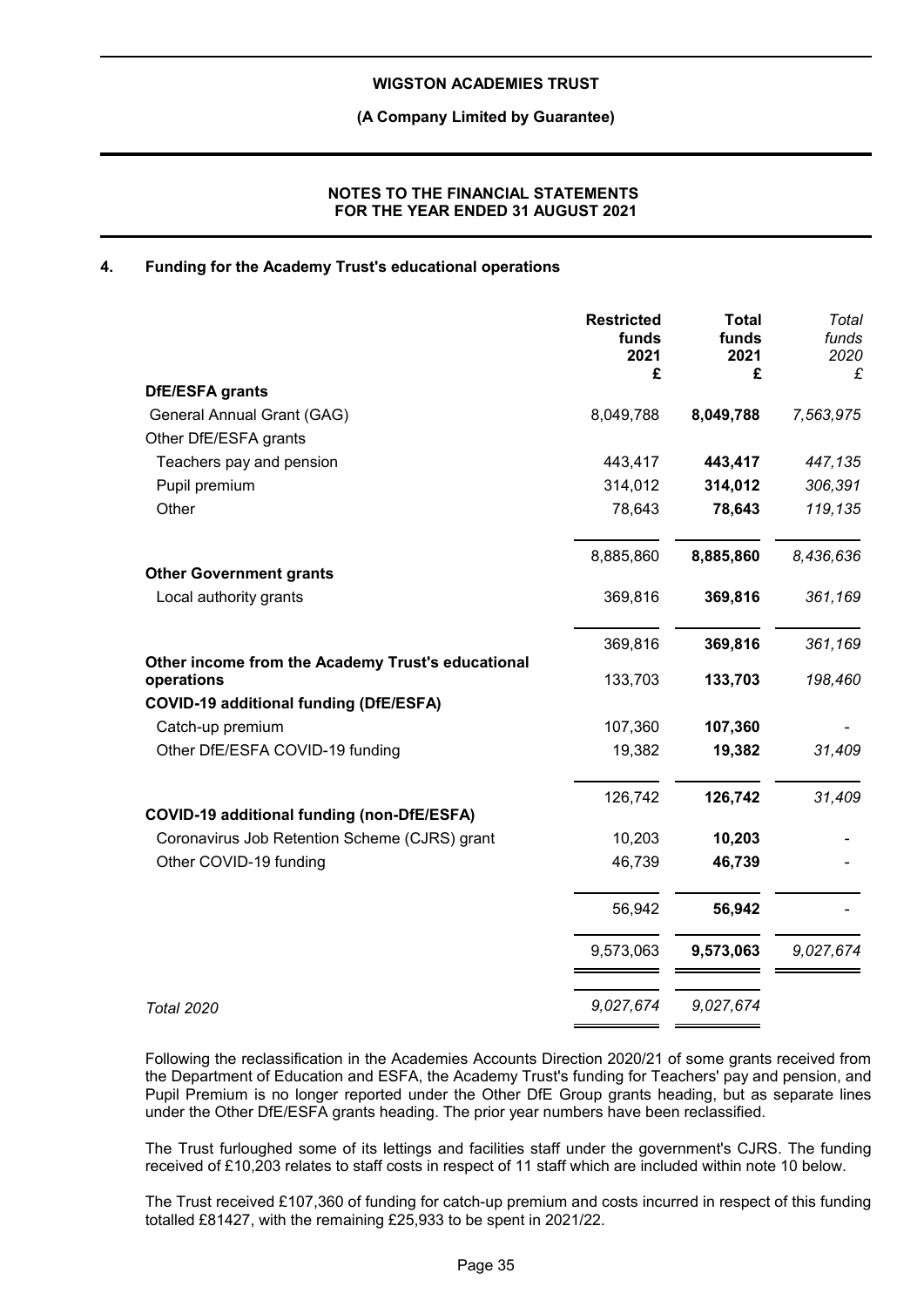**(A Company Limited by Guarantee)**

### **NOTES TO THE FINANCIAL STATEMENTS FOR THE YEAR ENDED 31 AUGUST 2021**

### **4. Funding for the Academy Trust's educational operations**

|                                                                 | <b>Restricted</b><br>funds<br>2021<br>£ | <b>Total</b><br>funds<br>2021<br>£ | Total<br>funds<br>2020<br>£ |
|-----------------------------------------------------------------|-----------------------------------------|------------------------------------|-----------------------------|
| <b>DfE/ESFA grants</b>                                          |                                         |                                    |                             |
| General Annual Grant (GAG)                                      | 8,049,788                               | 8,049,788                          | 7,563,975                   |
| Other DfE/ESFA grants                                           |                                         |                                    |                             |
| Teachers pay and pension                                        | 443,417                                 | 443,417                            | 447,135                     |
| Pupil premium                                                   | 314,012                                 | 314,012                            | 306,391                     |
| Other                                                           | 78,643                                  | 78,643                             | 119,135                     |
|                                                                 | 8,885,860                               | 8,885,860                          | 8,436,636                   |
| <b>Other Government grants</b>                                  |                                         |                                    |                             |
| Local authority grants                                          | 369,816                                 | 369,816                            | 361,169                     |
|                                                                 | 369,816                                 | 369,816                            | 361,169                     |
| Other income from the Academy Trust's educational<br>operations | 133,703                                 | 133,703                            | 198,460                     |
| <b>COVID-19 additional funding (DfE/ESFA)</b>                   |                                         |                                    |                             |
| Catch-up premium                                                | 107,360                                 | 107,360                            |                             |
| Other DfE/ESFA COVID-19 funding                                 | 19,382                                  | 19,382                             | 31,409                      |
|                                                                 | 126,742                                 | 126,742                            | 31,409                      |
| COVID-19 additional funding (non-DfE/ESFA)                      |                                         |                                    |                             |
| Coronavirus Job Retention Scheme (CJRS) grant                   | 10,203                                  | 10,203                             |                             |
| Other COVID-19 funding                                          | 46,739                                  | 46,739                             |                             |
|                                                                 | 56,942                                  | 56,942                             |                             |
|                                                                 | 9,573,063                               | 9,573,063                          | 9,027,674                   |
| <b>Total 2020</b>                                               | 9,027,674                               | 9,027,674                          |                             |

Following the reclassification in the Academies Accounts Direction 2020/21 of some grants received from the Department of Education and ESFA, the Academy Trust's funding for Teachers' pay and pension, and Pupil Premium is no longer reported under the Other DfE Group grants heading, but as separate lines under the Other DfE/ESFA grants heading. The prior year numbers have been reclassified.

The Trust furloughed some of its lettings and facilities staff under the government's CJRS. The funding received of £10,203 relates to staff costs in respect of 11 staff which are included within note 10 below.

The Trust received £107,360 of funding for catch-up premium and costs incurred in respect of this funding totalled £81427, with the remaining £25,933 to be spent in 2021/22.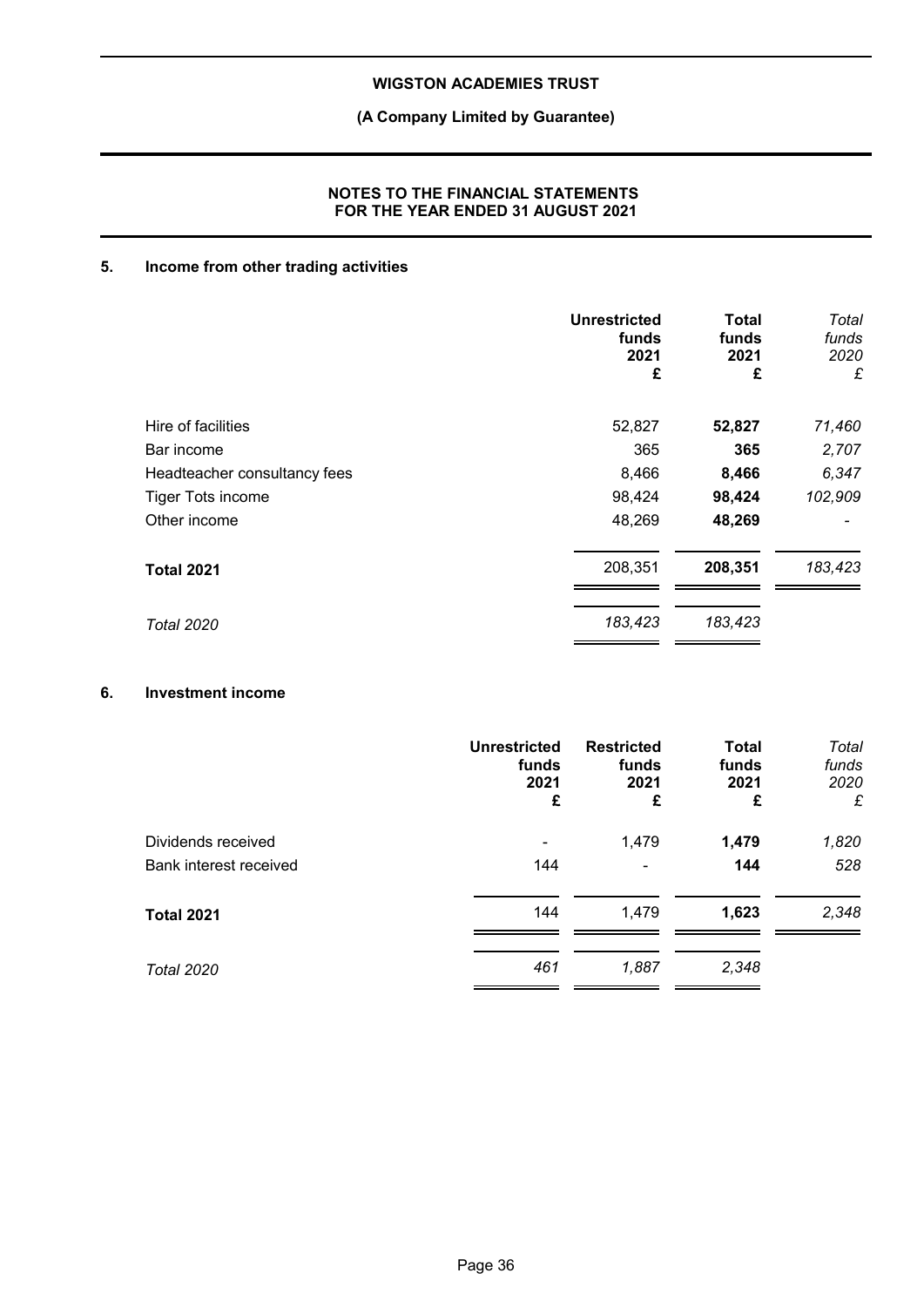## **(A Company Limited by Guarantee)**

### **NOTES TO THE FINANCIAL STATEMENTS FOR THE YEAR ENDED 31 AUGUST 2021**

### **5. Income from other trading activities**

|                              | <b>Unrestricted</b><br>funds<br>2021<br>£ | Total<br>funds<br>2021<br>£ | Total<br>funds<br>2020<br>£ |
|------------------------------|-------------------------------------------|-----------------------------|-----------------------------|
| Hire of facilities           | 52,827                                    | 52,827                      | 71,460                      |
| Bar income                   | 365                                       | 365                         | 2,707                       |
| Headteacher consultancy fees | 8,466                                     | 8,466                       | 6,347                       |
| Tiger Tots income            | 98,424                                    | 98,424                      | 102,909                     |
| Other income                 | 48,269                                    | 48,269                      |                             |
| <b>Total 2021</b>            | 208,351                                   | 208,351                     | 183,423                     |
| <b>Total 2020</b>            | 183,423                                   | 183,423                     |                             |

### **6. Investment income**

|                        | <b>Unrestricted</b> | <b>Restricted</b> | <b>Total</b> | Total |
|------------------------|---------------------|-------------------|--------------|-------|
|                        | funds               | funds             | funds        | funds |
|                        | 2021                | 2021              | 2021         | 2020  |
|                        | £                   | £                 | £            | £     |
| Dividends received     | 144                 | 1,479             | 1,479        | 1,820 |
| Bank interest received |                     | ۰                 | 144          | 528   |
| <b>Total 2021</b>      | 144                 | 1,479             | 1,623        | 2,348 |
| <b>Total 2020</b>      | 461                 | 1,887             | 2,348        |       |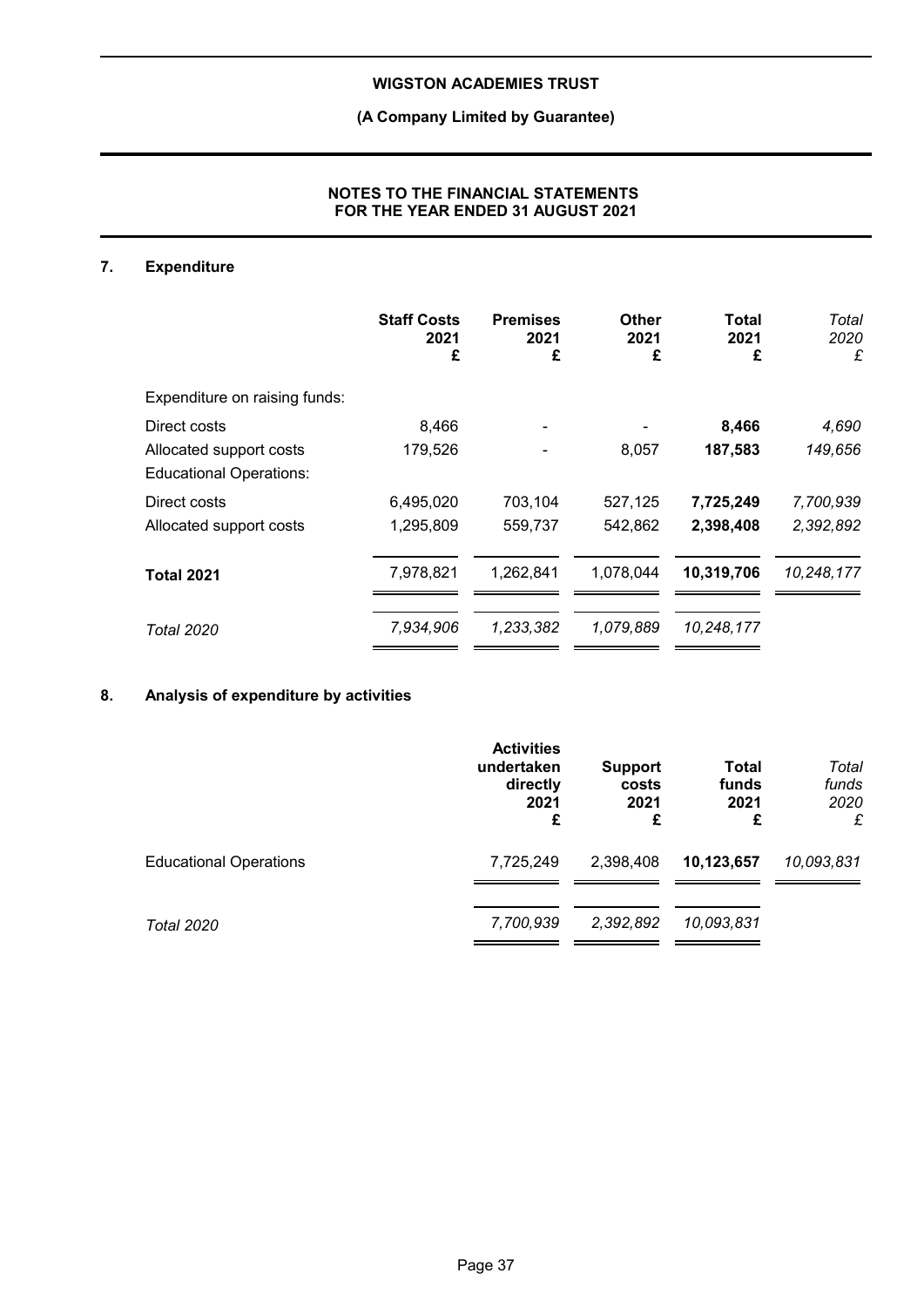## **(A Company Limited by Guarantee)**

### **NOTES TO THE FINANCIAL STATEMENTS FOR THE YEAR ENDED 31 AUGUST 2021**

### **7. Expenditure**

|                                                           | <b>Staff Costs</b><br>2021<br>£ | <b>Premises</b><br>2021<br>£ | Other<br>2021<br>£ | Total<br>2021<br>£ | Total<br>2020<br>£ |
|-----------------------------------------------------------|---------------------------------|------------------------------|--------------------|--------------------|--------------------|
| Expenditure on raising funds:                             |                                 |                              |                    |                    |                    |
| Direct costs                                              | 8,466                           |                              |                    | 8,466              | 4,690              |
| Allocated support costs<br><b>Educational Operations:</b> | 179,526                         |                              | 8,057              | 187,583            | 149,656            |
| Direct costs                                              | 6,495,020                       | 703,104                      | 527,125            | 7,725,249          | 7,700,939          |
| Allocated support costs                                   | 1,295,809                       | 559,737                      | 542,862            | 2,398,408          | 2,392,892          |
| <b>Total 2021</b>                                         | 7,978,821                       | 1,262,841                    | 1,078,044          | 10,319,706         | 10,248,177         |
| <b>Total 2020</b>                                         | 7,934,906                       | 1,233,382                    | 1,079,889          | 10,248,177         |                    |

## **8. Analysis of expenditure by activities**

|                               | <b>Activities</b><br>undertaken<br>directly<br>2021<br>£ | <b>Support</b><br>costs<br>2021<br>£ | Total<br>funds<br>2021<br>£ | Total<br>funds<br>2020<br>£ |
|-------------------------------|----------------------------------------------------------|--------------------------------------|-----------------------------|-----------------------------|
| <b>Educational Operations</b> | 7,725,249                                                | 2,398,408                            | 10,123,657                  | 10,093,831                  |
| Total 2020                    | 7,700,939                                                | 2,392,892                            | 10,093,831                  |                             |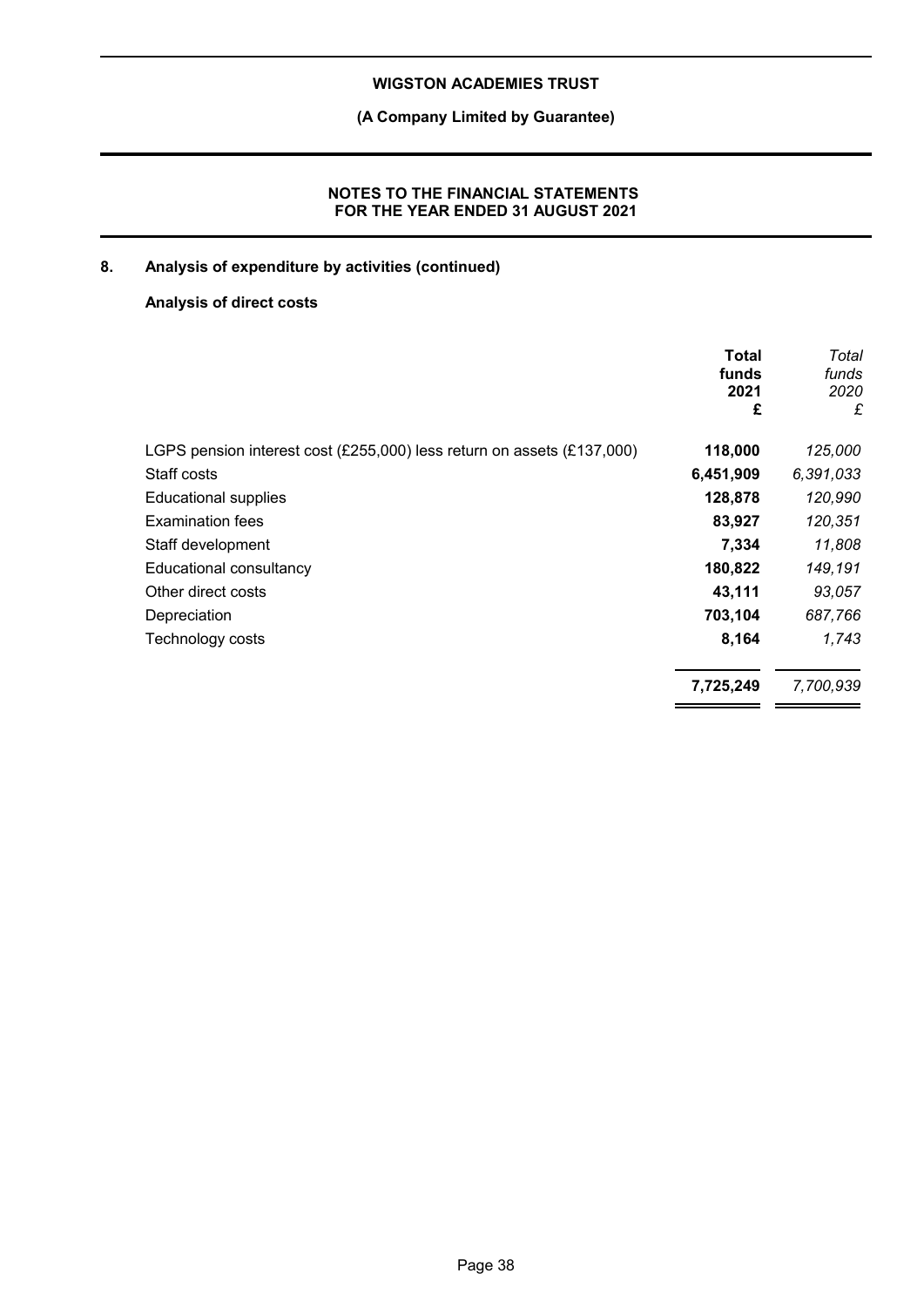**(A Company Limited by Guarantee)**

### **NOTES TO THE FINANCIAL STATEMENTS FOR THE YEAR ENDED 31 AUGUST 2021**

## **8. Analysis of expenditure by activities (continued)**

## **Analysis of direct costs**

|                                                                        | <b>Total</b><br>funds<br>2021<br>£ | Total<br>funds<br>2020<br>£ |
|------------------------------------------------------------------------|------------------------------------|-----------------------------|
| LGPS pension interest cost (£255,000) less return on assets (£137,000) | 118,000                            | 125,000                     |
| Staff costs                                                            | 6,451,909                          | 6,391,033                   |
| <b>Educational supplies</b>                                            | 128,878                            | 120,990                     |
| <b>Examination fees</b>                                                | 83,927                             | 120,351                     |
| Staff development                                                      | 7,334                              | 11,808                      |
| Educational consultancy                                                | 180,822                            | 149,191                     |
| Other direct costs                                                     | 43,111                             | 93,057                      |
| Depreciation                                                           | 703,104                            | 687,766                     |
| Technology costs                                                       | 8,164                              | 1,743                       |
|                                                                        | 7,725,249                          | 7,700,939                   |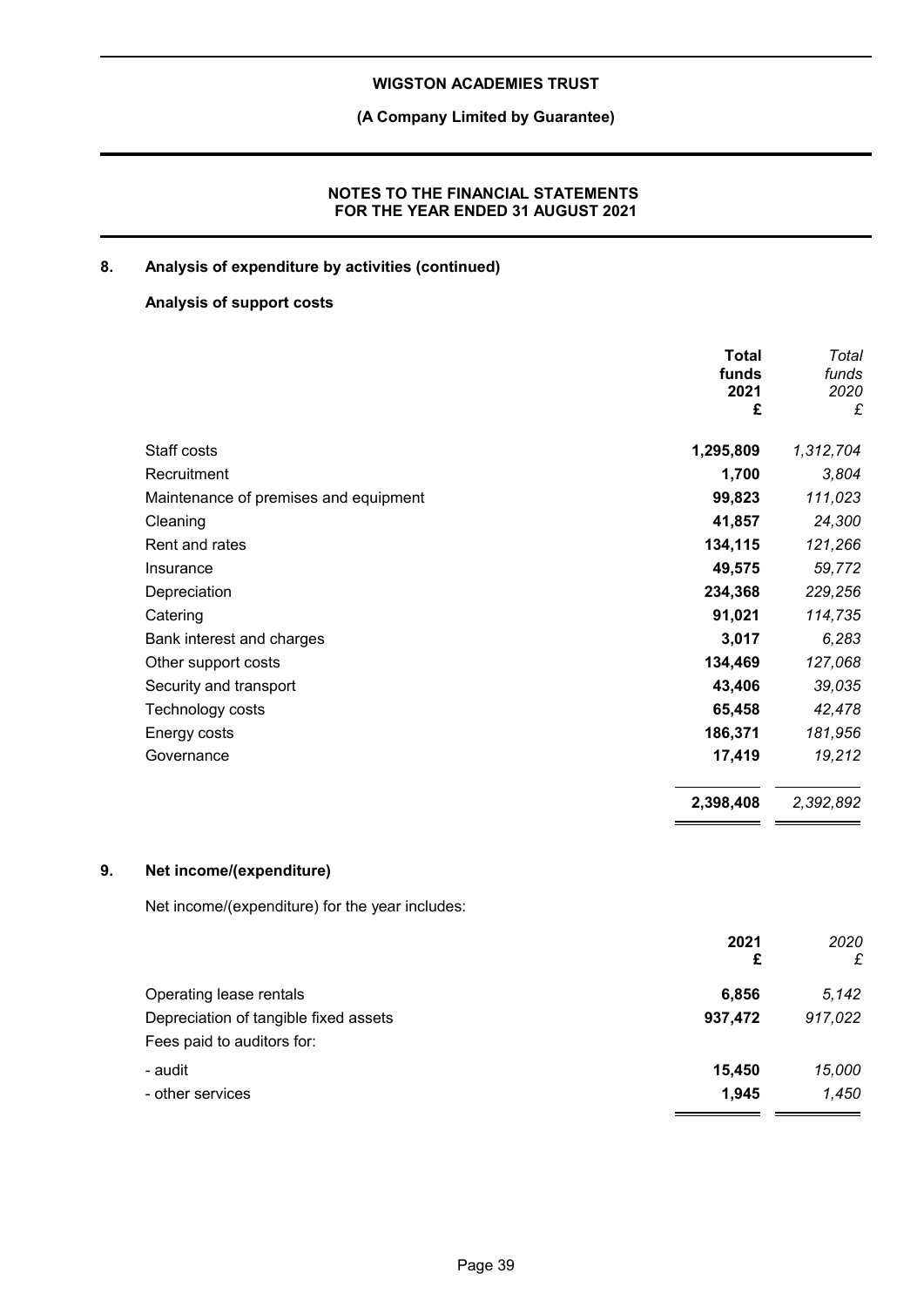## **(A Company Limited by Guarantee)**

### **NOTES TO THE FINANCIAL STATEMENTS FOR THE YEAR ENDED 31 AUGUST 2021**

## **8. Analysis of expenditure by activities (continued)**

## **Analysis of support costs**

|    |                                                 | <b>Total</b>  | Total         |
|----|-------------------------------------------------|---------------|---------------|
|    |                                                 | funds<br>2021 | funds<br>2020 |
|    |                                                 | £             | £             |
|    | Staff costs                                     | 1,295,809     | 1,312,704     |
|    | Recruitment                                     | 1,700         | 3,804         |
|    | Maintenance of premises and equipment           | 99,823        | 111,023       |
|    | Cleaning                                        | 41,857        | 24,300        |
|    | Rent and rates                                  | 134,115       | 121,266       |
|    | Insurance                                       | 49,575        | 59,772        |
|    | Depreciation                                    | 234,368       | 229,256       |
|    | Catering                                        | 91,021        | 114,735       |
|    | Bank interest and charges                       | 3,017         | 6,283         |
|    | Other support costs                             | 134,469       | 127,068       |
|    | Security and transport                          | 43,406        | 39,035        |
|    | Technology costs                                | 65,458        | 42,478        |
|    | Energy costs                                    | 186,371       | 181,956       |
|    | Governance                                      | 17,419        | 19,212        |
|    |                                                 | 2,398,408     | 2,392,892     |
| 9. | Net income/(expenditure)                        |               |               |
|    | Net income/(expenditure) for the year includes: |               |               |
|    |                                                 | 2021<br>£     | 2020<br>£     |
|    | Operating lease rentals                         | 6,856         | 5,142         |
|    | Depreciation of tangible fixed assets           | 937,472       | 917,022       |
|    | Fees paid to auditors for:                      |               |               |
|    | - audit                                         | 15,450        | 15,000        |
|    | - other services                                | 1,945         | 1,450         |

 $\overline{a}$  and  $\overline{a}$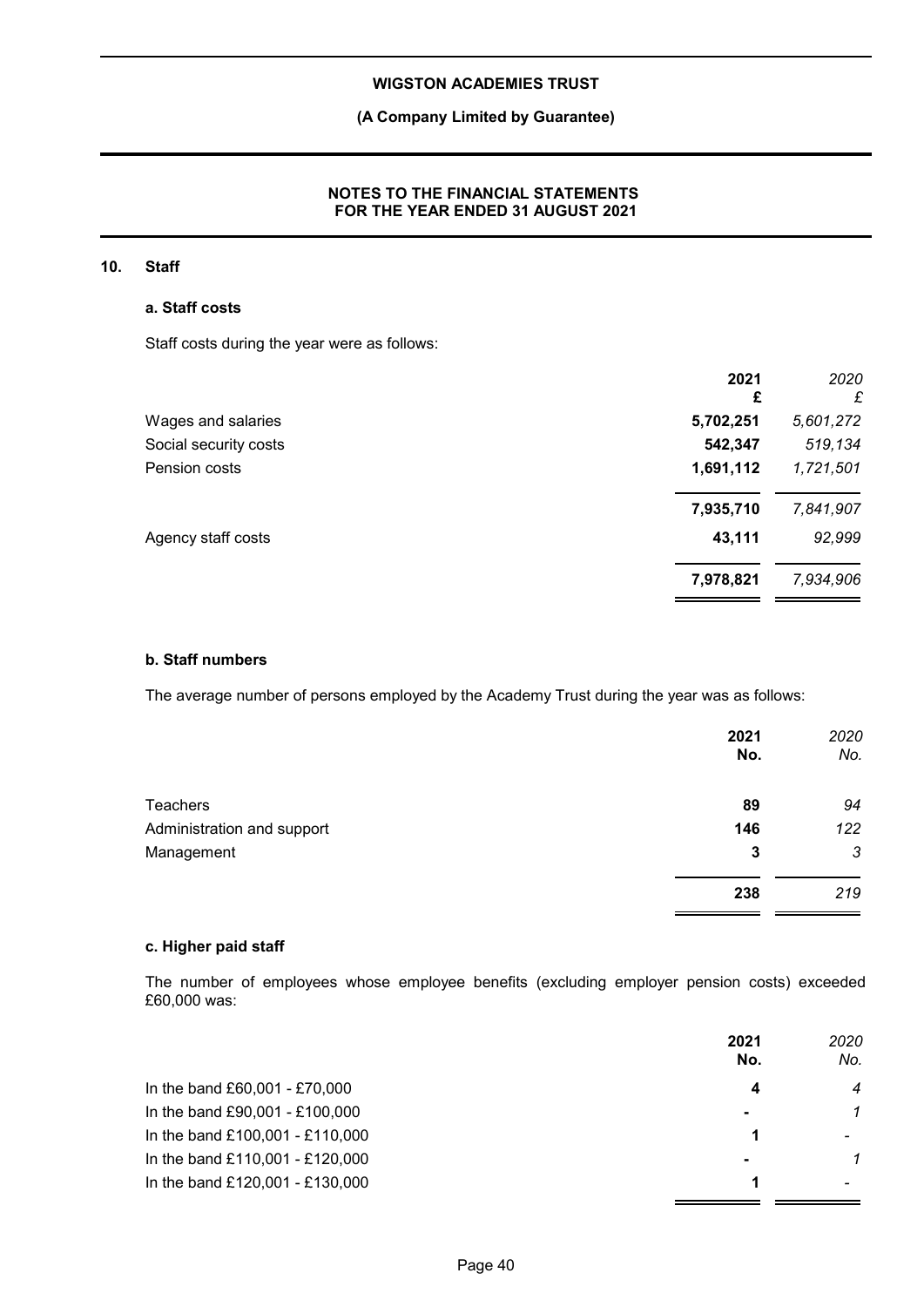## **(A Company Limited by Guarantee)**

### **NOTES TO THE FINANCIAL STATEMENTS FOR THE YEAR ENDED 31 AUGUST 2021**

### **10. Staff**

### **a. Staff costs**

Staff costs during the year were as follows:

| 2021<br>£ | 2020<br>£ |
|-----------|-----------|
| 5,702,251 | 5,601,272 |
| 542,347   | 519,134   |
| 1,691,112 | 1,721,501 |
| 7,935,710 | 7,841,907 |
| 43,111    | 92,999    |
| 7,978,821 | 7,934,906 |
|           |           |

### **b. Staff numbers**

The average number of persons employed by the Academy Trust during the year was as follows:

|                            | 2021<br>No. | 2020<br>No. |
|----------------------------|-------------|-------------|
| <b>Teachers</b>            | 89          | 94          |
| Administration and support | 146         | 122         |
| Management                 | 3           | 3           |
|                            | 238         | 219         |

### **c. Higher paid staff**

The number of employees whose employee benefits (excluding employer pension costs) exceeded £60,000 was:

|                                 | 2021<br>No.    | 2020<br>No. |
|---------------------------------|----------------|-------------|
| In the band £60,001 - £70,000   | 4              | 4           |
| In the band £90,001 - £100,000  | $\blacksquare$ | 1           |
| In the band £100,001 - £110,000 |                |             |
| In the band £110,001 - £120,000 | $\blacksquare$ | 1           |
| In the band £120,001 - £130,000 |                |             |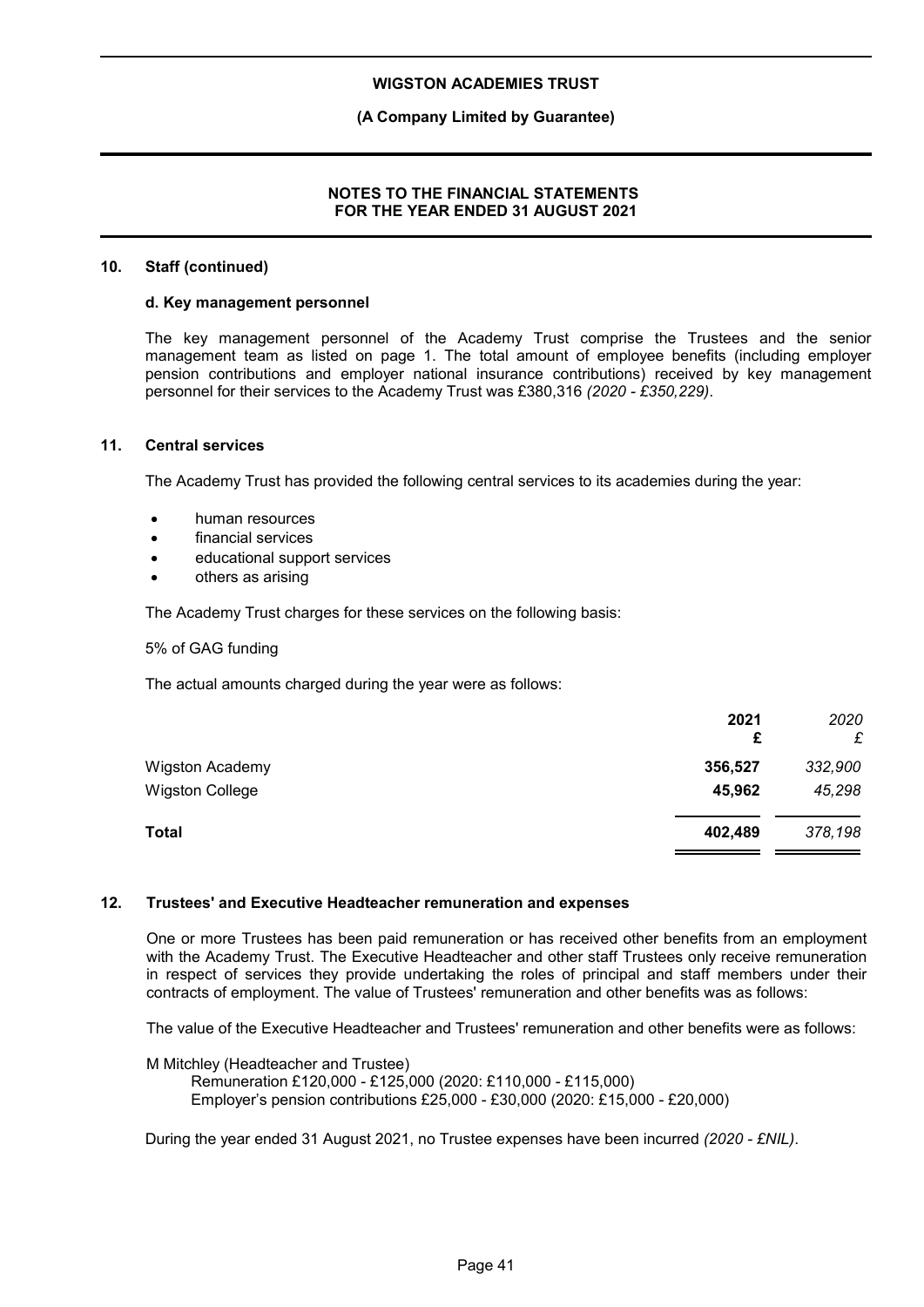### **(A Company Limited by Guarantee)**

### **NOTES TO THE FINANCIAL STATEMENTS FOR THE YEAR ENDED 31 AUGUST 2021**

#### **10. Staff (continued)**

#### **d. Key management personnel**

The key management personnel of the Academy Trust comprise the Trustees and the senior management team as listed on page 1. The total amount of employee benefits (including employer pension contributions and employer national insurance contributions) received by key management personnel for their services to the Academy Trust was £380,316 *(2020 - £350,229)*.

#### **11. Central services**

The Academy Trust has provided the following central services to its academies during the year:

- human resources
- financial services
- educational support services
- others as arising

The Academy Trust charges for these services on the following basis:

5% of GAG funding

The actual amounts charged during the year were as follows:

|                        | 2021<br>£ | 2020<br>£ |
|------------------------|-----------|-----------|
| <b>Wigston Academy</b> | 356,527   | 332,900   |
| <b>Wigston College</b> | 45,962    | 45,298    |
| <b>Total</b>           | 402,489   | 378,198   |

#### **12. Trustees' and Executive Headteacher remuneration and expenses**

One or more Trustees has been paid remuneration or has received other benefits from an employment with the Academy Trust. The Executive Headteacher and other staff Trustees only receive remuneration in respect of services they provide undertaking the roles of principal and staff members under their contracts of employment. The value of Trustees' remuneration and other benefits was as follows:

The value of the Executive Headteacher and Trustees' remuneration and other benefits were as follows:

M Mitchley (Headteacher and Trustee)

Remuneration £120,000 - £125,000 (2020: £110,000 - £115,000) Employer's pension contributions £25,000 - £30,000 (2020: £15,000 - £20,000)

During the year ended 31 August 2021, no Trustee expenses have been incurred *(2020 - £NIL)*.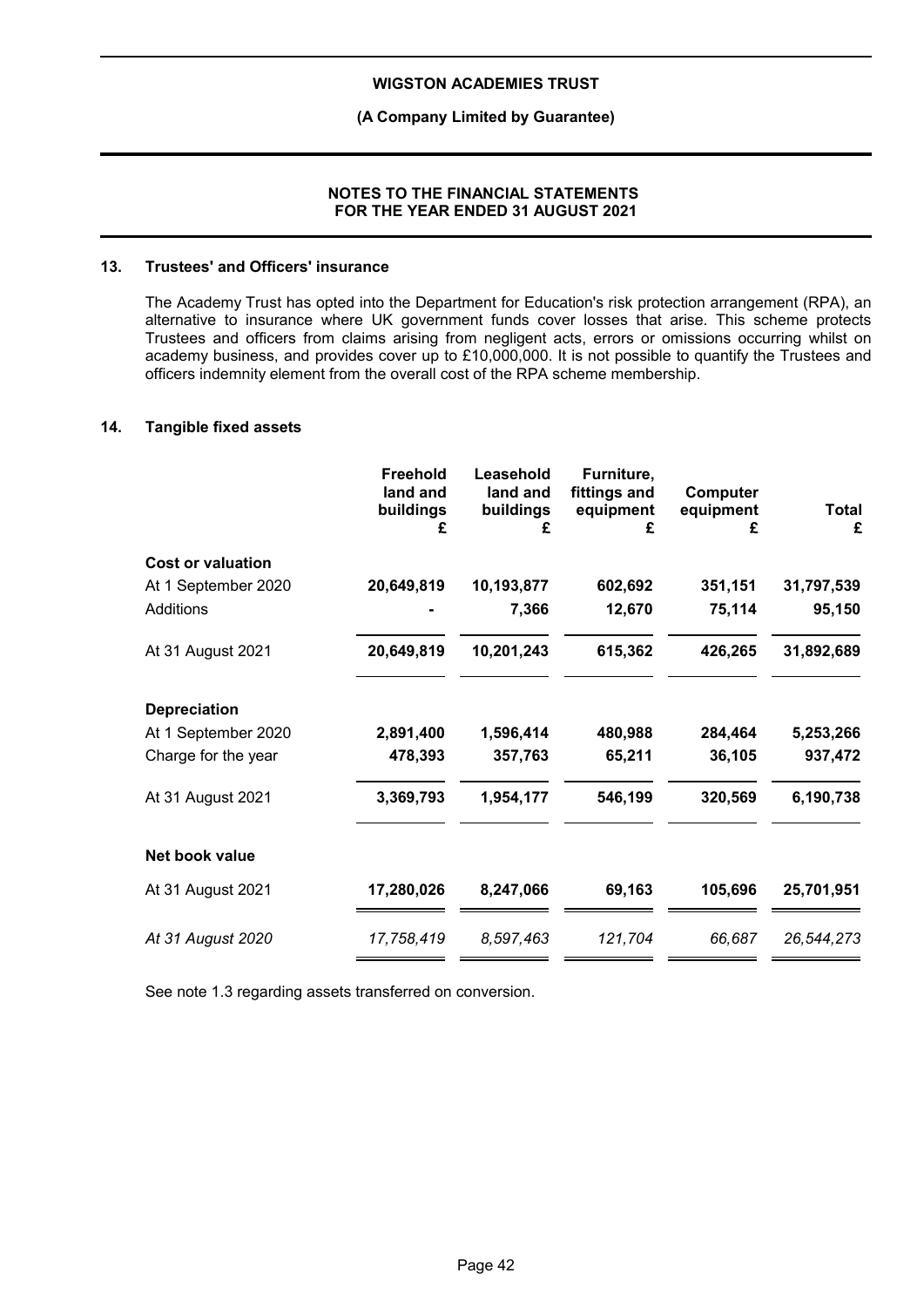### **(A Company Limited by Guarantee)**

#### **NOTES TO THE FINANCIAL STATEMENTS FOR THE YEAR ENDED 31 AUGUST 2021**

#### **13. Trustees' and Officers' insurance**

The Academy Trust has opted into the Department for Education's risk protection arrangement (RPA), an alternative to insurance where UK government funds cover losses that arise. This scheme protects Trustees and officers from claims arising from negligent acts, errors or omissions occurring whilst on academy business, and provides cover up to £10,000,000. It is not possible to quantify the Trustees and officers indemnity element from the overall cost of the RPA scheme membership.

#### **14. Tangible fixed assets**

|                          | Freehold<br>land and<br>buildings<br>£ | Leasehold<br>land and<br>buildings | Furniture,<br>fittings and<br>equipment<br>£ | Computer<br>equipment<br>£ | <b>Total</b><br>£ |
|--------------------------|----------------------------------------|------------------------------------|----------------------------------------------|----------------------------|-------------------|
| <b>Cost or valuation</b> |                                        |                                    |                                              |                            |                   |
| At 1 September 2020      | 20,649,819                             | 10,193,877                         | 602,692                                      | 351,151                    | 31,797,539        |
| Additions                |                                        | 7,366                              | 12,670                                       | 75,114                     | 95,150            |
| At 31 August 2021        | 20,649,819                             | 10,201,243                         | 615,362                                      | 426,265                    | 31,892,689        |
| <b>Depreciation</b>      |                                        |                                    |                                              |                            |                   |
| At 1 September 2020      | 2,891,400                              | 1,596,414                          | 480,988                                      | 284,464                    | 5,253,266         |
| Charge for the year      | 478,393                                | 357,763                            | 65,211                                       | 36,105                     | 937,472           |
| At 31 August 2021        | 3,369,793                              | 1,954,177                          | 546,199                                      | 320,569                    | 6,190,738         |
| Net book value           |                                        |                                    |                                              |                            |                   |
| At 31 August 2021        | 17,280,026                             | 8,247,066                          | 69,163                                       | 105,696                    | 25,701,951        |
| At 31 August 2020        | 17,758,419                             | 8,597,463                          | 121,704                                      | 66,687                     | 26,544,273        |

See note 1.3 regarding assets transferred on conversion.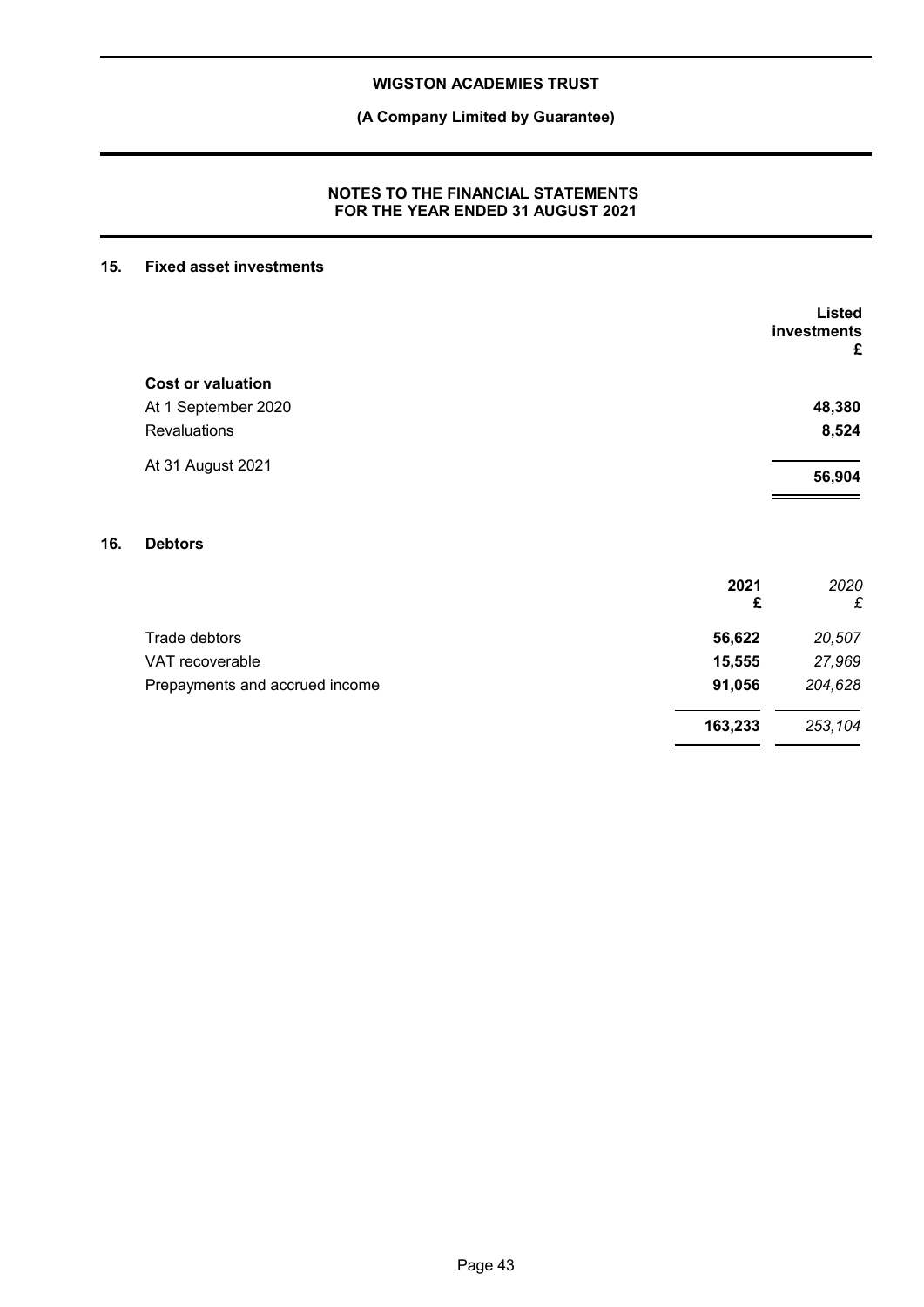**(A Company Limited by Guarantee)**

### **NOTES TO THE FINANCIAL STATEMENTS FOR THE YEAR ENDED 31 AUGUST 2021**

### **15. Fixed asset investments**

|     |                                |           | <b>Listed</b><br>investments<br>£ |
|-----|--------------------------------|-----------|-----------------------------------|
|     | <b>Cost or valuation</b>       |           |                                   |
|     | At 1 September 2020            |           | 48,380                            |
|     | <b>Revaluations</b>            |           | 8,524                             |
|     | At 31 August 2021              |           | 56,904                            |
| 16. | <b>Debtors</b>                 |           |                                   |
|     |                                | 2021<br>£ | 2020<br>£                         |
|     | Trade debtors                  | 56,622    | 20,507                            |
|     | VAT recoverable                | 15,555    | 27,969                            |
|     | Prepayments and accrued income | 91,056    | 204,628                           |
|     |                                | 163,233   | 253,104                           |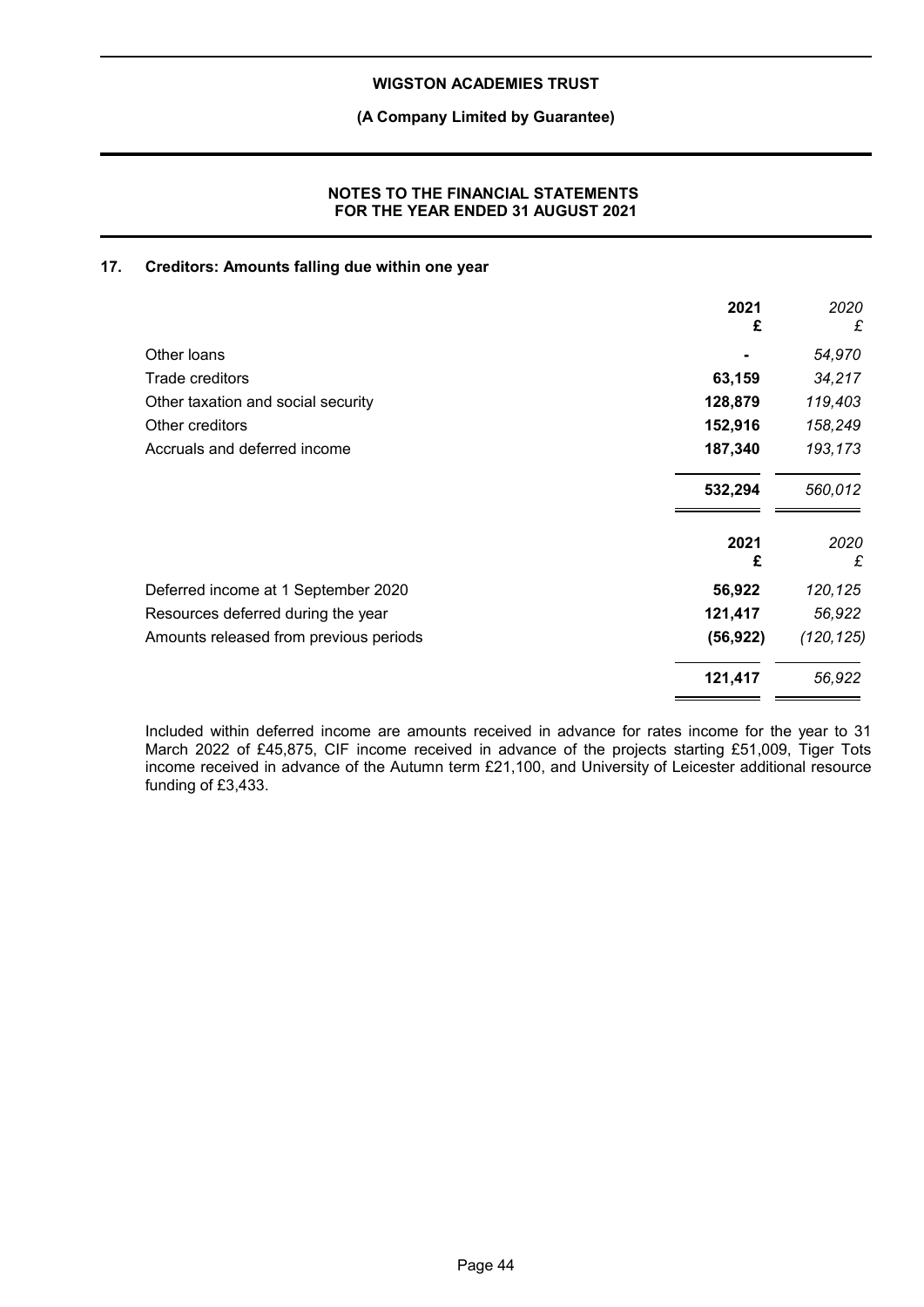### **(A Company Limited by Guarantee)**

### **NOTES TO THE FINANCIAL STATEMENTS FOR THE YEAR ENDED 31 AUGUST 2021**

### **17. Creditors: Amounts falling due within one year**

|                                        | 2021<br>£ | 2020<br>£ |
|----------------------------------------|-----------|-----------|
| Other loans                            |           | 54,970    |
| Trade creditors                        | 63,159    | 34,217    |
| Other taxation and social security     | 128,879   | 119,403   |
| Other creditors                        | 152,916   | 158,249   |
| Accruals and deferred income           | 187,340   | 193,173   |
|                                        | 532,294   | 560,012   |
|                                        | 2021<br>£ | 2020<br>£ |
| Deferred income at 1 September 2020    | 56,922    | 120,125   |
| Resources deferred during the year     | 121,417   | 56,922    |
| Amounts released from previous periods | (56, 922) | (120,125) |
|                                        | 121,417   | 56,922    |

Included within deferred income are amounts received in advance for rates income for the year to 31 March 2022 of £45,875, CIF income received in advance of the projects starting £51,009, Tiger Tots income received in advance of the Autumn term £21,100, and University of Leicester additional resource funding of £3,433.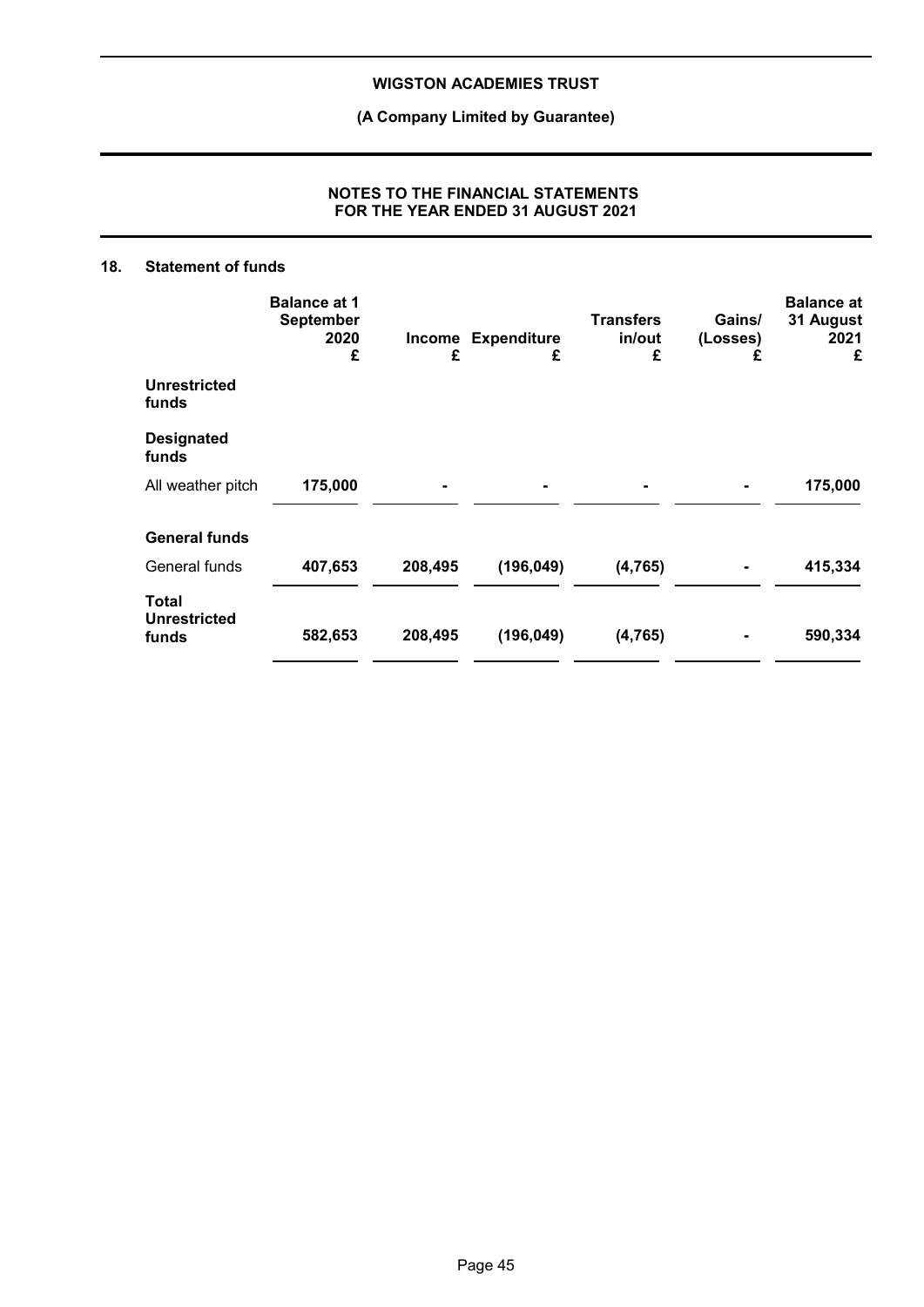**(A Company Limited by Guarantee)**

### **NOTES TO THE FINANCIAL STATEMENTS FOR THE YEAR ENDED 31 AUGUST 2021**

### **18. Statement of funds**

|                                              | <b>Balance at 1</b><br><b>September</b><br>2020<br>£ | Income<br>£ | <b>Expenditure</b><br>£ | <b>Transfers</b><br>in/out<br>£ | Gains/<br>(Losses)<br>£ | <b>Balance at</b><br>31 August<br>2021<br>£ |
|----------------------------------------------|------------------------------------------------------|-------------|-------------------------|---------------------------------|-------------------------|---------------------------------------------|
| <b>Unrestricted</b><br>funds                 |                                                      |             |                         |                                 |                         |                                             |
| <b>Designated</b><br>funds                   |                                                      |             |                         |                                 |                         |                                             |
| All weather pitch                            | 175,000                                              |             |                         |                                 |                         | 175,000                                     |
| <b>General funds</b>                         |                                                      |             |                         |                                 |                         |                                             |
| General funds                                | 407,653                                              | 208,495     | (196, 049)              | (4, 765)                        |                         | 415,334                                     |
| <b>Total</b><br><b>Unrestricted</b><br>funds | 582,653                                              | 208,495     | (196, 049)              | (4, 765)                        |                         | 590,334                                     |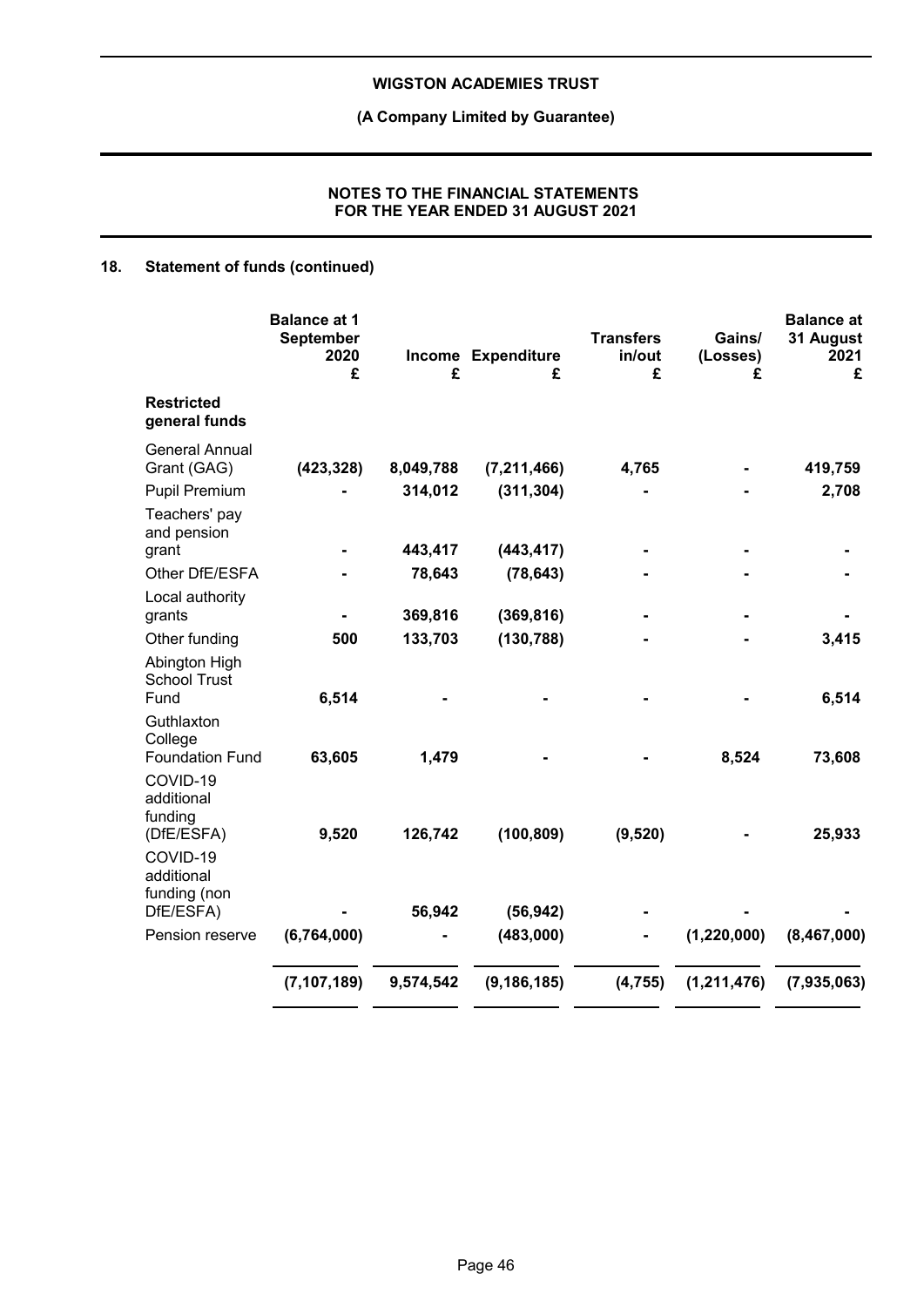## **(A Company Limited by Guarantee)**

### **NOTES TO THE FINANCIAL STATEMENTS FOR THE YEAR ENDED 31 AUGUST 2021**

## **18. Statement of funds (continued)**

|                                                      | <b>Balance at 1</b><br><b>September</b><br>2020<br>£ | £         | Income Expenditure<br>£ | <b>Transfers</b><br>in/out<br>£ | Gains/<br>(Losses)<br>£ | <b>Balance at</b><br>31 August<br>2021<br>£ |
|------------------------------------------------------|------------------------------------------------------|-----------|-------------------------|---------------------------------|-------------------------|---------------------------------------------|
| <b>Restricted</b><br>general funds                   |                                                      |           |                         |                                 |                         |                                             |
| <b>General Annual</b><br>Grant (GAG)                 | (423, 328)                                           | 8,049,788 | (7, 211, 466)           | 4,765                           |                         | 419,759                                     |
| Pupil Premium                                        |                                                      | 314,012   | (311, 304)              |                                 |                         | 2,708                                       |
| Teachers' pay<br>and pension<br>grant                |                                                      | 443,417   | (443, 417)              |                                 |                         |                                             |
| Other DfE/ESFA                                       |                                                      | 78,643    | (78, 643)               |                                 |                         |                                             |
| Local authority<br>grants                            |                                                      | 369,816   | (369, 816)              |                                 |                         |                                             |
| Other funding                                        | 500                                                  | 133,703   | (130, 788)              |                                 |                         | 3,415                                       |
| Abington High<br><b>School Trust</b><br>Fund         | 6,514                                                |           |                         |                                 |                         | 6,514                                       |
| Guthlaxton<br>College<br><b>Foundation Fund</b>      | 63,605                                               | 1,479     |                         |                                 | 8,524                   | 73,608                                      |
| COVID-19<br>additional<br>funding                    |                                                      |           |                         |                                 |                         |                                             |
| (DfE/ESFA)<br>COVID-19<br>additional<br>funding (non | 9,520                                                | 126,742   | (100, 809)              | (9, 520)                        |                         | 25,933                                      |
| DfE/ESFA)                                            |                                                      | 56,942    | (56, 942)               |                                 |                         |                                             |
| Pension reserve                                      | (6,764,000)                                          |           | (483,000)               |                                 | (1, 220, 000)           | (8,467,000)                                 |
|                                                      | (7, 107, 189)                                        | 9,574,542 | (9, 186, 185)           | (4, 755)                        | (1,211,476)             | (7,935,063)                                 |
|                                                      |                                                      |           |                         |                                 |                         |                                             |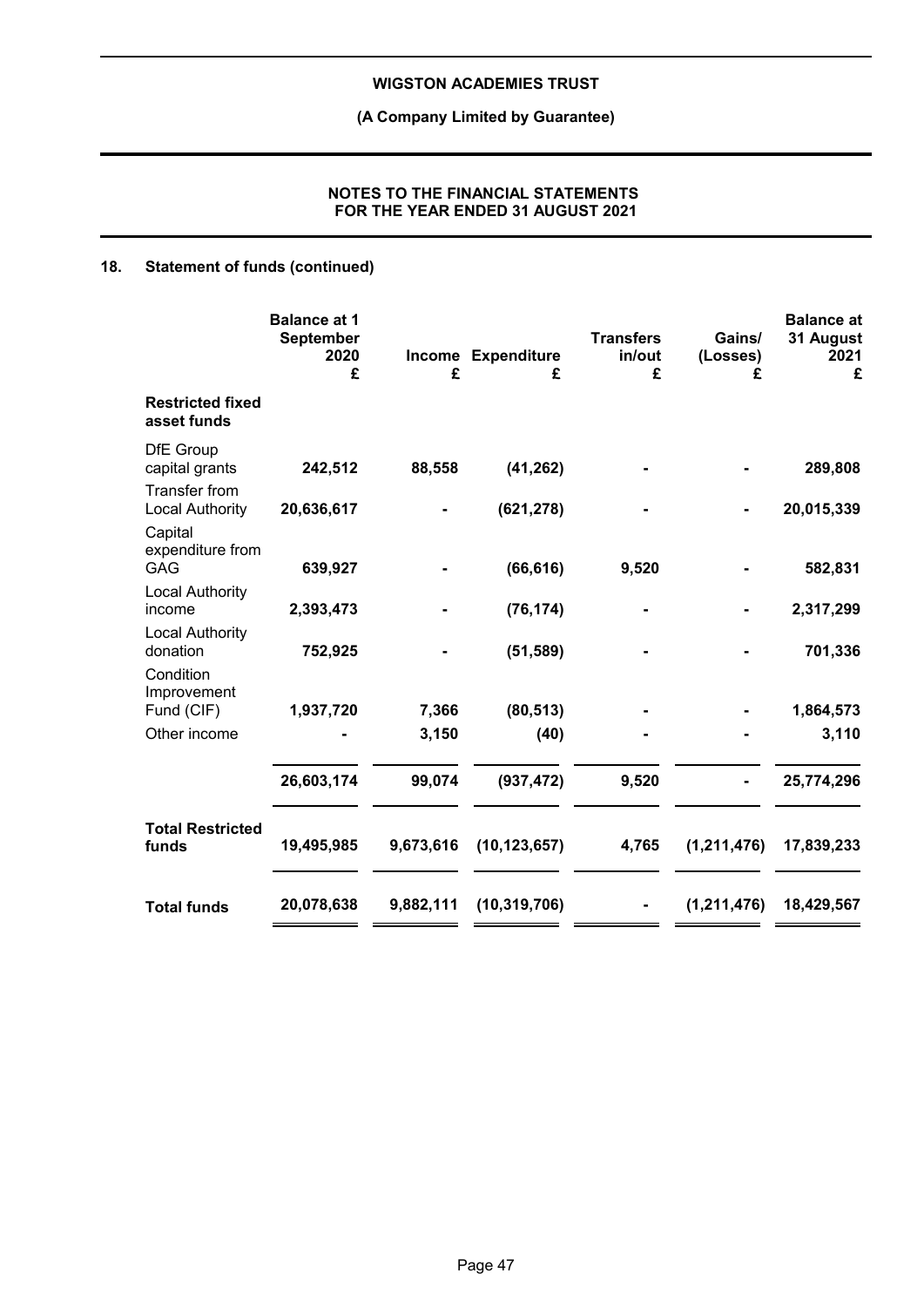## **(A Company Limited by Guarantee)**

### **NOTES TO THE FINANCIAL STATEMENTS FOR THE YEAR ENDED 31 AUGUST 2021**

## **18. Statement of funds (continued)**

|                                                        | <b>Balance at 1</b><br>September<br>2020<br>£ | £              | Income Expenditure<br>£ | <b>Transfers</b><br>in/out<br>£ | Gains/<br>(Losses)<br>£ | <b>Balance</b> at<br>31 August<br>2021<br>£ |
|--------------------------------------------------------|-----------------------------------------------|----------------|-------------------------|---------------------------------|-------------------------|---------------------------------------------|
| <b>Restricted fixed</b><br>asset funds                 |                                               |                |                         |                                 |                         |                                             |
| <b>DfE</b> Group<br>capital grants                     | 242,512                                       | 88,558         | (41, 262)               |                                 |                         | 289,808                                     |
| <b>Transfer from</b><br><b>Local Authority</b>         | 20,636,617                                    |                | (621, 278)              |                                 |                         | 20,015,339                                  |
| Capital<br>expenditure from<br><b>GAG</b>              | 639,927                                       |                | (66, 616)               | 9,520                           |                         | 582,831                                     |
| <b>Local Authority</b><br>income                       | 2,393,473                                     |                | (76, 174)               |                                 |                         | 2,317,299                                   |
| <b>Local Authority</b><br>donation                     | 752,925                                       |                | (51, 589)               |                                 |                         | 701,336                                     |
| Condition<br>Improvement<br>Fund (CIF)<br>Other income | 1,937,720                                     | 7,366<br>3,150 | (80, 513)<br>(40)       |                                 |                         | 1,864,573<br>3,110                          |
|                                                        | 26,603,174                                    | 99,074         | (937, 472)              | 9,520                           |                         | 25,774,296                                  |
| <b>Total Restricted</b><br>funds                       | 19,495,985                                    | 9,673,616      | (10, 123, 657)          | 4,765                           | (1,211,476)             | 17,839,233                                  |
| <b>Total funds</b>                                     | 20,078,638                                    | 9,882,111      | (10, 319, 706)          |                                 | (1, 211, 476)           | 18,429,567                                  |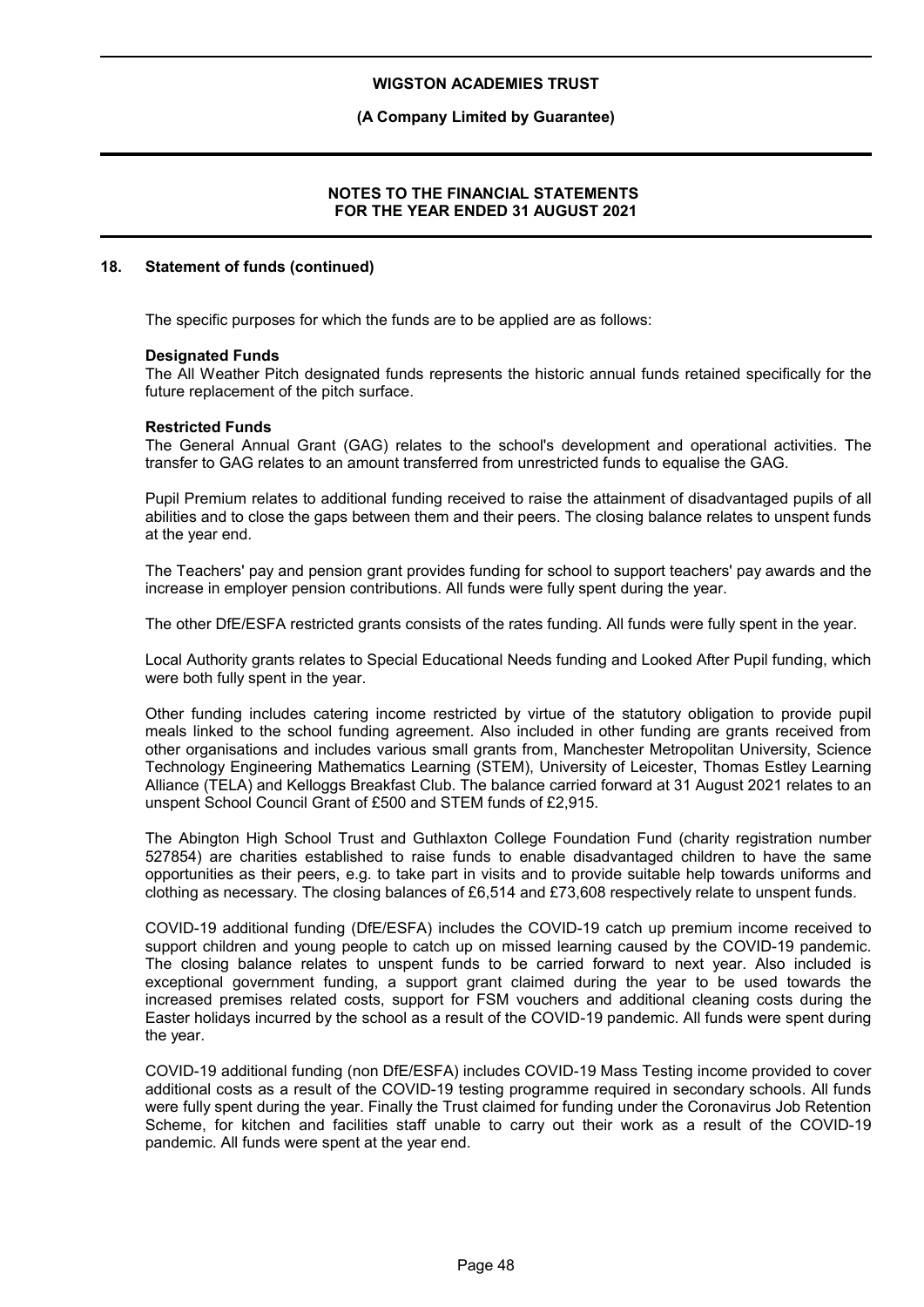### **(A Company Limited by Guarantee)**

### **NOTES TO THE FINANCIAL STATEMENTS FOR THE YEAR ENDED 31 AUGUST 2021**

### **18. Statement of funds (continued)**

The specific purposes for which the funds are to be applied are as follows:

#### **Designated Funds**

The All Weather Pitch designated funds represents the historic annual funds retained specifically for the future replacement of the pitch surface.

#### **Restricted Funds**

The General Annual Grant (GAG) relates to the school's development and operational activities. The transfer to GAG relates to an amount transferred from unrestricted funds to equalise the GAG.

Pupil Premium relates to additional funding received to raise the attainment of disadvantaged pupils of all abilities and to close the gaps between them and their peers. The closing balance relates to unspent funds at the year end.

The Teachers' pay and pension grant provides funding for school to support teachers' pay awards and the increase in employer pension contributions. All funds were fully spent during the year.

The other DfE/ESFA restricted grants consists of the rates funding. All funds were fully spent in the year.

Local Authority grants relates to Special Educational Needs funding and Looked After Pupil funding, which were both fully spent in the year.

Other funding includes catering income restricted by virtue of the statutory obligation to provide pupil meals linked to the school funding agreement. Also included in other funding are grants received from other organisations and includes various small grants from, Manchester Metropolitan University, Science Technology Engineering Mathematics Learning (STEM), University of Leicester, Thomas Estley Learning Alliance (TELA) and Kelloggs Breakfast Club. The balance carried forward at 31 August 2021 relates to an unspent School Council Grant of £500 and STEM funds of £2,915.

The Abington High School Trust and Guthlaxton College Foundation Fund (charity registration number 527854) are charities established to raise funds to enable disadvantaged children to have the same opportunities as their peers, e.g. to take part in visits and to provide suitable help towards uniforms and clothing as necessary. The closing balances of £6,514 and £73,608 respectively relate to unspent funds.

COVID-19 additional funding (DfE/ESFA) includes the COVID-19 catch up premium income received to support children and young people to catch up on missed learning caused by the COVID-19 pandemic. The closing balance relates to unspent funds to be carried forward to next year. Also included is exceptional government funding, a support grant claimed during the year to be used towards the increased premises related costs, support for FSM vouchers and additional cleaning costs during the Easter holidays incurred by the school as a result of the COVID-19 pandemic. All funds were spent during the year.

COVID-19 additional funding (non DfE/ESFA) includes COVID-19 Mass Testing income provided to cover additional costs as a result of the COVID-19 testing programme required in secondary schools. All funds were fully spent during the year. Finally the Trust claimed for funding under the Coronavirus Job Retention Scheme, for kitchen and facilities staff unable to carry out their work as a result of the COVID-19 pandemic. All funds were spent at the year end.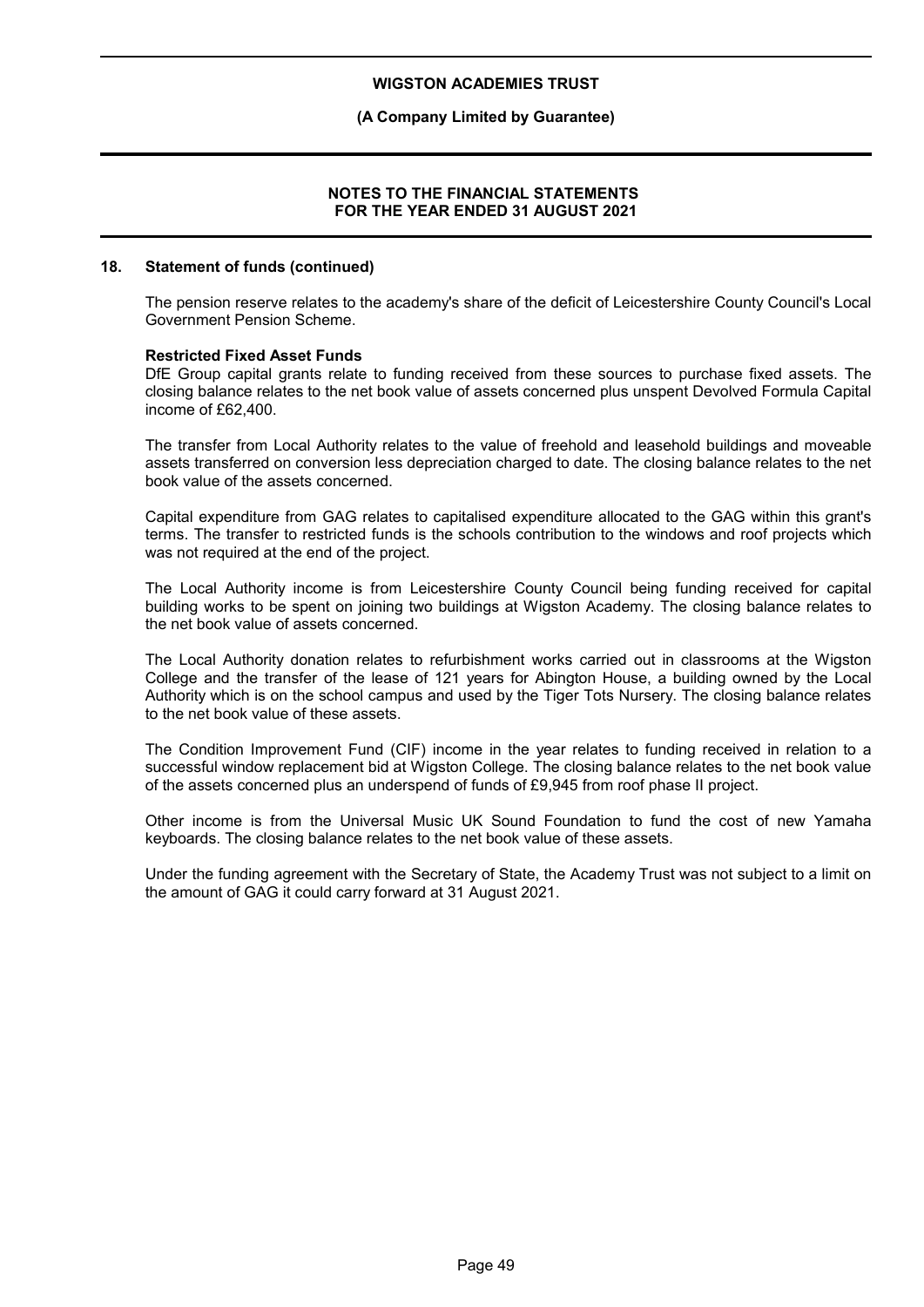### **(A Company Limited by Guarantee)**

#### **NOTES TO THE FINANCIAL STATEMENTS FOR THE YEAR ENDED 31 AUGUST 2021**

#### **18. Statement of funds (continued)**

The pension reserve relates to the academy's share of the deficit of Leicestershire County Council's Local Government Pension Scheme.

#### **Restricted Fixed Asset Funds**

DfE Group capital grants relate to funding received from these sources to purchase fixed assets. The closing balance relates to the net book value of assets concerned plus unspent Devolved Formula Capital income of £62,400.

The transfer from Local Authority relates to the value of freehold and leasehold buildings and moveable assets transferred on conversion less depreciation charged to date. The closing balance relates to the net book value of the assets concerned.

Capital expenditure from GAG relates to capitalised expenditure allocated to the GAG within this grant's terms. The transfer to restricted funds is the schools contribution to the windows and roof projects which was not required at the end of the project.

The Local Authority income is from Leicestershire County Council being funding received for capital building works to be spent on joining two buildings at Wigston Academy. The closing balance relates to the net book value of assets concerned.

The Local Authority donation relates to refurbishment works carried out in classrooms at the Wigston College and the transfer of the lease of 121 years for Abington House, a building owned by the Local Authority which is on the school campus and used by the Tiger Tots Nursery. The closing balance relates to the net book value of these assets.

The Condition Improvement Fund (CIF) income in the year relates to funding received in relation to a successful window replacement bid at Wigston College. The closing balance relates to the net book value of the assets concerned plus an underspend of funds of £9,945 from roof phase II project.

Other income is from the Universal Music UK Sound Foundation to fund the cost of new Yamaha keyboards. The closing balance relates to the net book value of these assets.

Under the funding agreement with the Secretary of State, the Academy Trust was not subject to a limit on the amount of GAG it could carry forward at 31 August 2021.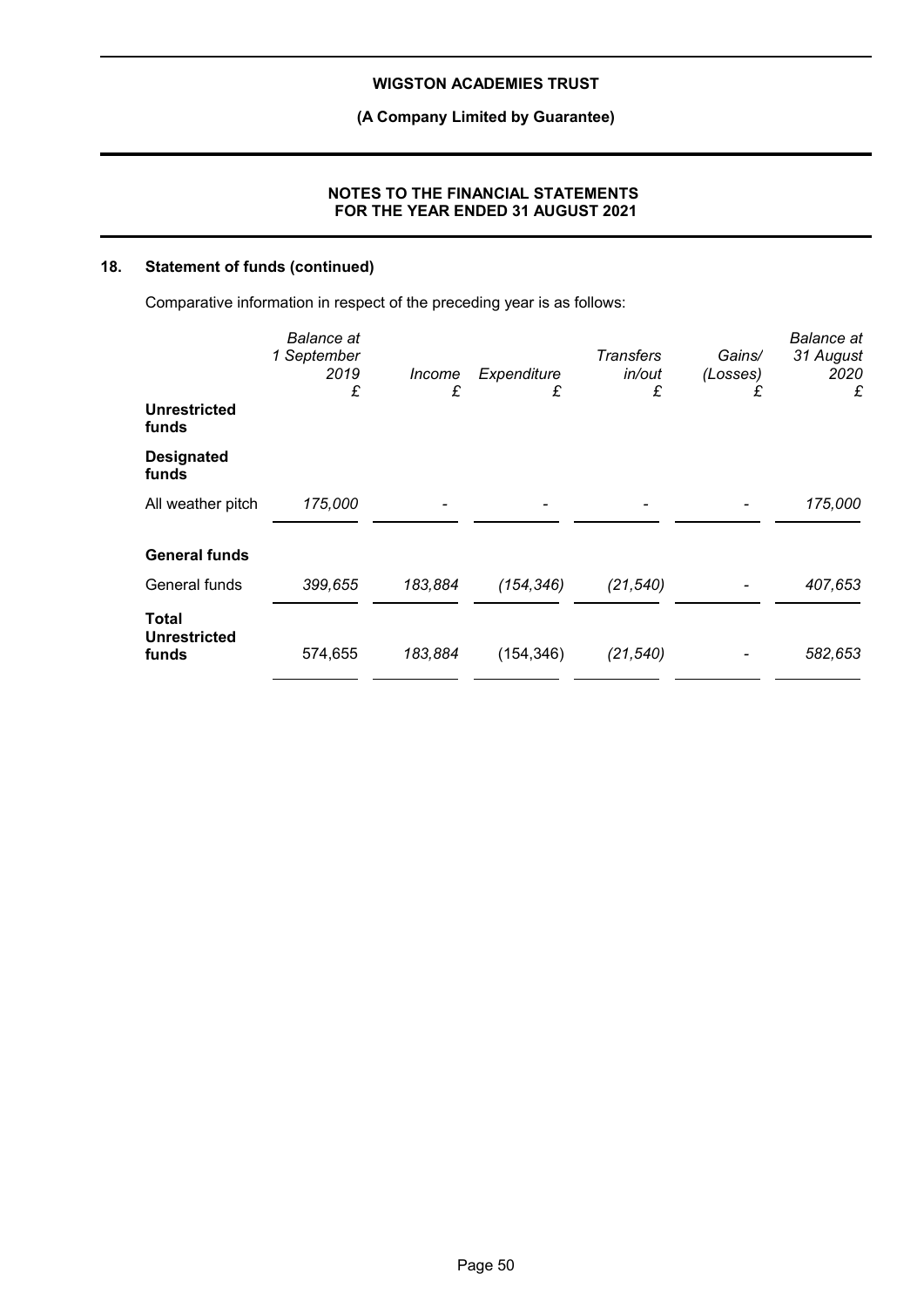**(A Company Limited by Guarantee)**

### **NOTES TO THE FINANCIAL STATEMENTS FOR THE YEAR ENDED 31 AUGUST 2021**

## **18. Statement of funds (continued)**

Comparative information in respect of the preceding year is as follows:

|                                       | <b>Balance</b> at<br>1 September<br>2019<br>£ | <i>Income</i><br>£ | Expenditure<br>£ | <b>Transfers</b><br>in/out<br>£ | Gains/<br>(Losses)<br>£ | <b>Balance</b> at<br>31 August<br>2020<br>£ |
|---------------------------------------|-----------------------------------------------|--------------------|------------------|---------------------------------|-------------------------|---------------------------------------------|
| <b>Unrestricted</b><br>funds          |                                               |                    |                  |                                 |                         |                                             |
| <b>Designated</b><br>funds            |                                               |                    |                  |                                 |                         |                                             |
| All weather pitch                     | 175,000                                       |                    |                  |                                 |                         | 175,000                                     |
| <b>General funds</b>                  |                                               |                    |                  |                                 |                         |                                             |
| General funds                         | 399,655                                       | 183,884            | (154, 346)       | (21, 540)                       |                         | 407,653                                     |
| Total<br><b>Unrestricted</b><br>funds | 574,655                                       | 183,884            | (154, 346)       | (21, 540)                       |                         | 582,653                                     |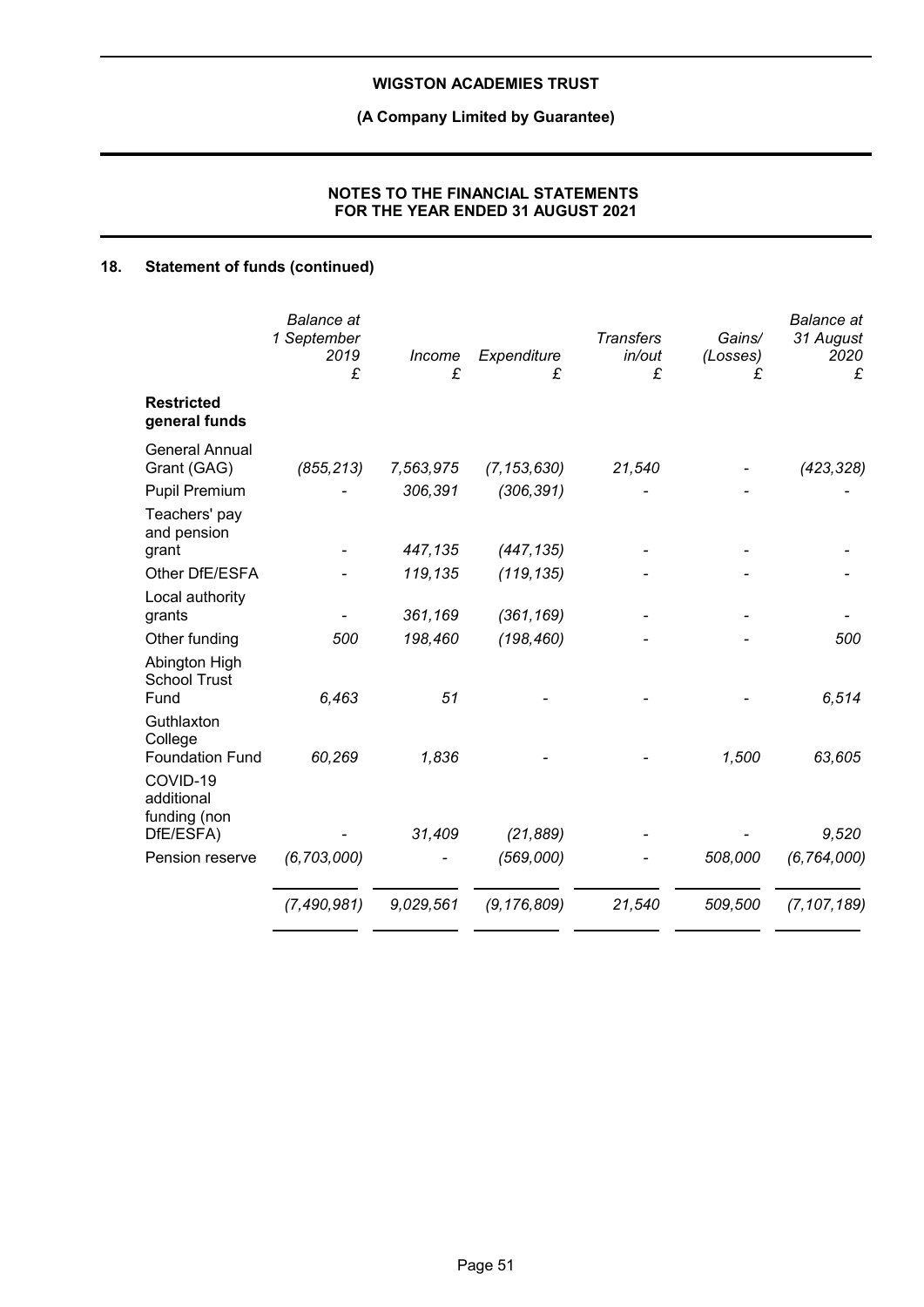## **(A Company Limited by Guarantee)**

### **NOTES TO THE FINANCIAL STATEMENTS FOR THE YEAR ENDED 31 AUGUST 2021**

## **18. Statement of funds (continued)**

|                                                     | <b>Balance</b> at<br>1 September<br>2019<br>£ | Income<br>£ | Expenditure<br>£       | <b>Transfers</b><br>in/out<br>£ | Gains/<br>(Losses)<br>£ | <b>Balance</b> at<br>31 August<br>2020<br>£ |
|-----------------------------------------------------|-----------------------------------------------|-------------|------------------------|---------------------------------|-------------------------|---------------------------------------------|
| <b>Restricted</b><br>general funds                  |                                               |             |                        |                                 |                         |                                             |
| <b>General Annual</b><br>Grant (GAG)                | (855, 213)                                    | 7,563,975   | (7, 153, 630)          | 21,540                          |                         | (423, 328)                                  |
| <b>Pupil Premium</b>                                |                                               | 306,391     | (306, 391)             |                                 |                         |                                             |
| Teachers' pay<br>and pension<br>grant               |                                               | 447,135     | (447, 135)             |                                 |                         |                                             |
| Other DfE/ESFA                                      |                                               | 119,135     | (119, 135)             |                                 |                         |                                             |
| Local authority<br>grants                           |                                               | 361,169     | (361, 169)             |                                 |                         |                                             |
| Other funding                                       | 500                                           | 198,460     | (198, 460)             |                                 |                         | 500                                         |
| Abington High<br><b>School Trust</b><br>Fund        | 6,463                                         | 51          |                        |                                 |                         | 6,514                                       |
| Guthlaxton<br>College<br><b>Foundation Fund</b>     | 60,269                                        | 1,836       |                        |                                 | 1,500                   | 63,605                                      |
| COVID-19<br>additional<br>funding (non<br>DfE/ESFA) |                                               | 31,409      |                        |                                 |                         | 9,520                                       |
| Pension reserve                                     | (6, 703, 000)                                 |             | (21, 889)<br>(569,000) |                                 | 508,000                 | (6, 764, 000)                               |
|                                                     |                                               |             |                        |                                 |                         |                                             |
|                                                     | (7, 490, 981)                                 | 9,029,561   | (9, 176, 809)          | 21,540                          | 509,500                 | (7, 107, 189)                               |
|                                                     |                                               |             |                        |                                 |                         |                                             |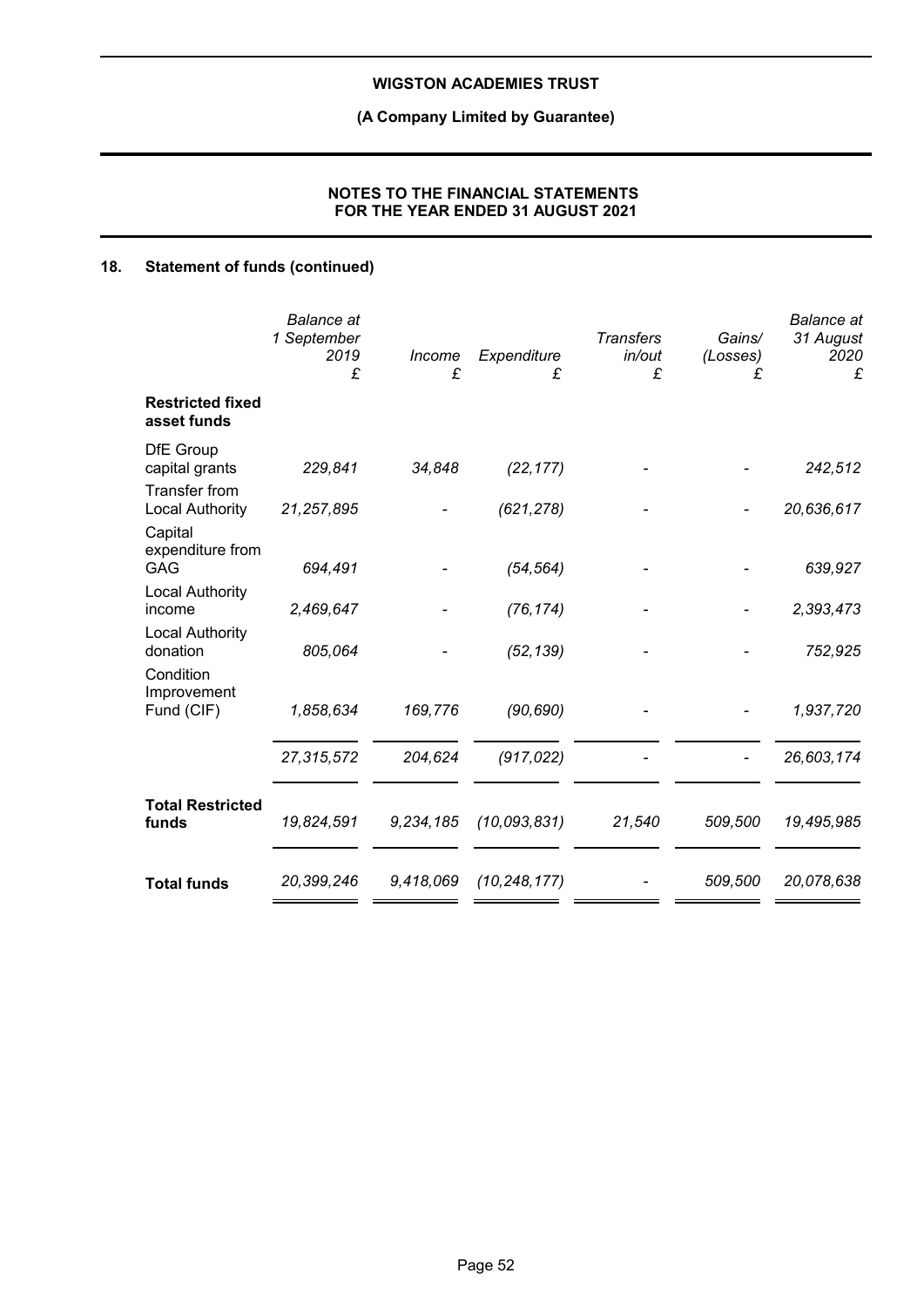## **(A Company Limited by Guarantee)**

### **NOTES TO THE FINANCIAL STATEMENTS FOR THE YEAR ENDED 31 AUGUST 2021**

## **18. Statement of funds (continued)**

|                                                | <b>Balance</b> at<br>1 September<br>2019<br>£ | Income<br>£ | Expenditure<br>£ | <b>Transfers</b><br>in/out<br>£ | Gains/<br>(Losses)<br>£ | <b>Balance</b> at<br>31 August<br>2020<br>£ |
|------------------------------------------------|-----------------------------------------------|-------------|------------------|---------------------------------|-------------------------|---------------------------------------------|
| <b>Restricted fixed</b><br>asset funds         |                                               |             |                  |                                 |                         |                                             |
| <b>DfE</b> Group<br>capital grants             | 229,841                                       | 34,848      | (22, 177)        |                                 |                         | 242,512                                     |
| <b>Transfer from</b><br><b>Local Authority</b> | 21,257,895                                    |             | (621, 278)       |                                 |                         | 20,636,617                                  |
| Capital<br>expenditure from<br><b>GAG</b>      | 694,491                                       |             | (54, 564)        |                                 |                         | 639,927                                     |
| <b>Local Authority</b><br>income               | 2,469,647                                     |             | (76, 174)        |                                 |                         | 2,393,473                                   |
| <b>Local Authority</b><br>donation             | 805,064                                       |             | (52, 139)        |                                 |                         | 752,925                                     |
| Condition<br>Improvement<br>Fund (CIF)         | 1,858,634                                     | 169,776     | (90, 690)        |                                 |                         | 1,937,720                                   |
|                                                | 27,315,572                                    | 204,624     | (917, 022)       |                                 |                         | 26,603,174                                  |
| <b>Total Restricted</b><br>funds               | 19,824,591                                    | 9,234,185   | (10,093,831)     | 21,540                          | 509,500                 | 19,495,985                                  |
| <b>Total funds</b>                             | 20,399,246                                    | 9,418,069   | (10, 248, 177)   |                                 | 509,500                 | 20,078,638                                  |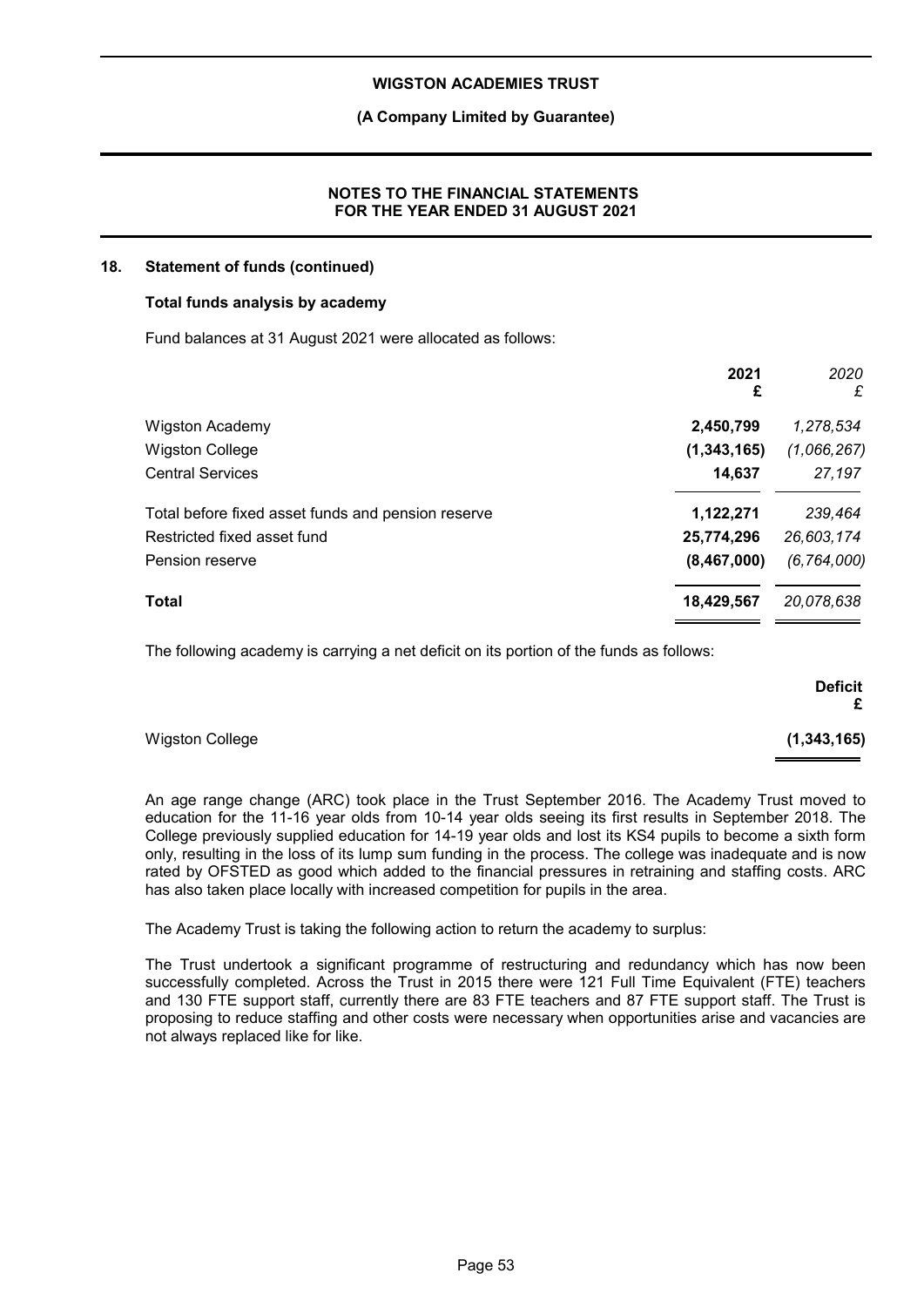### **(A Company Limited by Guarantee)**

### **NOTES TO THE FINANCIAL STATEMENTS FOR THE YEAR ENDED 31 AUGUST 2021**

#### **18. Statement of funds (continued)**

#### **Total funds analysis by academy**

Fund balances at 31 August 2021 were allocated as follows:

|                                                    | 2021<br>£   | 2020<br>£     |
|----------------------------------------------------|-------------|---------------|
| <b>Wigston Academy</b>                             | 2,450,799   | 1,278,534     |
| <b>Wigston College</b>                             | (1,343,165) | (1,066,267)   |
| <b>Central Services</b>                            | 14,637      | 27,197        |
| Total before fixed asset funds and pension reserve | 1,122,271   | 239,464       |
| Restricted fixed asset fund                        | 25,774,296  | 26,603,174    |
| Pension reserve                                    | (8,467,000) | (6, 764, 000) |
| Total                                              | 18,429,567  | 20,078,638    |

The following academy is carrying a net deficit on its portion of the funds as follows:

|                        | <b>Deficit</b><br>£ |
|------------------------|---------------------|
| <b>Wigston College</b> | (1, 343, 165)       |

An age range change (ARC) took place in the Trust September 2016. The Academy Trust moved to education for the 11-16 year olds from 10-14 year olds seeing its first results in September 2018. The College previously supplied education for 14-19 year olds and lost its KS4 pupils to become a sixth form only, resulting in the loss of its lump sum funding in the process. The college was inadequate and is now rated by OFSTED as good which added to the financial pressures in retraining and staffing costs. ARC has also taken place locally with increased competition for pupils in the area.

The Academy Trust is taking the following action to return the academy to surplus:

The Trust undertook a significant programme of restructuring and redundancy which has now been successfully completed. Across the Trust in 2015 there were 121 Full Time Equivalent (FTE) teachers and 130 FTE support staff, currently there are 83 FTE teachers and 87 FTE support staff. The Trust is proposing to reduce staffing and other costs were necessary when opportunities arise and vacancies are not always replaced like for like.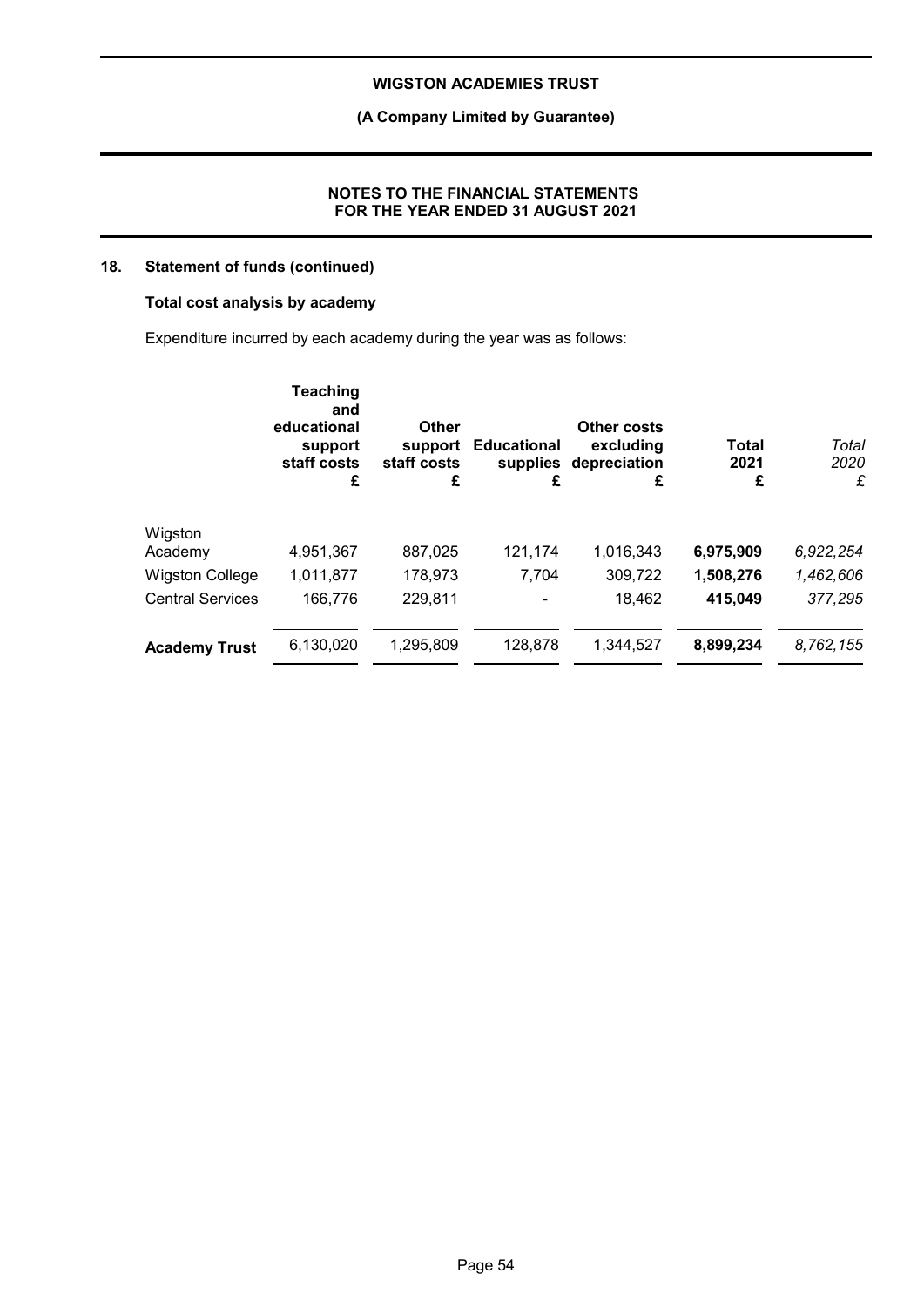### **(A Company Limited by Guarantee)**

### **NOTES TO THE FINANCIAL STATEMENTS FOR THE YEAR ENDED 31 AUGUST 2021**

## **18. Statement of funds (continued)**

### **Total cost analysis by academy**

Expenditure incurred by each academy during the year was as follows:

|                         | <b>Teaching</b><br>and<br>educational<br>support<br>staff costs<br>£ | Other<br>support<br>staff costs<br>£ | <b>Educational</b><br>£ | <b>Other costs</b><br>excluding<br>supplies depreciation<br>£ | Total<br>2021<br>£ | Total<br>2020<br>£ |
|-------------------------|----------------------------------------------------------------------|--------------------------------------|-------------------------|---------------------------------------------------------------|--------------------|--------------------|
| Wigston                 |                                                                      |                                      |                         |                                                               |                    |                    |
| Academy                 | 4,951,367                                                            | 887,025                              | 121,174                 | 1,016,343                                                     | 6,975,909          | 6,922,254          |
| <b>Wigston College</b>  | 1,011,877                                                            | 178,973                              | 7,704                   | 309,722                                                       | 1,508,276          | 1,462,606          |
| <b>Central Services</b> | 166.776                                                              | 229,811                              |                         | 18,462                                                        | 415,049            | 377,295            |
| <b>Academy Trust</b>    | 6,130,020                                                            | 1,295,809                            | 128,878                 | 1.344.527                                                     | 8,899,234          | 8,762,155          |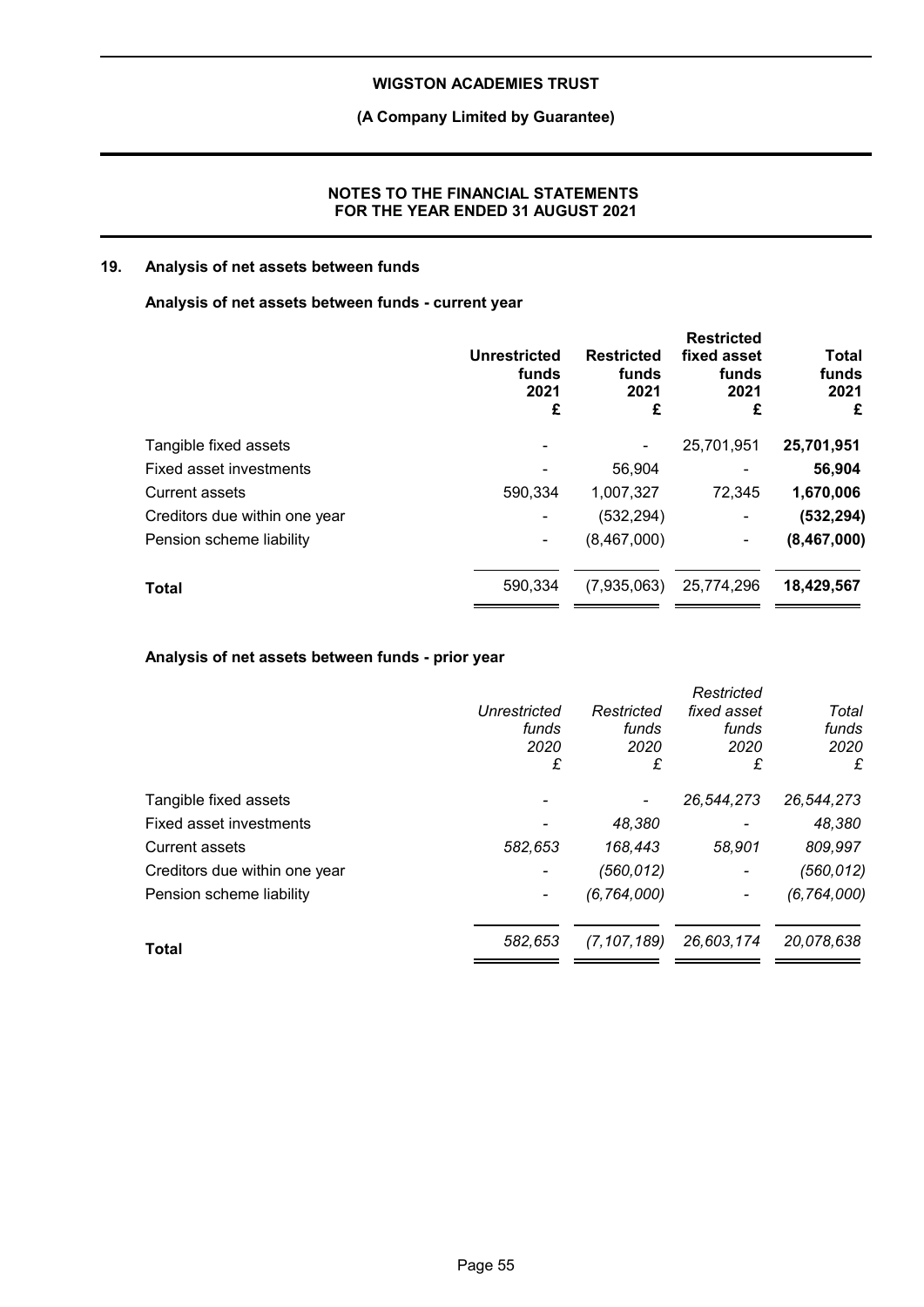### **(A Company Limited by Guarantee)**

### **NOTES TO THE FINANCIAL STATEMENTS FOR THE YEAR ENDED 31 AUGUST 2021**

### **19. Analysis of net assets between funds**

### **Analysis of net assets between funds - current year**

|                               | <b>Unrestricted</b><br>funds<br>2021<br>£ | <b>Restricted</b><br>funds<br>2021<br>£ | <b>Restricted</b><br>fixed asset<br>funds<br>2021<br>£ | <b>Total</b><br>funds<br>2021<br>£ |
|-------------------------------|-------------------------------------------|-----------------------------------------|--------------------------------------------------------|------------------------------------|
| Tangible fixed assets         |                                           |                                         | 25,701,951                                             | 25,701,951                         |
| Fixed asset investments       |                                           | 56,904                                  |                                                        | 56,904                             |
| <b>Current assets</b>         | 590,334                                   | 1,007,327                               | 72.345                                                 | 1,670,006                          |
| Creditors due within one year | $\blacksquare$                            | (532, 294)                              | -                                                      | (532, 294)                         |
| Pension scheme liability      | ۰                                         | (8,467,000)                             | -                                                      | (8,467,000)                        |
| <b>Total</b>                  | 590,334                                   | (7,935,063)                             | 25,774,296                                             | 18,429,567                         |
|                               |                                           |                                         |                                                        |                                    |

### **Analysis of net assets between funds - prior year**

|                               |              |               | Restricted               |               |
|-------------------------------|--------------|---------------|--------------------------|---------------|
|                               | Unrestricted | Restricted    | fixed asset              | Total         |
|                               | funds        | funds         | funds                    | funds         |
|                               | 2020         | 2020          | 2020                     | 2020          |
|                               | £            | £             | £                        | £             |
| Tangible fixed assets         |              |               | 26,544,273               | 26,544,273    |
| Fixed asset investments       |              | 48,380        |                          | 48,380        |
| <b>Current assets</b>         | 582,653      | 168,443       | 58,901                   | 809,997       |
| Creditors due within one year |              | (560,012)     | $\overline{\phantom{a}}$ | (560, 012)    |
| Pension scheme liability      |              | (6, 764, 000) |                          | (6, 764, 000) |
| Total                         | 582,653      | (7, 107, 189) | 26,603,174               | 20,078,638    |
|                               |              |               |                          |               |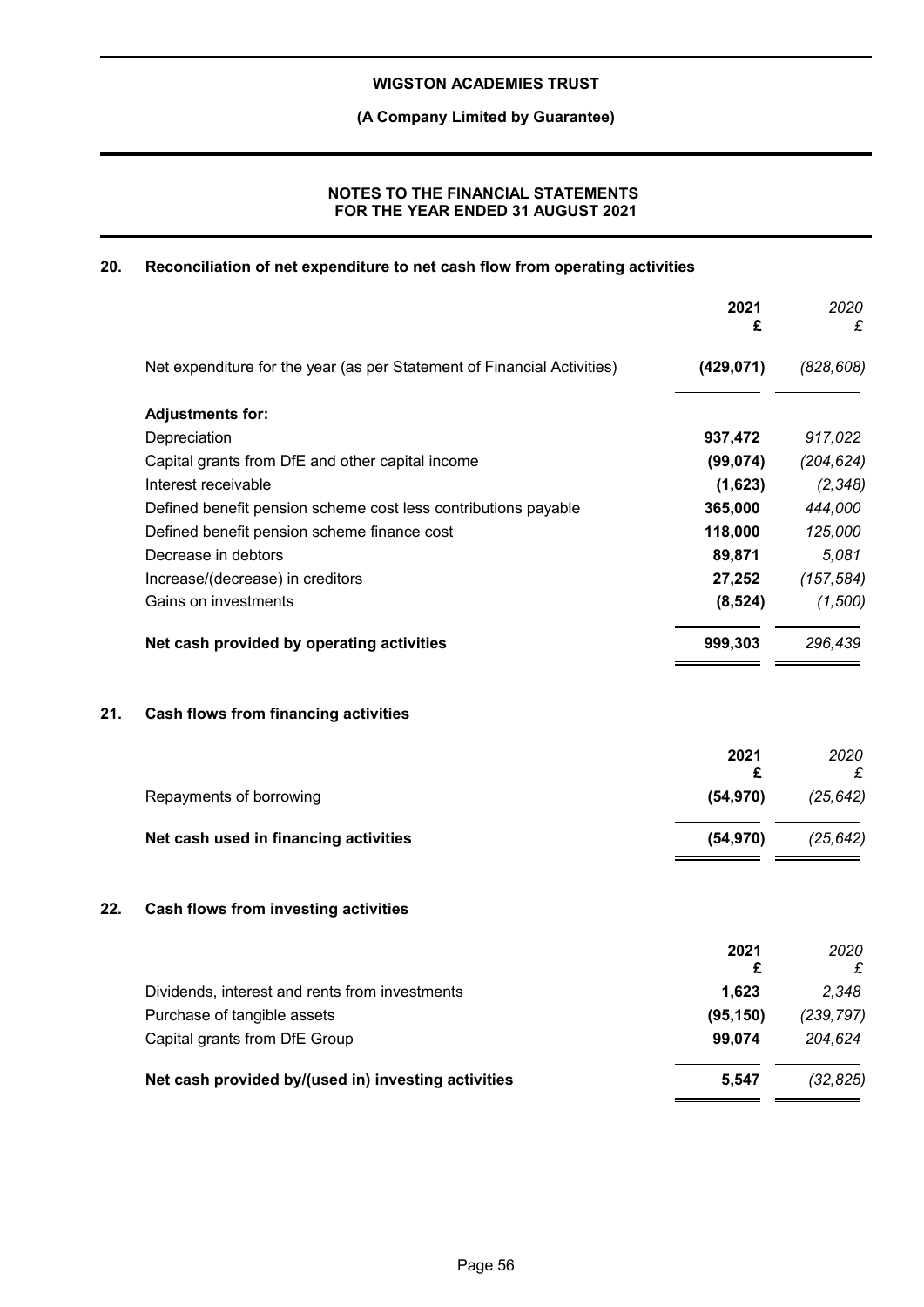### **(A Company Limited by Guarantee)**

### **NOTES TO THE FINANCIAL STATEMENTS FOR THE YEAR ENDED 31 AUGUST 2021**

### **20. Reconciliation of net expenditure to net cash flow from operating activities**

|     |                                                                         | 2021<br>£  | 2020<br>£  |
|-----|-------------------------------------------------------------------------|------------|------------|
|     | Net expenditure for the year (as per Statement of Financial Activities) | (429, 071) | (828, 608) |
|     | <b>Adjustments for:</b>                                                 |            |            |
|     | Depreciation                                                            | 937,472    | 917,022    |
|     | Capital grants from DfE and other capital income                        | (99, 074)  | (204, 624) |
|     | Interest receivable                                                     | (1,623)    | (2, 348)   |
|     | Defined benefit pension scheme cost less contributions payable          | 365,000    | 444,000    |
|     | Defined benefit pension scheme finance cost                             | 118,000    | 125,000    |
|     | Decrease in debtors                                                     | 89,871     | 5,081      |
|     | Increase/(decrease) in creditors                                        | 27,252     | (157, 584) |
|     | Gains on investments                                                    | (8, 524)   | (1,500)    |
|     | Net cash provided by operating activities                               | 999,303    | 296,439    |
| 21. | <b>Cash flows from financing activities</b>                             |            |            |
|     |                                                                         | 2021<br>£  | 2020<br>£  |
|     | Repayments of borrowing                                                 | (54, 970)  | (25, 642)  |
|     | Net cash used in financing activities                                   | (54, 970)  | (25, 642)  |
| 22. | Cash flows from investing activities                                    |            |            |
|     |                                                                         | 2021<br>£  | 2020<br>£  |
|     | Dividends, interest and rents from investments                          | 1,623      | 2,348      |
|     | Purchase of tangible assets                                             | (95, 150)  | (239, 797) |
|     | Capital grants from DfE Group                                           | 99,074     | 204,624    |
|     | Net cash provided by/(used in) investing activities                     | 5,547      | (32, 825)  |
|     |                                                                         |            |            |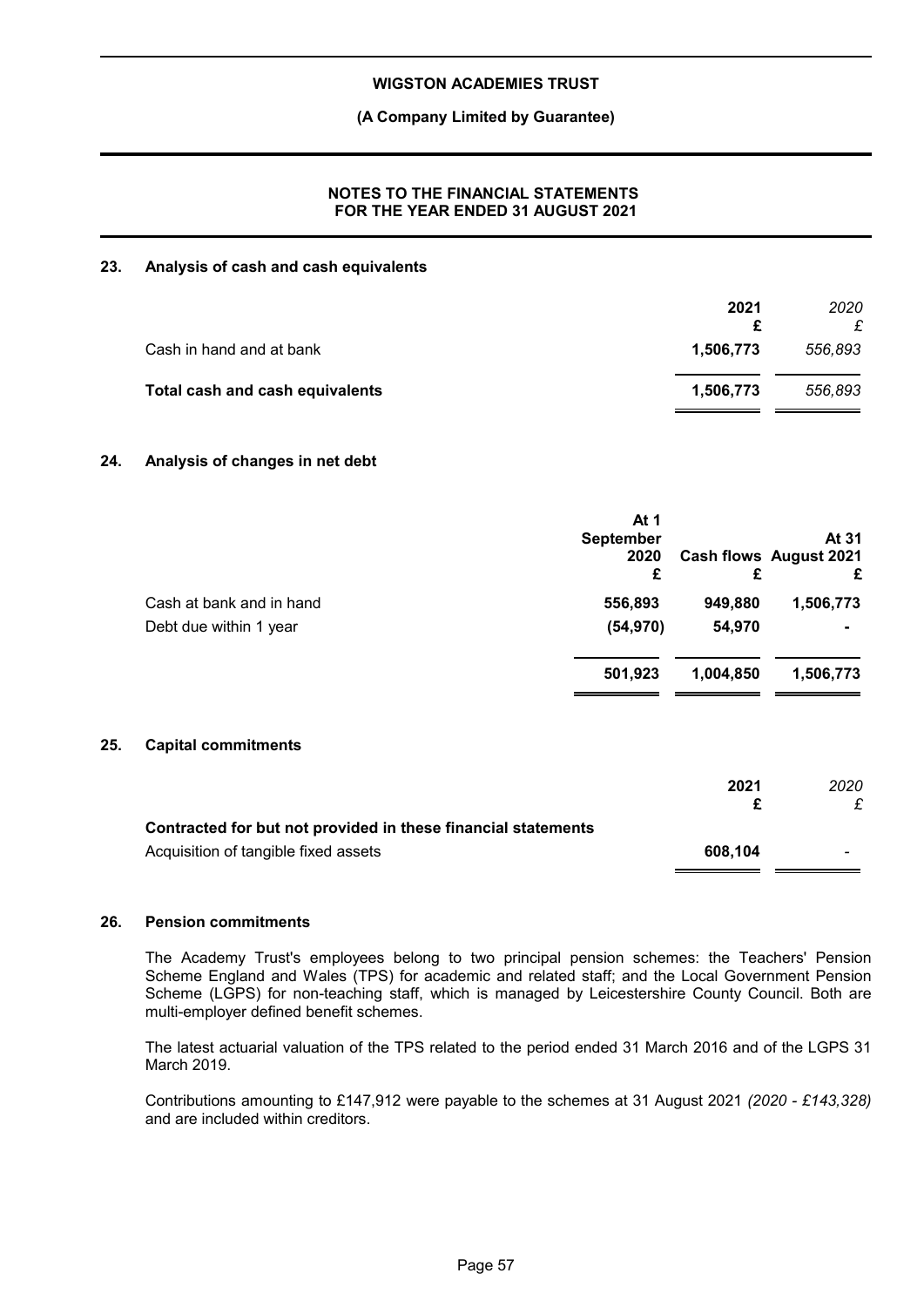### **(A Company Limited by Guarantee)**

### **NOTES TO THE FINANCIAL STATEMENTS FOR THE YEAR ENDED 31 AUGUST 2021**

#### **23. Analysis of cash and cash equivalents**

| 2021      | 2020    |
|-----------|---------|
| 1.506.773 | 556,893 |
| 1,506,773 | 556.893 |
|           |         |

### **24. Analysis of changes in net debt**

|                          | At 1<br><b>September</b><br>2020<br>£ | £         | At 31<br>Cash flows August 2021<br>£ |
|--------------------------|---------------------------------------|-----------|--------------------------------------|
| Cash at bank and in hand | 556,893                               | 949,880   | 1,506,773                            |
| Debt due within 1 year   | (54, 970)                             | 54,970    |                                      |
|                          | 501,923                               | 1,004,850 | 1,506,773                            |
|                          |                                       |           |                                      |

#### **25. Capital commitments**

|                                                               | 2021    | 2020                     |
|---------------------------------------------------------------|---------|--------------------------|
| Contracted for but not provided in these financial statements |         |                          |
| Acquisition of tangible fixed assets                          | 608.104 | $\overline{\phantom{0}}$ |

#### **26. Pension commitments**

The Academy Trust's employees belong to two principal pension schemes: the Teachers' Pension Scheme England and Wales (TPS) for academic and related staff; and the Local Government Pension Scheme (LGPS) for non-teaching staff, which is managed by Leicestershire County Council. Both are multi-employer defined benefit schemes.

The latest actuarial valuation of the TPS related to the period ended 31 March 2016 and of the LGPS 31 March 2019.

Contributions amounting to £147,912 were payable to the schemes at 31 August 2021 *(2020 - £143,328)* and are included within creditors.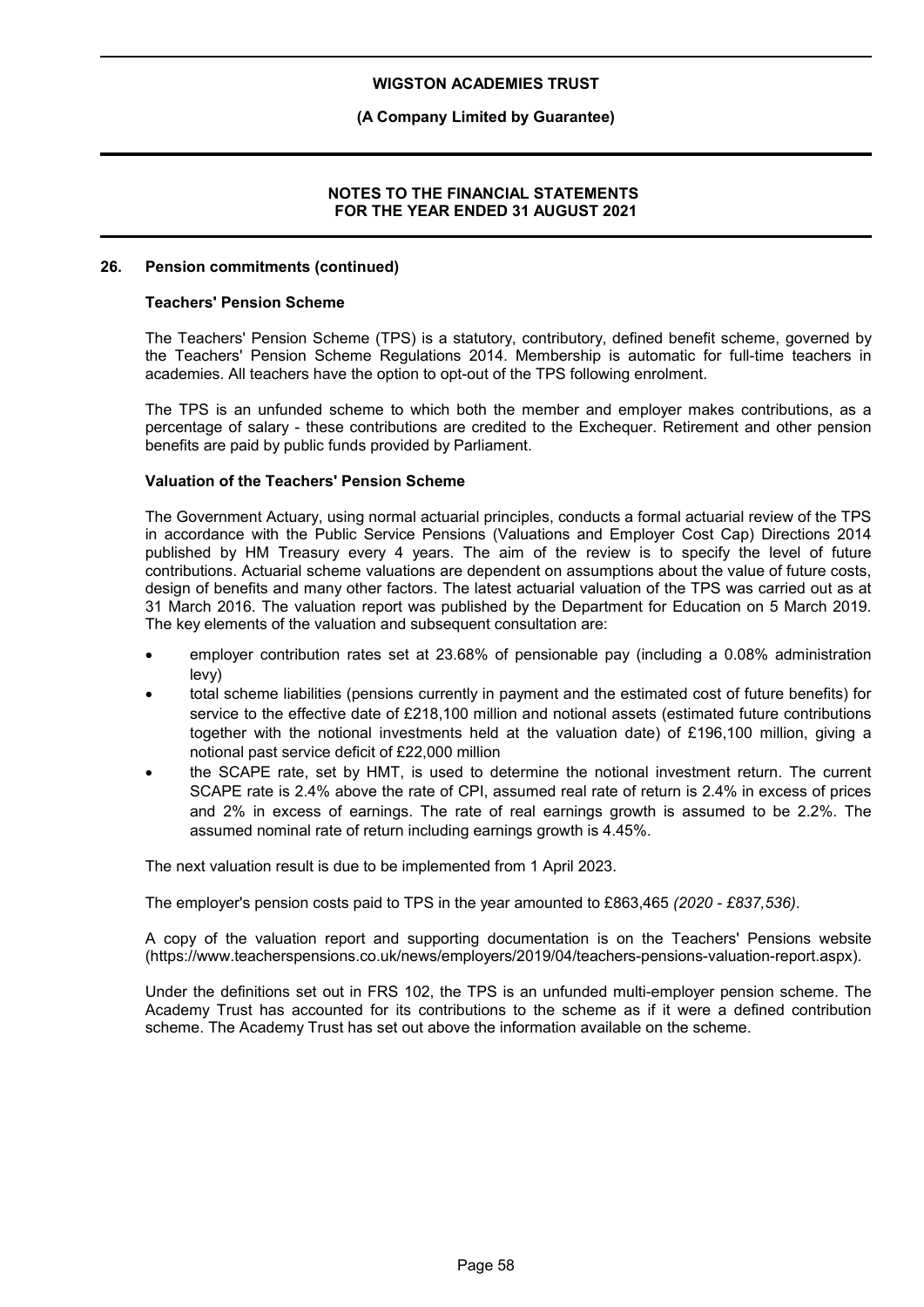### **(A Company Limited by Guarantee)**

### **NOTES TO THE FINANCIAL STATEMENTS FOR THE YEAR ENDED 31 AUGUST 2021**

#### **26. Pension commitments (continued)**

#### **Teachers' Pension Scheme**

The Teachers' Pension Scheme (TPS) is a statutory, contributory, defined benefit scheme, governed by the Teachers' Pension Scheme Regulations 2014. Membership is automatic for full-time teachers in academies. All teachers have the option to opt-out of the TPS following enrolment.

The TPS is an unfunded scheme to which both the member and employer makes contributions, as a percentage of salary - these contributions are credited to the Exchequer. Retirement and other pension benefits are paid by public funds provided by Parliament.

### **Valuation of the Teachers' Pension Scheme**

The Government Actuary, using normal actuarial principles, conducts a formal actuarial review of the TPS in accordance with the Public Service Pensions (Valuations and Employer Cost Cap) Directions 2014 published by HM Treasury every 4 years. The aim of the review is to specify the level of future contributions. Actuarial scheme valuations are dependent on assumptions about the value of future costs, design of benefits and many other factors. The latest actuarial valuation of the TPS was carried out as at 31 March 2016. The valuation report was published by the Department for Education on 5 March 2019. The key elements of the valuation and subsequent consultation are:

- employer contribution rates set at 23.68% of pensionable pay (including a 0.08% administration levy)
- total scheme liabilities (pensions currently in payment and the estimated cost of future benefits) for service to the effective date of £218,100 million and notional assets (estimated future contributions together with the notional investments held at the valuation date) of £196,100 million, giving a notional past service deficit of £22,000 million
- the SCAPE rate, set by HMT, is used to determine the notional investment return. The current SCAPE rate is 2.4% above the rate of CPI, assumed real rate of return is 2.4% in excess of prices and 2% in excess of earnings. The rate of real earnings growth is assumed to be 2.2%. The assumed nominal rate of return including earnings growth is 4.45%.

The next valuation result is due to be implemented from 1 April 2023.

The employer's pension costs paid to TPS in the year amounted to £863,465 *(2020 - £837,536)*.

A copy of the valuation report and supporting documentation is on the Teachers' Pensions website (https://www.teacherspensions.co.uk/news/employers/2019/04/teachers-pensions-valuation-report.aspx).

Under the definitions set out in FRS 102, the TPS is an unfunded multi-employer pension scheme. The Academy Trust has accounted for its contributions to the scheme as if it were a defined contribution scheme. The Academy Trust has set out above the information available on the scheme.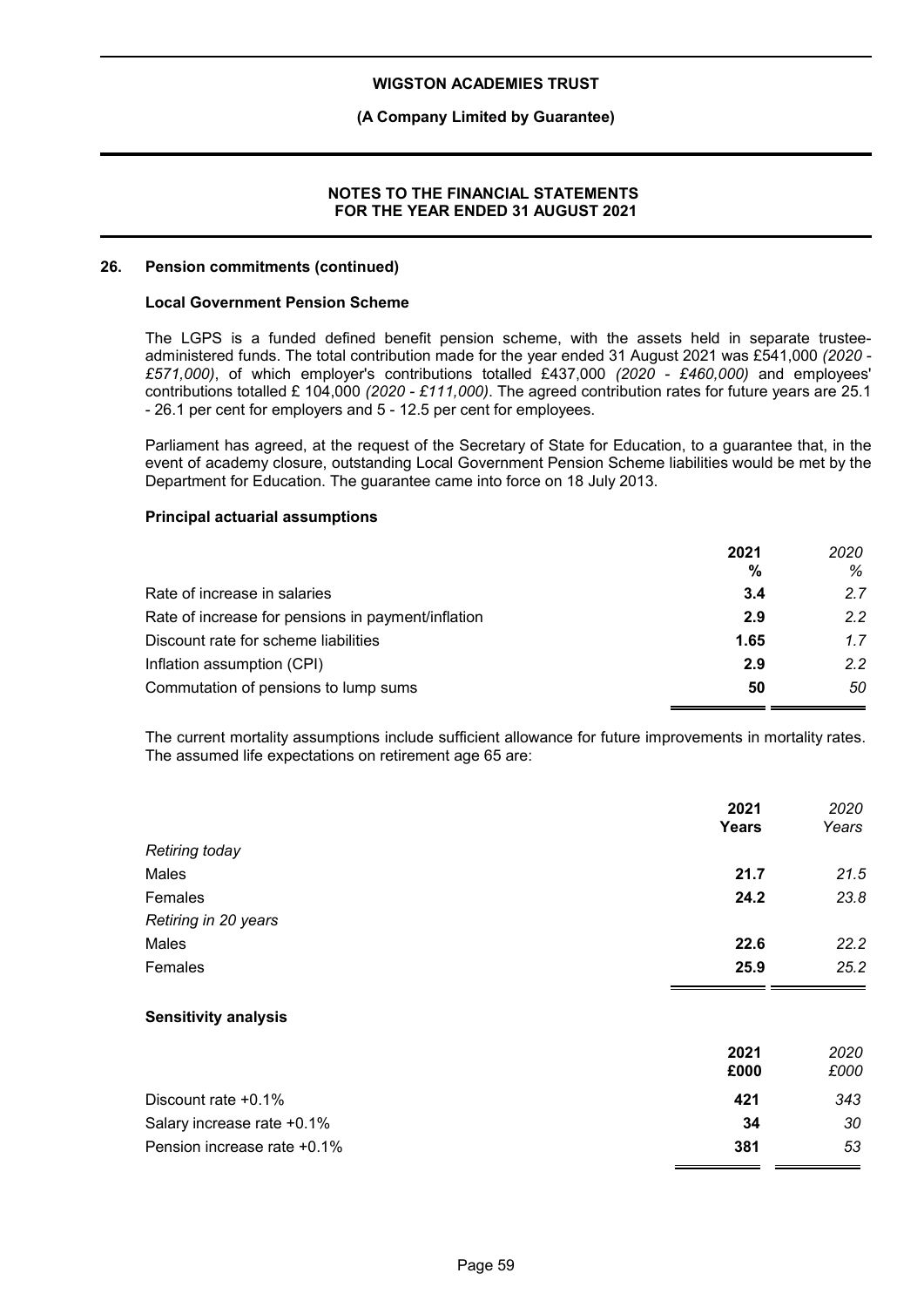### **(A Company Limited by Guarantee)**

#### **NOTES TO THE FINANCIAL STATEMENTS FOR THE YEAR ENDED 31 AUGUST 2021**

#### **26. Pension commitments (continued)**

#### **Local Government Pension Scheme**

The LGPS is a funded defined benefit pension scheme, with the assets held in separate trusteeadministered funds. The total contribution made for the year ended 31 August 2021 was £541,000 *(2020 - £571,000)*, of which employer's contributions totalled £437,000 *(2020 - £460,000)* and employees' contributions totalled £ 104,000 *(2020 - £111,000)*. The agreed contribution rates for future years are 25.1 - 26.1 per cent for employers and 5 - 12.5 per cent for employees.

Parliament has agreed, at the request of the Secretary of State for Education, to a guarantee that, in the event of academy closure, outstanding Local Government Pension Scheme liabilities would be met by the Department for Education. The guarantee came into force on 18 July 2013.

#### **Principal actuarial assumptions**

|                                                    | 2021<br>% | 2020<br>% |
|----------------------------------------------------|-----------|-----------|
| Rate of increase in salaries                       | 3.4       | 27        |
| Rate of increase for pensions in payment/inflation | 2.9       | 22        |
| Discount rate for scheme liabilities               | 1.65      | 1.7       |
| Inflation assumption (CPI)                         | 2.9       | 22        |
| Commutation of pensions to lump sums               | 50        | 50        |

The current mortality assumptions include sufficient allowance for future improvements in mortality rates. The assumed life expectations on retirement age 65 are:

|                             | 2021<br>Years | 2020<br>Years |
|-----------------------------|---------------|---------------|
| <b>Retiring today</b>       |               |               |
| Males                       | 21.7          | 21.5          |
| Females                     | 24.2          | 23.8          |
| Retiring in 20 years        |               |               |
| Males                       | 22.6          | 22.2          |
| Females                     | 25.9          | 25.2          |
| <b>Sensitivity analysis</b> |               |               |
|                             | 2021<br>£000  | 2020<br>£000  |
| Discount rate +0.1%         | 421           | 343           |
| Salary increase rate +0.1%  | 34            | 30            |

Pension increase rate +0.1% **381** *53*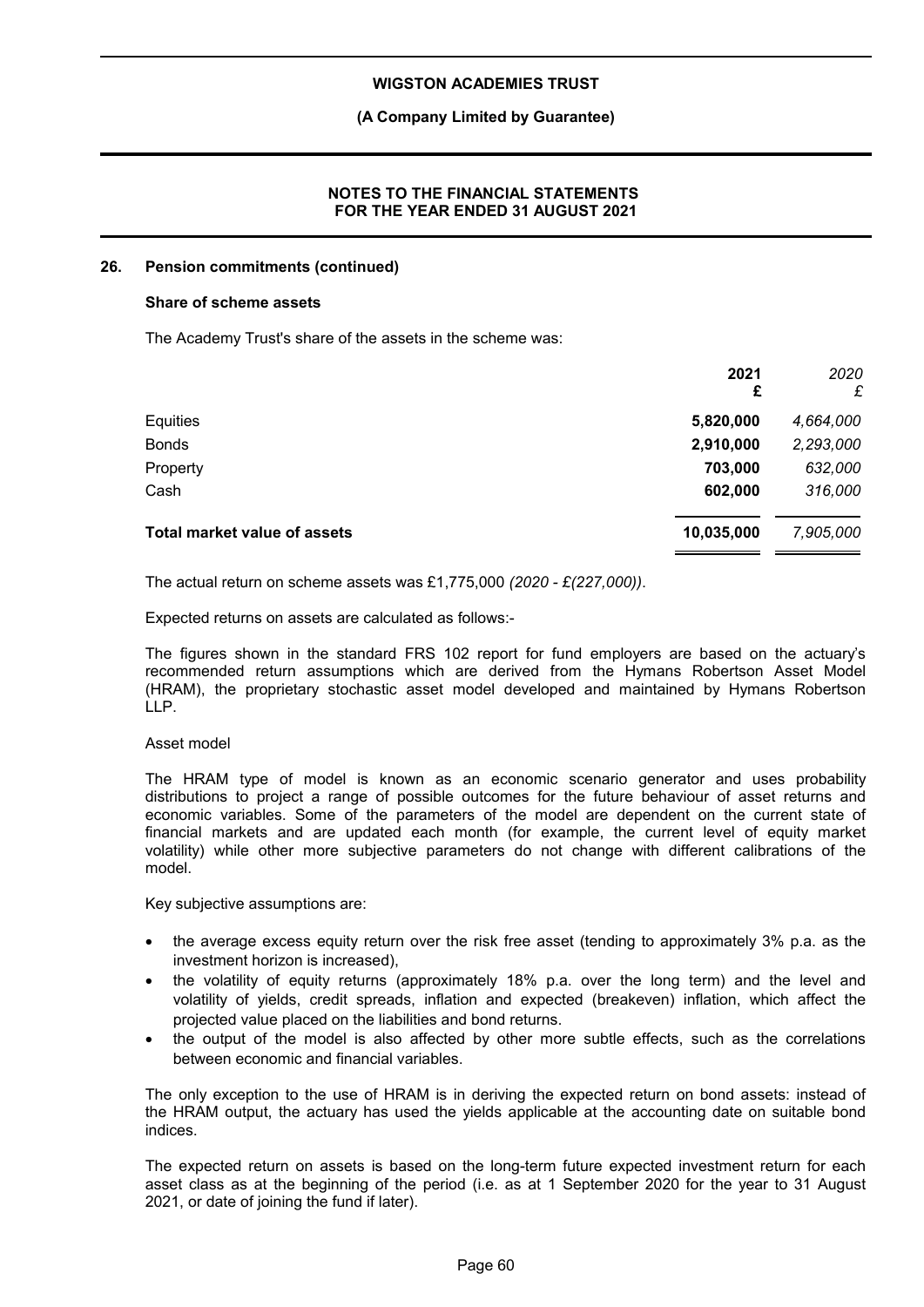### **(A Company Limited by Guarantee)**

### **NOTES TO THE FINANCIAL STATEMENTS FOR THE YEAR ENDED 31 AUGUST 2021**

#### **26. Pension commitments (continued)**

#### **Share of scheme assets**

The Academy Trust's share of the assets in the scheme was:

|                                     | 2021<br>£  | 2020<br>£ |
|-------------------------------------|------------|-----------|
| Equities                            | 5,820,000  | 4,664,000 |
| <b>Bonds</b>                        | 2,910,000  | 2,293,000 |
| Property                            | 703,000    | 632,000   |
| Cash                                | 602,000    | 316,000   |
| <b>Total market value of assets</b> | 10,035,000 | 7,905,000 |

The actual return on scheme assets was £1,775,000 *(2020 - £(227,000))*.

Expected returns on assets are calculated as follows:-

The figures shown in the standard FRS 102 report for fund employers are based on the actuary's recommended return assumptions which are derived from the Hymans Robertson Asset Model (HRAM), the proprietary stochastic asset model developed and maintained by Hymans Robertson LLP.

#### Asset model

The HRAM type of model is known as an economic scenario generator and uses probability distributions to project a range of possible outcomes for the future behaviour of asset returns and economic variables. Some of the parameters of the model are dependent on the current state of financial markets and are updated each month (for example, the current level of equity market volatility) while other more subjective parameters do not change with different calibrations of the model.

Key subjective assumptions are:

- the average excess equity return over the risk free asset (tending to approximately 3% p.a. as the investment horizon is increased),
- the volatility of equity returns (approximately 18% p.a. over the long term) and the level and volatility of yields, credit spreads, inflation and expected (breakeven) inflation, which affect the projected value placed on the liabilities and bond returns.
- the output of the model is also affected by other more subtle effects, such as the correlations between economic and financial variables.

The only exception to the use of HRAM is in deriving the expected return on bond assets: instead of the HRAM output, the actuary has used the yields applicable at the accounting date on suitable bond indices.

The expected return on assets is based on the long-term future expected investment return for each asset class as at the beginning of the period (i.e. as at 1 September 2020 for the year to 31 August 2021, or date of joining the fund if later).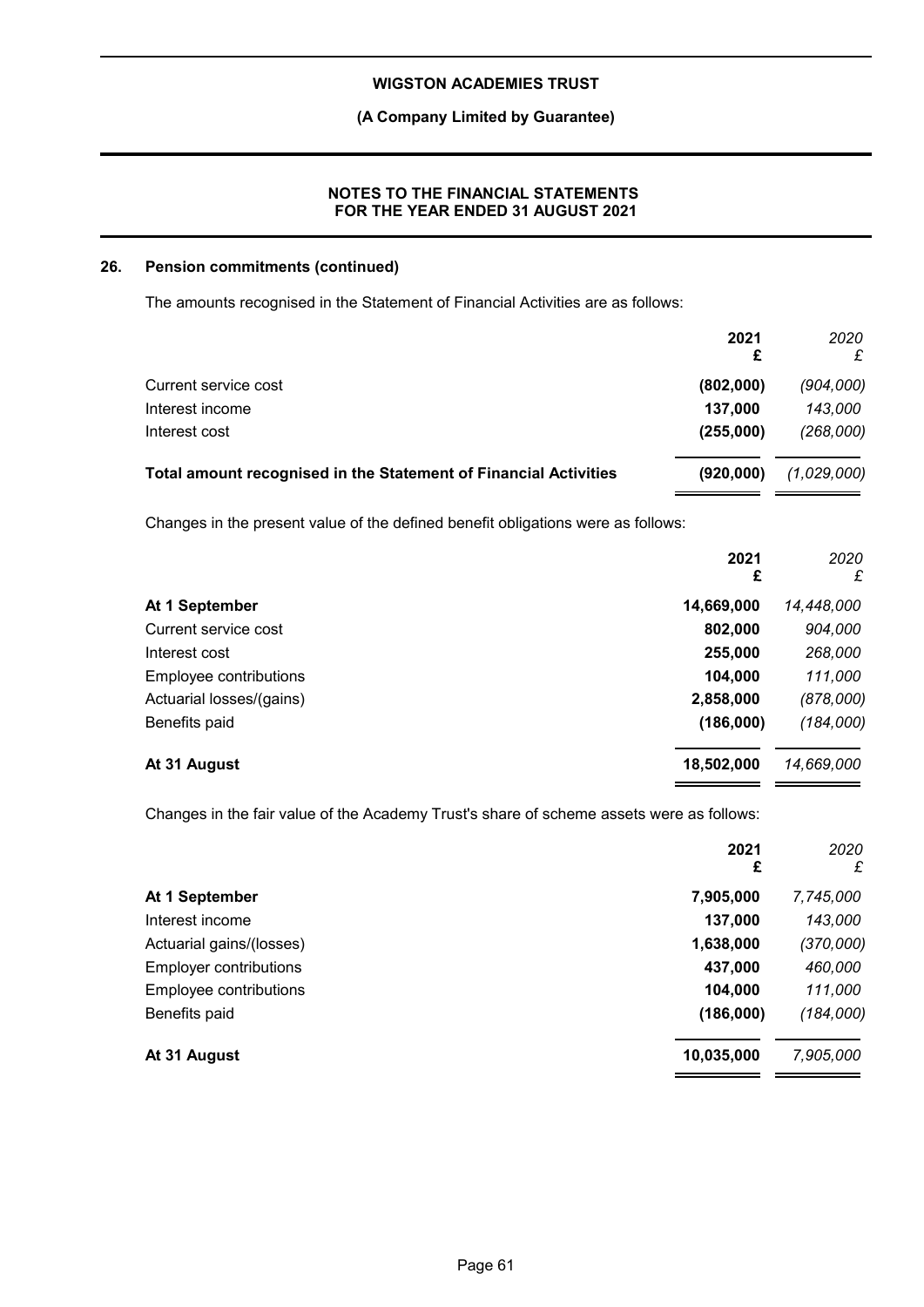### **(A Company Limited by Guarantee)**

### **NOTES TO THE FINANCIAL STATEMENTS FOR THE YEAR ENDED 31 AUGUST 2021**

### **26. Pension commitments (continued)**

The amounts recognised in the Statement of Financial Activities are as follows:

|                                                                                  | 2021<br>£  | 2020<br>£   |
|----------------------------------------------------------------------------------|------------|-------------|
| Current service cost                                                             | (802,000)  | (904,000)   |
| Interest income                                                                  | 137,000    | 143,000     |
| Interest cost                                                                    | (255,000)  | (268,000)   |
| Total amount recognised in the Statement of Financial Activities                 | (920,000)  | (1,029,000) |
| Changes in the present value of the defined benefit obligations were as follows: |            |             |
|                                                                                  | 2021<br>£  | 2020<br>£   |
| At 1 September                                                                   | 14,669,000 | 14,448,000  |
| Current service cost                                                             | 802,000    | 904,000     |
| Interest cost                                                                    | 255,000    | 268,000     |
| Employee contributions                                                           | 104,000    | 111,000     |
| Actuarial losses/(gains)                                                         | 2,858,000  | (878,000)   |
| Benefits paid                                                                    | (186,000)  | (184,000)   |
| At 31 August                                                                     | 18,502,000 | 14,669,000  |

Changes in the fair value of the Academy Trust's share of scheme assets were as follows:

|                               | 2021<br>£  | 2020<br>£ |
|-------------------------------|------------|-----------|
| At 1 September                | 7,905,000  | 7,745,000 |
| Interest income               | 137,000    | 143,000   |
| Actuarial gains/(losses)      | 1,638,000  | (370,000) |
| <b>Employer contributions</b> | 437,000    | 460,000   |
| Employee contributions        | 104,000    | 111,000   |
| Benefits paid                 | (186,000)  | (184,000) |
| At 31 August                  | 10,035,000 | 7,905,000 |